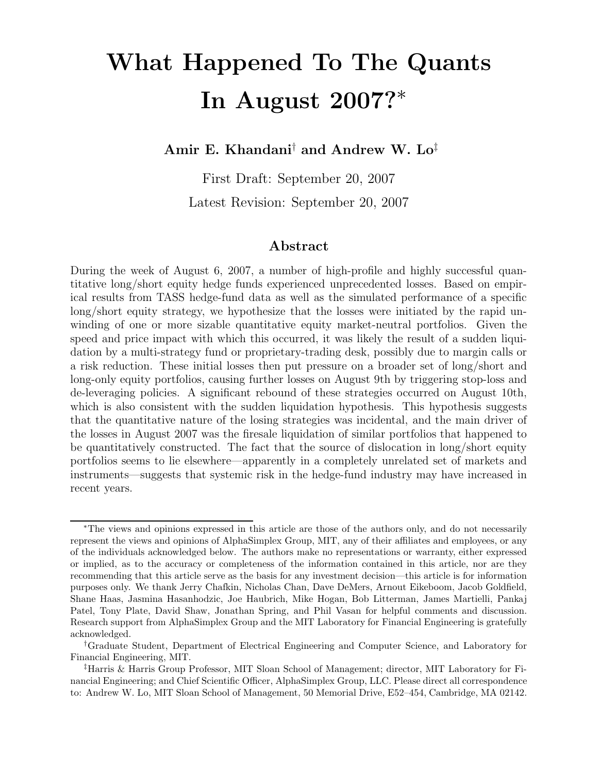# What Happened To The Quants In August 2007?∗

Amir E. Khandani† and Andrew W. Lo‡

First Draft: September 20, 2007 Latest Revision: September 20, 2007

#### Abstract

During the week of August 6, 2007, a number of high-profile and highly successful quantitative long/short equity hedge funds experienced unprecedented losses. Based on empirical results from TASS hedge-fund data as well as the simulated performance of a specific long/short equity strategy, we hypothesize that the losses were initiated by the rapid unwinding of one or more sizable quantitative equity market-neutral portfolios. Given the speed and price impact with which this occurred, it was likely the result of a sudden liquidation by a multi-strategy fund or proprietary-trading desk, possibly due to margin calls or a risk reduction. These initial losses then put pressure on a broader set of long/short and long-only equity portfolios, causing further losses on August 9th by triggering stop-loss and de-leveraging policies. A significant rebound of these strategies occurred on August 10th, which is also consistent with the sudden liquidation hypothesis. This hypothesis suggests that the quantitative nature of the losing strategies was incidental, and the main driver of the losses in August 2007 was the firesale liquidation of similar portfolios that happened to be quantitatively constructed. The fact that the source of dislocation in long/short equity portfolios seems to lie elsewhere—apparently in a completely unrelated set of markets and instruments—suggests that systemic risk in the hedge-fund industry may have increased in recent years.

<sup>∗</sup>The views and opinions expressed in this article are those of the authors only, and do not necessarily represent the views and opinions of AlphaSimplex Group, MIT, any of their affiliates and employees, or any of the individuals acknowledged below. The authors make no representations or warranty, either expressed or implied, as to the accuracy or completeness of the information contained in this article, nor are they recommending that this article serve as the basis for any investment decision—this article is for information purposes only. We thank Jerry Chafkin, Nicholas Chan, Dave DeMers, Arnout Eikeboom, Jacob Goldfield, Shane Haas, Jasmina Hasanhodzic, Joe Haubrich, Mike Hogan, Bob Litterman, James Martielli, Pankaj Patel, Tony Plate, David Shaw, Jonathan Spring, and Phil Vasan for helpful comments and discussion. Research support from AlphaSimplex Group and the MIT Laboratory for Financial Engineering is gratefully acknowledged.

<sup>†</sup>Graduate Student, Department of Electrical Engineering and Computer Science, and Laboratory for Financial Engineering, MIT.

<sup>‡</sup>Harris & Harris Group Professor, MIT Sloan School of Management; director, MIT Laboratory for Financial Engineering; and Chief Scientific Officer, AlphaSimplex Group, LLC. Please direct all correspondence to: Andrew W. Lo, MIT Sloan School of Management, 50 Memorial Drive, E52–454, Cambridge, MA 02142.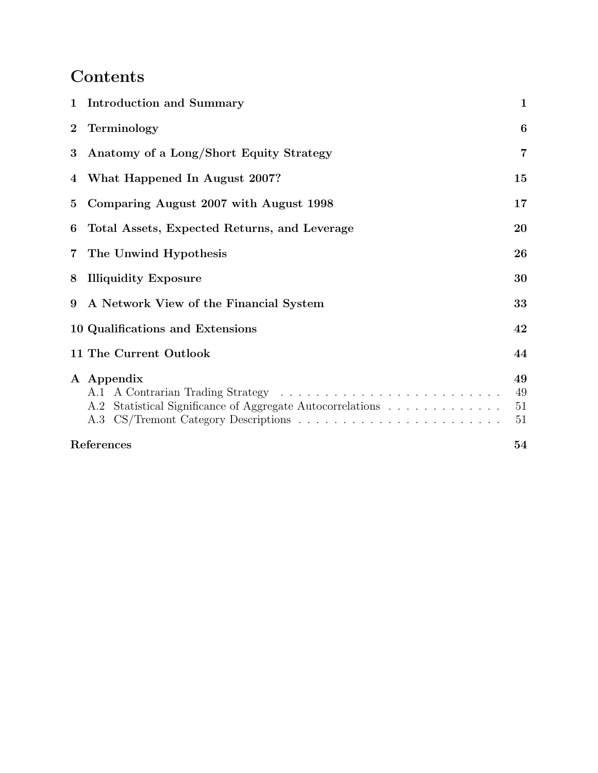## **Contents**

|                 | 1 Introduction and Summary                                               | $\mathbf{1}$         |
|-----------------|--------------------------------------------------------------------------|----------------------|
| 2 <sub>1</sub>  | Terminology                                                              | 6                    |
| $\bf{3}$        | Anatomy of a Long/Short Equity Strategy                                  | $\overline{7}$       |
|                 | 4 What Happened In August 2007?                                          | 15                   |
| $5\phantom{.0}$ | Comparing August 2007 with August 1998                                   | 17                   |
| 6               | Total Assets, Expected Returns, and Leverage                             | 20                   |
|                 | 7 The Unwind Hypothesis                                                  | 26                   |
| 8               | <b>Illiquidity Exposure</b>                                              | 30                   |
| 9               | A Network View of the Financial System                                   | 33                   |
|                 | 10 Qualifications and Extensions                                         | 42                   |
|                 | 11 The Current Outlook                                                   | 44                   |
|                 | A Appendix<br>A.2 Statistical Significance of Aggregate Autocorrelations | 49<br>49<br>51<br>51 |
|                 | References                                                               | 54                   |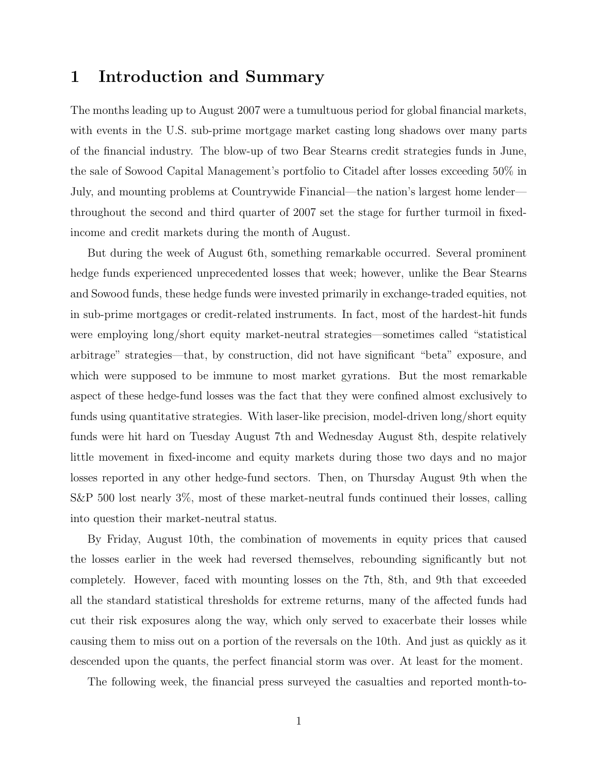## 1 Introduction and Summary

The months leading up to August 2007 were a tumultuous period for global financial markets, with events in the U.S. sub-prime mortgage market casting long shadows over many parts of the financial industry. The blow-up of two Bear Stearns credit strategies funds in June, the sale of Sowood Capital Management's portfolio to Citadel after losses exceeding 50% in July, and mounting problems at Countrywide Financial—the nation's largest home lender throughout the second and third quarter of 2007 set the stage for further turmoil in fixedincome and credit markets during the month of August.

But during the week of August 6th, something remarkable occurred. Several prominent hedge funds experienced unprecedented losses that week; however, unlike the Bear Stearns and Sowood funds, these hedge funds were invested primarily in exchange-traded equities, not in sub-prime mortgages or credit-related instruments. In fact, most of the hardest-hit funds were employing long/short equity market-neutral strategies—sometimes called "statistical arbitrage" strategies—that, by construction, did not have significant "beta" exposure, and which were supposed to be immune to most market gyrations. But the most remarkable aspect of these hedge-fund losses was the fact that they were confined almost exclusively to funds using quantitative strategies. With laser-like precision, model-driven long/short equity funds were hit hard on Tuesday August 7th and Wednesday August 8th, despite relatively little movement in fixed-income and equity markets during those two days and no major losses reported in any other hedge-fund sectors. Then, on Thursday August 9th when the S&P 500 lost nearly 3%, most of these market-neutral funds continued their losses, calling into question their market-neutral status.

By Friday, August 10th, the combination of movements in equity prices that caused the losses earlier in the week had reversed themselves, rebounding significantly but not completely. However, faced with mounting losses on the 7th, 8th, and 9th that exceeded all the standard statistical thresholds for extreme returns, many of the affected funds had cut their risk exposures along the way, which only served to exacerbate their losses while causing them to miss out on a portion of the reversals on the 10th. And just as quickly as it descended upon the quants, the perfect financial storm was over. At least for the moment.

The following week, the financial press surveyed the casualties and reported month-to-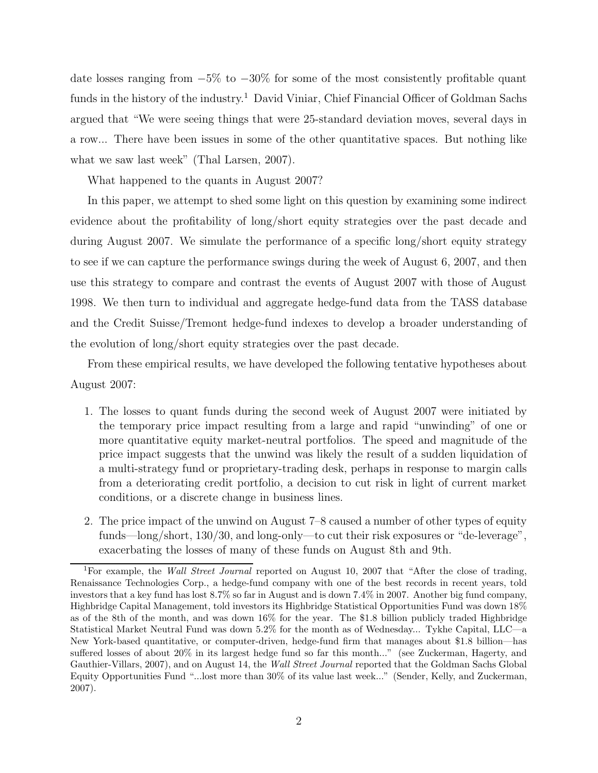date losses ranging from −5% to −30% for some of the most consistently profitable quant funds in the history of the industry.<sup>1</sup> David Viniar, Chief Financial Officer of Goldman Sachs argued that "We were seeing things that were 25-standard deviation moves, several days in a row... There have been issues in some of the other quantitative spaces. But nothing like what we saw last week" (Thal Larsen, 2007).

What happened to the quants in August 2007?

In this paper, we attempt to shed some light on this question by examining some indirect evidence about the profitability of long/short equity strategies over the past decade and during August 2007. We simulate the performance of a specific long/short equity strategy to see if we can capture the performance swings during the week of August 6, 2007, and then use this strategy to compare and contrast the events of August 2007 with those of August 1998. We then turn to individual and aggregate hedge-fund data from the TASS database and the Credit Suisse/Tremont hedge-fund indexes to develop a broader understanding of the evolution of long/short equity strategies over the past decade.

From these empirical results, we have developed the following tentative hypotheses about August 2007:

- 1. The losses to quant funds during the second week of August 2007 were initiated by the temporary price impact resulting from a large and rapid "unwinding" of one or more quantitative equity market-neutral portfolios. The speed and magnitude of the price impact suggests that the unwind was likely the result of a sudden liquidation of a multi-strategy fund or proprietary-trading desk, perhaps in response to margin calls from a deteriorating credit portfolio, a decision to cut risk in light of current market conditions, or a discrete change in business lines.
- 2. The price impact of the unwind on August 7–8 caused a number of other types of equity funds—long/short, 130/30, and long-only—to cut their risk exposures or "de-leverage", exacerbating the losses of many of these funds on August 8th and 9th.

<sup>&</sup>lt;sup>1</sup>For example, the *Wall Street Journal* reported on August 10, 2007 that "After the close of trading, Renaissance Technologies Corp., a hedge-fund company with one of the best records in recent years, told investors that a key fund has lost 8.7% so far in August and is down 7.4% in 2007. Another big fund company, Highbridge Capital Management, told investors its Highbridge Statistical Opportunities Fund was down 18% as of the 8th of the month, and was down 16% for the year. The \$1.8 billion publicly traded Highbridge Statistical Market Neutral Fund was down 5.2% for the month as of Wednesday... Tykhe Capital, LLC—a New York-based quantitative, or computer-driven, hedge-fund firm that manages about \$1.8 billion—has suffered losses of about 20% in its largest hedge fund so far this month..." (see Zuckerman, Hagerty, and Gauthier-Villars, 2007), and on August 14, the Wall Street Journal reported that the Goldman Sachs Global Equity Opportunities Fund "...lost more than 30% of its value last week..." (Sender, Kelly, and Zuckerman, 2007).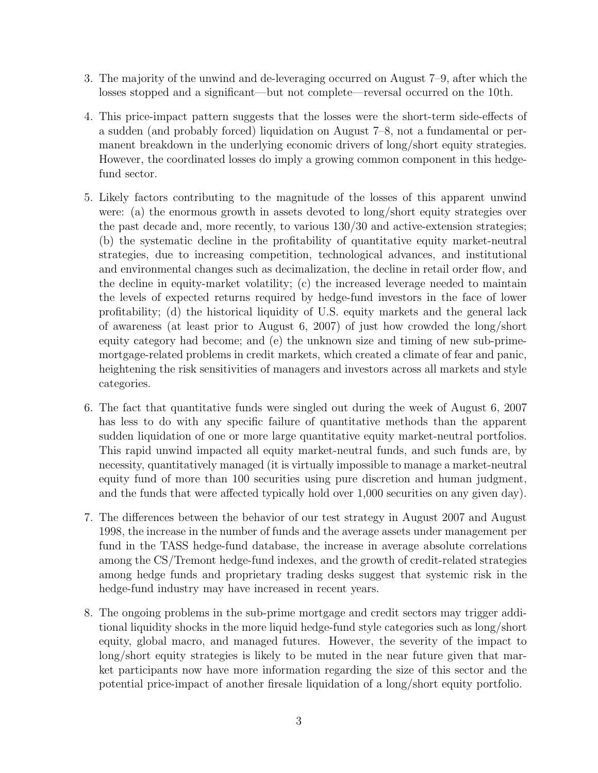- 3. The majority of the unwind and de-leveraging occurred on August 7–9, after which the losses stopped and a significant—but not complete—reversal occurred on the 10th.
- 4. This price-impact pattern suggests that the losses were the short-term side-effects of a sudden (and probably forced) liquidation on August 7–8, not a fundamental or permanent breakdown in the underlying economic drivers of long/short equity strategies. However, the coordinated losses do imply a growing common component in this hedgefund sector.
- 5. Likely factors contributing to the magnitude of the losses of this apparent unwind were: (a) the enormous growth in assets devoted to long/short equity strategies over the past decade and, more recently, to various 130/30 and active-extension strategies; (b) the systematic decline in the profitability of quantitative equity market-neutral strategies, due to increasing competition, technological advances, and institutional and environmental changes such as decimalization, the decline in retail order flow, and the decline in equity-market volatility; (c) the increased leverage needed to maintain the levels of expected returns required by hedge-fund investors in the face of lower profitability; (d) the historical liquidity of U.S. equity markets and the general lack of awareness (at least prior to August 6, 2007) of just how crowded the long/short equity category had become; and (e) the unknown size and timing of new sub-primemortgage-related problems in credit markets, which created a climate of fear and panic, heightening the risk sensitivities of managers and investors across all markets and style categories.
- 6. The fact that quantitative funds were singled out during the week of August 6, 2007 has less to do with any specific failure of quantitative methods than the apparent sudden liquidation of one or more large quantitative equity market-neutral portfolios. This rapid unwind impacted all equity market-neutral funds, and such funds are, by necessity, quantitatively managed (it is virtually impossible to manage a market-neutral equity fund of more than 100 securities using pure discretion and human judgment, and the funds that were affected typically hold over 1,000 securities on any given day).
- 7. The differences between the behavior of our test strategy in August 2007 and August 1998, the increase in the number of funds and the average assets under management per fund in the TASS hedge-fund database, the increase in average absolute correlations among the CS/Tremont hedge-fund indexes, and the growth of credit-related strategies among hedge funds and proprietary trading desks suggest that systemic risk in the hedge-fund industry may have increased in recent years.
- 8. The ongoing problems in the sub-prime mortgage and credit sectors may trigger additional liquidity shocks in the more liquid hedge-fund style categories such as long/short equity, global macro, and managed futures. However, the severity of the impact to long/short equity strategies is likely to be muted in the near future given that market participants now have more information regarding the size of this sector and the potential price-impact of another firesale liquidation of a long/short equity portfolio.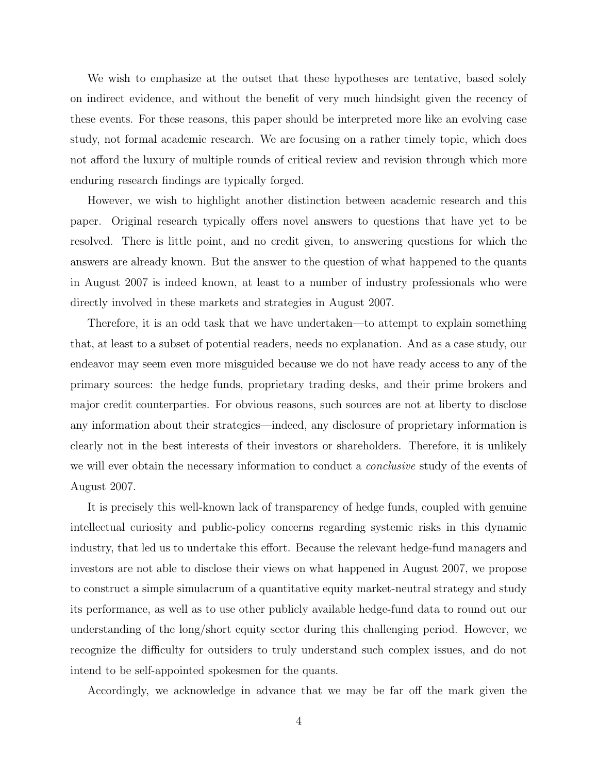We wish to emphasize at the outset that these hypotheses are tentative, based solely on indirect evidence, and without the benefit of very much hindsight given the recency of these events. For these reasons, this paper should be interpreted more like an evolving case study, not formal academic research. We are focusing on a rather timely topic, which does not afford the luxury of multiple rounds of critical review and revision through which more enduring research findings are typically forged.

However, we wish to highlight another distinction between academic research and this paper. Original research typically offers novel answers to questions that have yet to be resolved. There is little point, and no credit given, to answering questions for which the answers are already known. But the answer to the question of what happened to the quants in August 2007 is indeed known, at least to a number of industry professionals who were directly involved in these markets and strategies in August 2007.

Therefore, it is an odd task that we have undertaken—to attempt to explain something that, at least to a subset of potential readers, needs no explanation. And as a case study, our endeavor may seem even more misguided because we do not have ready access to any of the primary sources: the hedge funds, proprietary trading desks, and their prime brokers and major credit counterparties. For obvious reasons, such sources are not at liberty to disclose any information about their strategies—indeed, any disclosure of proprietary information is clearly not in the best interests of their investors or shareholders. Therefore, it is unlikely we will ever obtain the necessary information to conduct a *conclusive* study of the events of August 2007.

It is precisely this well-known lack of transparency of hedge funds, coupled with genuine intellectual curiosity and public-policy concerns regarding systemic risks in this dynamic industry, that led us to undertake this effort. Because the relevant hedge-fund managers and investors are not able to disclose their views on what happened in August 2007, we propose to construct a simple simulacrum of a quantitative equity market-neutral strategy and study its performance, as well as to use other publicly available hedge-fund data to round out our understanding of the long/short equity sector during this challenging period. However, we recognize the difficulty for outsiders to truly understand such complex issues, and do not intend to be self-appointed spokesmen for the quants.

Accordingly, we acknowledge in advance that we may be far off the mark given the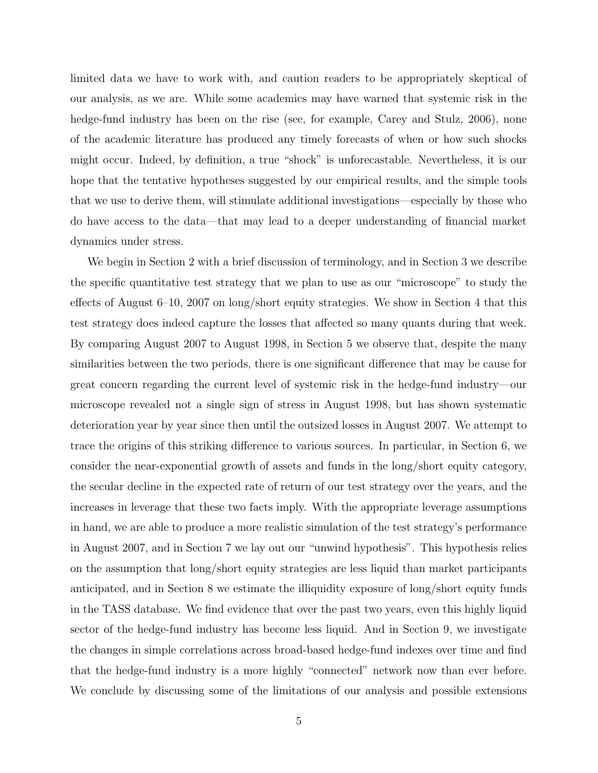limited data we have to work with, and caution readers to be appropriately skeptical of our analysis, as we are. While some academics may have warned that systemic risk in the hedge-fund industry has been on the rise (see, for example, Carey and Stulz, 2006), none of the academic literature has produced any timely forecasts of when or how such shocks might occur. Indeed, by definition, a true "shock" is unforecastable. Nevertheless, it is our hope that the tentative hypotheses suggested by our empirical results, and the simple tools that we use to derive them, will stimulate additional investigations—especially by those who do have access to the data—that may lead to a deeper understanding of financial market dynamics under stress.

We begin in Section 2 with a brief discussion of terminology, and in Section 3 we describe the specific quantitative test strategy that we plan to use as our "microscope" to study the effects of August 6–10, 2007 on long/short equity strategies. We show in Section 4 that this test strategy does indeed capture the losses that affected so many quants during that week. By comparing August 2007 to August 1998, in Section 5 we observe that, despite the many similarities between the two periods, there is one significant difference that may be cause for great concern regarding the current level of systemic risk in the hedge-fund industry—our microscope revealed not a single sign of stress in August 1998, but has shown systematic deterioration year by year since then until the outsized losses in August 2007. We attempt to trace the origins of this striking difference to various sources. In particular, in Section 6, we consider the near-exponential growth of assets and funds in the long/short equity category, the secular decline in the expected rate of return of our test strategy over the years, and the increases in leverage that these two facts imply. With the appropriate leverage assumptions in hand, we are able to produce a more realistic simulation of the test strategy's performance in August 2007, and in Section 7 we lay out our "unwind hypothesis". This hypothesis relies on the assumption that long/short equity strategies are less liquid than market participants anticipated, and in Section 8 we estimate the illiquidity exposure of long/short equity funds in the TASS database. We find evidence that over the past two years, even this highly liquid sector of the hedge-fund industry has become less liquid. And in Section 9, we investigate the changes in simple correlations across broad-based hedge-fund indexes over time and find that the hedge-fund industry is a more highly "connected" network now than ever before. We conclude by discussing some of the limitations of our analysis and possible extensions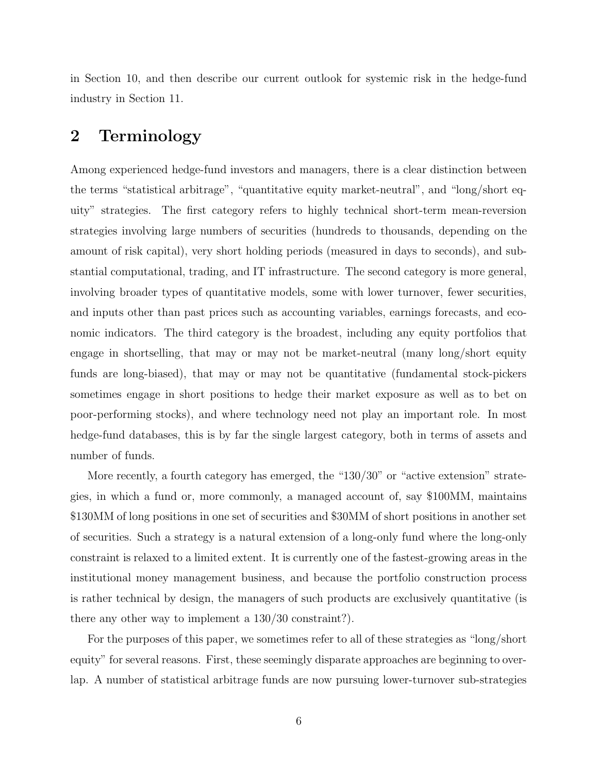in Section 10, and then describe our current outlook for systemic risk in the hedge-fund industry in Section 11.

## 2 Terminology

Among experienced hedge-fund investors and managers, there is a clear distinction between the terms "statistical arbitrage", "quantitative equity market-neutral", and "long/short equity" strategies. The first category refers to highly technical short-term mean-reversion strategies involving large numbers of securities (hundreds to thousands, depending on the amount of risk capital), very short holding periods (measured in days to seconds), and substantial computational, trading, and IT infrastructure. The second category is more general, involving broader types of quantitative models, some with lower turnover, fewer securities, and inputs other than past prices such as accounting variables, earnings forecasts, and economic indicators. The third category is the broadest, including any equity portfolios that engage in shortselling, that may or may not be market-neutral (many long/short equity funds are long-biased), that may or may not be quantitative (fundamental stock-pickers sometimes engage in short positions to hedge their market exposure as well as to bet on poor-performing stocks), and where technology need not play an important role. In most hedge-fund databases, this is by far the single largest category, both in terms of assets and number of funds.

More recently, a fourth category has emerged, the "130/30" or "active extension" strategies, in which a fund or, more commonly, a managed account of, say \$100MM, maintains \$130MM of long positions in one set of securities and \$30MM of short positions in another set of securities. Such a strategy is a natural extension of a long-only fund where the long-only constraint is relaxed to a limited extent. It is currently one of the fastest-growing areas in the institutional money management business, and because the portfolio construction process is rather technical by design, the managers of such products are exclusively quantitative (is there any other way to implement a 130/30 constraint?).

For the purposes of this paper, we sometimes refer to all of these strategies as "long/short equity" for several reasons. First, these seemingly disparate approaches are beginning to overlap. A number of statistical arbitrage funds are now pursuing lower-turnover sub-strategies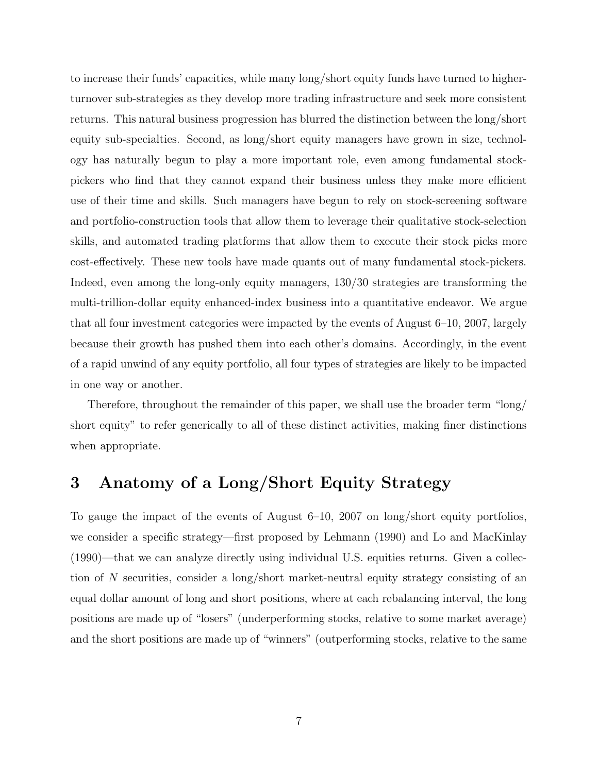to increase their funds' capacities, while many long/short equity funds have turned to higherturnover sub-strategies as they develop more trading infrastructure and seek more consistent returns. This natural business progression has blurred the distinction between the long/short equity sub-specialties. Second, as long/short equity managers have grown in size, technology has naturally begun to play a more important role, even among fundamental stockpickers who find that they cannot expand their business unless they make more efficient use of their time and skills. Such managers have begun to rely on stock-screening software and portfolio-construction tools that allow them to leverage their qualitative stock-selection skills, and automated trading platforms that allow them to execute their stock picks more cost-effectively. These new tools have made quants out of many fundamental stock-pickers. Indeed, even among the long-only equity managers, 130/30 strategies are transforming the multi-trillion-dollar equity enhanced-index business into a quantitative endeavor. We argue that all four investment categories were impacted by the events of August 6–10, 2007, largely because their growth has pushed them into each other's domains. Accordingly, in the event of a rapid unwind of any equity portfolio, all four types of strategies are likely to be impacted in one way or another.

Therefore, throughout the remainder of this paper, we shall use the broader term "long/ short equity" to refer generically to all of these distinct activities, making finer distinctions when appropriate.

#### 3 Anatomy of a Long/Short Equity Strategy

To gauge the impact of the events of August 6–10, 2007 on long/short equity portfolios, we consider a specific strategy—first proposed by Lehmann (1990) and Lo and MacKinlay (1990)—that we can analyze directly using individual U.S. equities returns. Given a collection of N securities, consider a long/short market-neutral equity strategy consisting of an equal dollar amount of long and short positions, where at each rebalancing interval, the long positions are made up of "losers" (underperforming stocks, relative to some market average) and the short positions are made up of "winners" (outperforming stocks, relative to the same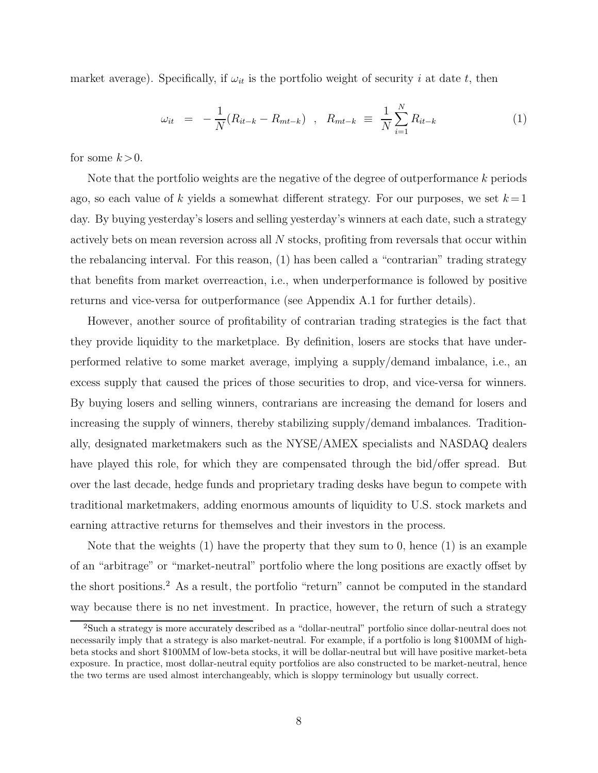market average). Specifically, if  $\omega_{it}$  is the portfolio weight of security i at date t, then

$$
\omega_{it} = -\frac{1}{N}(R_{it-k} - R_{mt-k}) \, , \, R_{mt-k} \equiv \frac{1}{N} \sum_{i=1}^{N} R_{it-k} \tag{1}
$$

for some  $k>0$ .

Note that the portfolio weights are the negative of the degree of outperformance  $k$  periods ago, so each value of k yields a somewhat different strategy. For our purposes, we set  $k = 1$ day. By buying yesterday's losers and selling yesterday's winners at each date, such a strategy actively bets on mean reversion across all N stocks, profiting from reversals that occur within the rebalancing interval. For this reason, (1) has been called a "contrarian" trading strategy that benefits from market overreaction, i.e., when underperformance is followed by positive returns and vice-versa for outperformance (see Appendix A.1 for further details).

However, another source of profitability of contrarian trading strategies is the fact that they provide liquidity to the marketplace. By definition, losers are stocks that have underperformed relative to some market average, implying a supply/demand imbalance, i.e., an excess supply that caused the prices of those securities to drop, and vice-versa for winners. By buying losers and selling winners, contrarians are increasing the demand for losers and increasing the supply of winners, thereby stabilizing supply/demand imbalances. Traditionally, designated marketmakers such as the NYSE/AMEX specialists and NASDAQ dealers have played this role, for which they are compensated through the bid/offer spread. But over the last decade, hedge funds and proprietary trading desks have begun to compete with traditional marketmakers, adding enormous amounts of liquidity to U.S. stock markets and earning attractive returns for themselves and their investors in the process.

Note that the weights (1) have the property that they sum to 0, hence (1) is an example of an "arbitrage" or "market-neutral" portfolio where the long positions are exactly offset by the short positions.<sup>2</sup> As a result, the portfolio "return" cannot be computed in the standard way because there is no net investment. In practice, however, the return of such a strategy

<sup>2</sup>Such a strategy is more accurately described as a "dollar-neutral" portfolio since dollar-neutral does not necessarily imply that a strategy is also market-neutral. For example, if a portfolio is long \$100MM of highbeta stocks and short \$100MM of low-beta stocks, it will be dollar-neutral but will have positive market-beta exposure. In practice, most dollar-neutral equity portfolios are also constructed to be market-neutral, hence the two terms are used almost interchangeably, which is sloppy terminology but usually correct.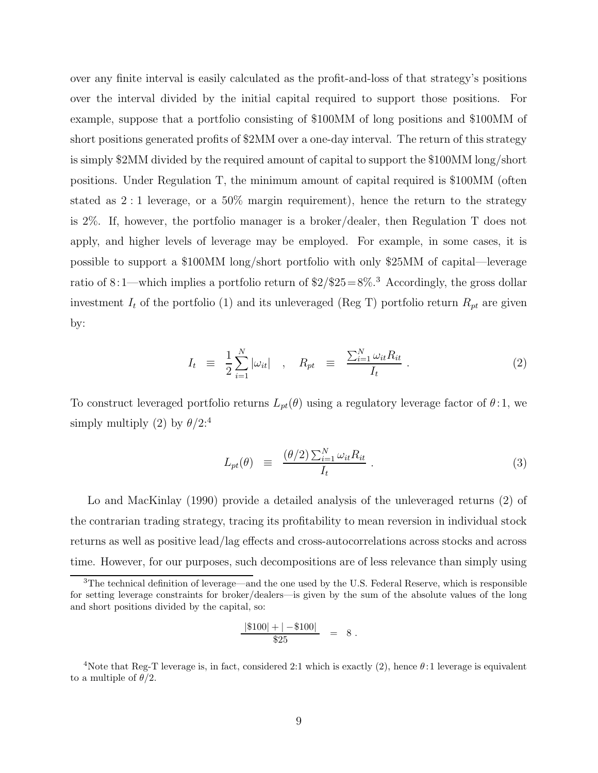over any finite interval is easily calculated as the profit-and-loss of that strategy's positions over the interval divided by the initial capital required to support those positions. For example, suppose that a portfolio consisting of \$100MM of long positions and \$100MM of short positions generated profits of \$2MM over a one-day interval. The return of this strategy is simply \$2MM divided by the required amount of capital to support the \$100MM long/short positions. Under Regulation T, the minimum amount of capital required is \$100MM (often stated as  $2:1$  leverage, or a  $50\%$  margin requirement), hence the return to the strategy is 2%. If, however, the portfolio manager is a broker/dealer, then Regulation T does not apply, and higher levels of leverage may be employed. For example, in some cases, it is possible to support a \$100MM long/short portfolio with only \$25MM of capital—leverage ratio of 8:1—which implies a portfolio return of  $2/\$25=8\%$ .<sup>3</sup> Accordingly, the gross dollar investment  $I_t$  of the portfolio (1) and its unleveraged (Reg T) portfolio return  $R_{pt}$  are given by:

$$
I_t \equiv \frac{1}{2} \sum_{i=1}^{N} |\omega_{it}| \quad , \quad R_{pt} \equiv \frac{\sum_{i=1}^{N} \omega_{it} R_{it}}{I_t} \; . \tag{2}
$$

To construct leveraged portfolio returns  $L_{pt}(\theta)$  using a regulatory leverage factor of  $\theta$ :1, we simply multiply (2) by  $\theta/2$ :<sup>4</sup>

$$
L_{pt}(\theta) \equiv \frac{(\theta/2) \sum_{i=1}^{N} \omega_{it} R_{it}}{I_t} \,. \tag{3}
$$

Lo and MacKinlay (1990) provide a detailed analysis of the unleveraged returns (2) of the contrarian trading strategy, tracing its profitability to mean reversion in individual stock returns as well as positive lead/lag effects and cross-autocorrelations across stocks and across time. However, for our purposes, such decompositions are of less relevance than simply using

$$
\frac{|\$100| + |-\$100|}{\$25} = 8.
$$

 $3$ The technical definition of leverage—and the one used by the U.S. Federal Reserve, which is responsible for setting leverage constraints for broker/dealers—is given by the sum of the absolute values of the long and short positions divided by the capital, so:

<sup>&</sup>lt;sup>4</sup>Note that Reg-T leverage is, in fact, considered 2:1 which is exactly (2), hence  $\theta$ :1 leverage is equivalent to a multiple of  $\theta/2$ .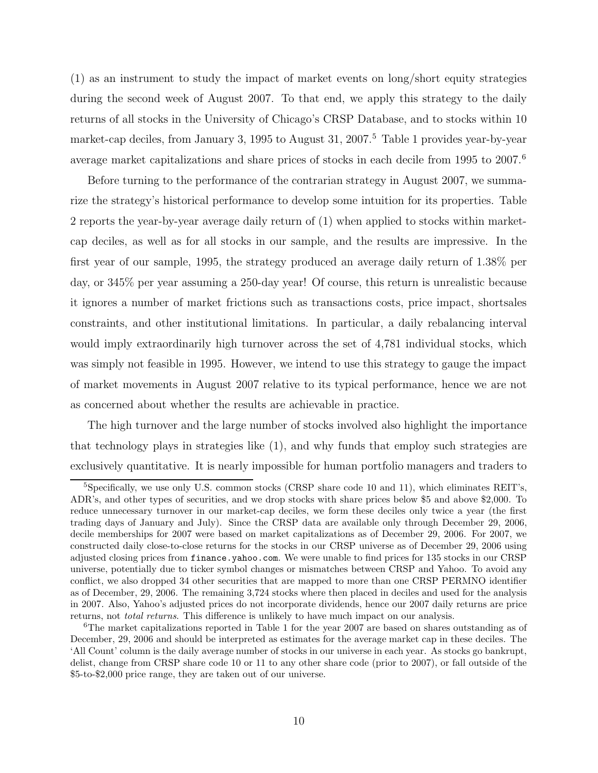(1) as an instrument to study the impact of market events on long/short equity strategies during the second week of August 2007. To that end, we apply this strategy to the daily returns of all stocks in the University of Chicago's CRSP Database, and to stocks within 10 market-cap deciles, from January 3, 1995 to August 31, 2007.<sup>5</sup> Table 1 provides year-by-year average market capitalizations and share prices of stocks in each decile from 1995 to 2007.<sup>6</sup>

Before turning to the performance of the contrarian strategy in August 2007, we summarize the strategy's historical performance to develop some intuition for its properties. Table 2 reports the year-by-year average daily return of (1) when applied to stocks within marketcap deciles, as well as for all stocks in our sample, and the results are impressive. In the first year of our sample, 1995, the strategy produced an average daily return of 1.38% per day, or 345% per year assuming a 250-day year! Of course, this return is unrealistic because it ignores a number of market frictions such as transactions costs, price impact, shortsales constraints, and other institutional limitations. In particular, a daily rebalancing interval would imply extraordinarily high turnover across the set of 4,781 individual stocks, which was simply not feasible in 1995. However, we intend to use this strategy to gauge the impact of market movements in August 2007 relative to its typical performance, hence we are not as concerned about whether the results are achievable in practice.

The high turnover and the large number of stocks involved also highlight the importance that technology plays in strategies like (1), and why funds that employ such strategies are exclusively quantitative. It is nearly impossible for human portfolio managers and traders to

<sup>&</sup>lt;sup>5</sup>Specifically, we use only U.S. common stocks (CRSP share code 10 and 11), which eliminates REIT's, ADR's, and other types of securities, and we drop stocks with share prices below \$5 and above \$2,000. To reduce unnecessary turnover in our market-cap deciles, we form these deciles only twice a year (the first trading days of January and July). Since the CRSP data are available only through December 29, 2006, decile memberships for 2007 were based on market capitalizations as of December 29, 2006. For 2007, we constructed daily close-to-close returns for the stocks in our CRSP universe as of December 29, 2006 using adjusted closing prices from finance.yahoo.com. We were unable to find prices for 135 stocks in our CRSP universe, potentially due to ticker symbol changes or mismatches between CRSP and Yahoo. To avoid any conflict, we also dropped 34 other securities that are mapped to more than one CRSP PERMNO identifier as of December, 29, 2006. The remaining 3,724 stocks where then placed in deciles and used for the analysis in 2007. Also, Yahoo's adjusted prices do not incorporate dividends, hence our 2007 daily returns are price returns, not total returns. This difference is unlikely to have much impact on our analysis.

<sup>6</sup>The market capitalizations reported in Table 1 for the year 2007 are based on shares outstanding as of December, 29, 2006 and should be interpreted as estimates for the average market cap in these deciles. The 'All Count' column is the daily average number of stocks in our universe in each year. As stocks go bankrupt, delist, change from CRSP share code 10 or 11 to any other share code (prior to 2007), or fall outside of the \$5-to-\$2,000 price range, they are taken out of our universe.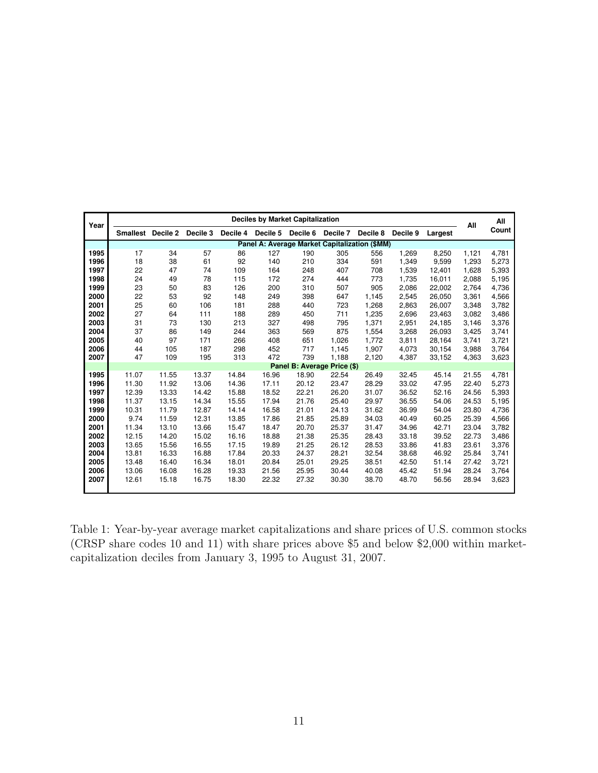| Year |                                           |                        |          |          | <b>Deciles by Market Capitalization</b>       |                             |                     |          |          |         | All   | All   |
|------|-------------------------------------------|------------------------|----------|----------|-----------------------------------------------|-----------------------------|---------------------|----------|----------|---------|-------|-------|
|      | <b>Smallest</b>                           | Decile 2               | Decile 3 | Decile 4 | Decile 5                                      | Decile 6                    | Decile <sub>7</sub> | Decile 8 | Decile 9 | Largest |       | Count |
|      |                                           |                        |          |          | Panel A: Average Market Capitalization (\$MM) |                             |                     |          |          |         |       |       |
| 1995 | 17                                        | 34                     | 57       | 86       | 127                                           | 190                         | 305                 | 556      | 1.269    | 8.250   | 1.121 | 4.781 |
| 1996 | 18                                        | 38                     | 61       | 92       | 140                                           | 210                         | 334                 | 591      | 1.349    | 9.599   | 1.293 | 5,273 |
| 1997 | 22                                        | 47                     | 74       | 109      | 164                                           | 248                         | 407                 | 708      | 1,539    | 12.401  | 1,628 | 5,393 |
| 1998 | 24                                        | 78<br>49<br>115<br>172 |          |          |                                               | 274                         | 444                 | 773      | 1.735    | 16.011  | 2,088 | 5,195 |
| 1999 | 23                                        | 50                     | 83       | 126      | 200                                           | 310                         | 507                 | 905      | 2.086    | 22.002  | 2.764 | 4.736 |
| 2000 | 22                                        | 53                     | 92       | 148      | 249                                           | 398                         | 647                 | 1,145    | 2,545    | 26,050  | 3,361 | 4,566 |
| 2001 | 25                                        | 60                     | 106      | 181      | 288                                           | 440                         | 723                 | 1,268    | 2,863    | 26,007  | 3,348 | 3,782 |
| 2002 | 27                                        | 64                     | 111      | 188      | 289                                           | 450                         | 711                 | 1,235    | 2,696    | 23,463  | 3,082 | 3,486 |
| 2003 | 31                                        | 73                     | 130      | 213      | 327                                           | 498                         | 795                 | 1,371    | 2,951    | 24,185  | 3,146 | 3,376 |
| 2004 | 37                                        | 86                     | 149      | 244      | 363                                           | 569<br>651                  | 875                 | 1,554    | 3,268    | 26,093  | 3,425 | 3,741 |
| 2005 | 40                                        | 97                     | 171      | 266      | 408                                           |                             | 1.026               | 1.772    | 3,811    | 28,164  | 3,741 | 3,721 |
| 2006 | 44                                        | 105                    | 187      | 298      | 452                                           | 717                         | 1,145               | 1.907    | 4,073    | 30,154  | 3,988 | 3,764 |
| 2007 | 47                                        | 109                    | 195      | 313      | 472                                           | 739                         | 1,188               | 2,120    | 4,387    | 33,152  | 4,363 | 3,623 |
|      |                                           |                        |          |          |                                               | Panel B: Average Price (\$) |                     |          |          |         |       |       |
| 1995 | 11.07                                     | 11.55                  | 13.37    | 14.84    | 16.96                                         | 18.90                       | 22.54               | 26.49    | 32.45    | 45.14   | 21.55 | 4.781 |
| 1996 | 11.30                                     | 11.92                  | 13.06    | 14.36    | 17.11                                         | 20.12                       | 23.47               | 28.29    | 33.02    | 47.95   | 22.40 | 5,273 |
| 1997 | 12.39                                     | 13.33                  | 14.42    | 15.88    | 18.52                                         | 22.21                       | 26.20               | 31.07    | 36.52    | 52.16   | 24.56 | 5,393 |
| 1998 | 11.37                                     | 13.15                  | 14.34    | 15.55    | 17.94                                         | 21.76                       | 25.40               | 29.97    | 36.55    | 54.06   | 24.53 | 5,195 |
| 1999 | 10.31                                     | 11.79                  | 12.87    | 14.14    | 16.58                                         | 21.01                       | 24.13               | 31.62    | 36.99    | 54.04   | 23.80 | 4,736 |
| 2000 | 9.74                                      | 11.59                  | 12.31    | 13.85    | 17.86                                         | 21.85                       | 25.89               | 34.03    | 40.49    | 60.25   | 25.39 | 4,566 |
| 2001 | 11.34                                     | 13.10                  | 13.66    | 15.47    | 18.47                                         | 20.70                       | 25.37               | 31.47    | 34.96    | 42.71   | 23.04 | 3,782 |
| 2002 | 12.15                                     | 14.20                  | 15.02    | 16.16    | 18.88                                         | 21.38                       | 25.35               | 28.43    | 33.18    | 39.52   | 22.73 | 3,486 |
| 2003 | 13.65                                     | 15.56                  | 16.55    | 17.15    | 19.89                                         | 21.25                       | 26.12               | 28.53    | 33.86    | 41.83   | 23.61 | 3,376 |
| 2004 | 13.81                                     | 16.33                  | 16.88    | 17.84    | 20.33                                         | 24.37                       | 28.21               | 32.54    | 38.68    | 46.92   | 25.84 | 3,741 |
| 2005 | 13.48                                     | 16.40                  | 16.34    | 18.01    | 20.84                                         | 25.01                       | 29.25               | 38.51    | 42.50    | 51.14   | 27.42 | 3,721 |
| 2006 | 13.06                                     | 16.08                  | 16.28    | 19.33    | 21.56                                         | 25.95                       | 30.44               | 40.08    | 45.42    | 51.94   | 28.24 | 3,764 |
| 2007 | 12.61<br>15.18<br>16.75<br>18.30<br>22.32 |                        |          | 27.32    | 30.30                                         | 38.70                       | 48.70               | 56.56    | 28.94    | 3,623   |       |       |
|      |                                           |                        |          |          |                                               |                             |                     |          |          |         |       |       |

Table 1: Year-by-year average market capitalizations and share prices of U.S. common stocks (CRSP share codes 10 and 11) with share prices above \$5 and below \$2,000 within marketcapitalization deciles from January 3, 1995 to August 31, 2007.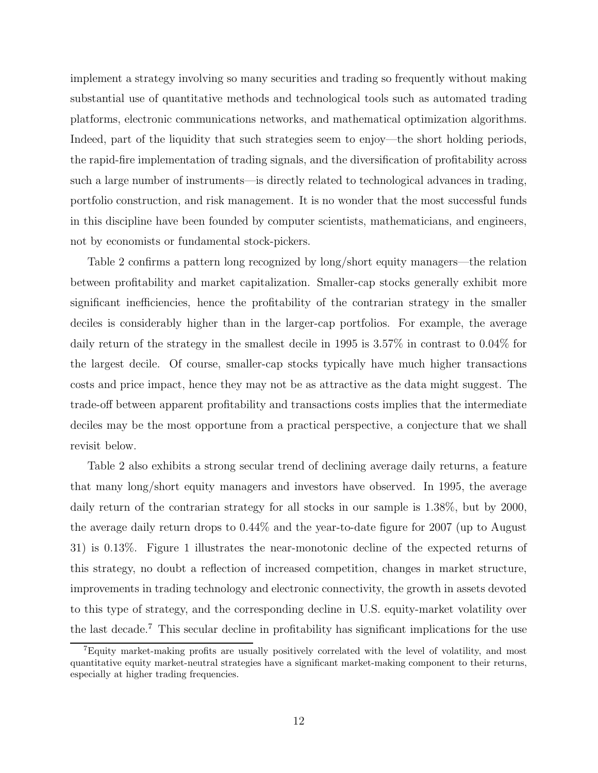implement a strategy involving so many securities and trading so frequently without making substantial use of quantitative methods and technological tools such as automated trading platforms, electronic communications networks, and mathematical optimization algorithms. Indeed, part of the liquidity that such strategies seem to enjoy—the short holding periods, the rapid-fire implementation of trading signals, and the diversification of profitability across such a large number of instruments—is directly related to technological advances in trading, portfolio construction, and risk management. It is no wonder that the most successful funds in this discipline have been founded by computer scientists, mathematicians, and engineers, not by economists or fundamental stock-pickers.

Table 2 confirms a pattern long recognized by long/short equity managers—the relation between profitability and market capitalization. Smaller-cap stocks generally exhibit more significant inefficiencies, hence the profitability of the contrarian strategy in the smaller deciles is considerably higher than in the larger-cap portfolios. For example, the average daily return of the strategy in the smallest decile in 1995 is 3.57% in contrast to 0.04% for the largest decile. Of course, smaller-cap stocks typically have much higher transactions costs and price impact, hence they may not be as attractive as the data might suggest. The trade-off between apparent profitability and transactions costs implies that the intermediate deciles may be the most opportune from a practical perspective, a conjecture that we shall revisit below.

Table 2 also exhibits a strong secular trend of declining average daily returns, a feature that many long/short equity managers and investors have observed. In 1995, the average daily return of the contrarian strategy for all stocks in our sample is 1.38%, but by 2000, the average daily return drops to 0.44% and the year-to-date figure for 2007 (up to August 31) is 0.13%. Figure 1 illustrates the near-monotonic decline of the expected returns of this strategy, no doubt a reflection of increased competition, changes in market structure, improvements in trading technology and electronic connectivity, the growth in assets devoted to this type of strategy, and the corresponding decline in U.S. equity-market volatility over the last decade.<sup>7</sup> This secular decline in profitability has significant implications for the use

<sup>7</sup>Equity market-making profits are usually positively correlated with the level of volatility, and most quantitative equity market-neutral strategies have a significant market-making component to their returns, especially at higher trading frequencies.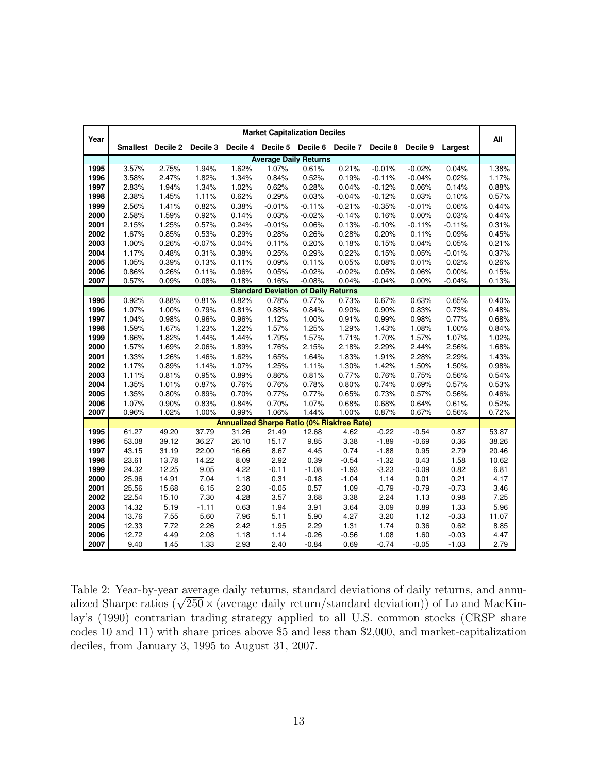| Year |                                            |                     |           |          | <b>Market Capitalization Deciles</b>              |                     |                     |          |           |           | All   |  |  |
|------|--------------------------------------------|---------------------|-----------|----------|---------------------------------------------------|---------------------|---------------------|----------|-----------|-----------|-------|--|--|
|      | <b>Smallest</b>                            | Decile <sub>2</sub> | Decile 3  | Decile 4 | Decile 5                                          | Decile <sub>6</sub> | Decile <sub>7</sub> | Decile 8 | Decile 9  | Largest   |       |  |  |
|      |                                            |                     |           |          | <b>Average Daily Returns</b>                      |                     |                     |          |           |           |       |  |  |
| 1995 | 3.57%                                      | 2.75%               | 1.94%     | 1.62%    | 1.07%                                             | 0.61%               | 0.21%               | $-0.01%$ | $-0.02%$  | 0.04%     | 1.38% |  |  |
| 1996 | 3.58%                                      | 2.47%               | 1.82%     | 1.34%    | 0.84%                                             | 0.52%               | 0.19%               | $-0.11%$ | $-0.04%$  | 0.02%     | 1.17% |  |  |
| 1997 | 2.83%                                      | 1.94%               | 1.34%     | 1.02%    | 0.62%                                             | 0.28%               | 0.04%               | $-0.12%$ | 0.06%     | 0.14%     | 0.88% |  |  |
| 1998 | 2.38%                                      | 1.45%               | 1.11%     | 0.62%    | 0.29%                                             | 0.03%               | $-0.04%$            | $-0.12%$ | 0.03%     | 0.10%     | 0.57% |  |  |
| 1999 | 2.56%                                      | 1.41%               | 0.82%     | 0.38%    | $-0.01%$                                          | $-0.11%$            | $-0.21%$            | $-0.35%$ | $-0.01%$  | 0.06%     | 0.44% |  |  |
| 2000 | 2.58%                                      | 1.59%               | 0.92%     | 0.14%    | 0.03%                                             | $-0.02%$            | $-0.14%$            | 0.16%    | 0.00%     | 0.03%     | 0.44% |  |  |
| 2001 | 2.15%                                      | 1.25%               | 0.57%     | 0.24%    | $-0.01%$                                          | 0.06%               | 0.13%               | $-0.10%$ | $-0.11\%$ | $-0.11\%$ | 0.31% |  |  |
| 2002 | 1.67%                                      | 0.85%               | 0.53%     | 0.29%    | 0.28%                                             | 0.26%               | 0.28%               | 0.20%    | 0.11%     | 0.09%     | 0.45% |  |  |
| 2003 | 1.00%                                      | 0.26%               | $-0.07\%$ | 0.04%    | 0.11%                                             | 0.20%               | 0.18%               | 0.15%    | 0.04%     | 0.05%     | 0.21% |  |  |
| 2004 | 1.17%                                      | 0.48%               | 0.31%     | 0.38%    | 0.25%                                             | 0.29%               | 0.22%               | 0.15%    | 0.05%     | $-0.01%$  | 0.37% |  |  |
| 2005 | 1.05%                                      | 0.39%               | 0.13%     | 0.11%    | 0.09%                                             | 0.11%               | 0.05%               | 0.08%    | 0.01%     | 0.02%     | 0.26% |  |  |
| 2006 | 0.86%                                      | 0.26%               | 0.11%     | 0.06%    | 0.05%                                             | $-0.02%$            | $-0.02%$            | 0.05%    | 0.06%     | 0.00%     | 0.15% |  |  |
| 2007 | 0.57%                                      | 0.09%               | 0.08%     | 0.18%    | 0.16%                                             | $-0.08%$            | 0.04%               | $-0.04%$ | $0.00\%$  | $-0.04%$  | 0.13% |  |  |
|      | <b>Standard Deviation of Daily Returns</b> |                     |           |          |                                                   |                     |                     |          |           |           |       |  |  |
| 1995 | 0.92%                                      | 0.88%               | 0.81%     | 0.82%    | 0.78%                                             | 0.77%               | 0.73%               | 0.67%    | 0.63%     | 0.65%     | 0.40% |  |  |
| 1996 | 1.07%                                      | 1.00%               | 0.79%     | 0.81%    | 0.88%                                             | 0.84%               | 0.90%               | 0.90%    | 0.83%     | 0.73%     | 0.48% |  |  |
| 1997 | 1.04%                                      | 0.98%               | 0.96%     | 0.96%    | 1.12%                                             | 1.00%               | 0.91%               | 0.99%    | 0.98%     | 0.77%     | 0.68% |  |  |
| 1998 | 1.59%                                      | 1.67%               | 1.23%     | 1.22%    | 1.57%                                             | 1.25%               | 1.29%               | 1.43%    | 1.08%     | 1.00%     | 0.84% |  |  |
| 1999 | 1.66%                                      | 1.82%               | 1.44%     | 1.44%    | 1.79%                                             | 1.57%               | 1.71%               | 1.70%    | 1.57%     | 1.07%     | 1.02% |  |  |
| 2000 | 1.57%                                      | 1.69%               | 2.06%     | 1.89%    | 1.76%                                             | 2.15%               | 2.18%               | 2.29%    | 2.44%     | 2.56%     | 1.68% |  |  |
| 2001 | 1.33%                                      | 1.26%               | 1.46%     | 1.62%    | 1.65%                                             | 1.64%               | 1.83%               | 1.91%    | 2.28%     | 2.29%     | 1.43% |  |  |
| 2002 | 1.17%                                      | 0.89%               | 1.14%     | 1.07%    | 1.25%                                             | 1.11%               | 1.30%               | 1.42%    | 1.50%     | 1.50%     | 0.98% |  |  |
| 2003 | 1.11%                                      | 0.81%               | 0.95%     | 0.89%    | 0.86%                                             | 0.81%               | 0.77%               | 0.76%    | 0.75%     | 0.56%     | 0.54% |  |  |
| 2004 | 1.35%                                      | 1.01%               | 0.87%     | 0.76%    | 0.76%                                             | 0.78%               | 0.80%               | 0.74%    | 0.69%     | 0.57%     | 0.53% |  |  |
| 2005 | 1.35%                                      | 0.80%               | 0.89%     | 0.70%    | 0.77%                                             | 0.77%               | 0.65%               | 0.73%    | 0.57%     | 0.56%     | 0.46% |  |  |
| 2006 | 1.07%                                      | 0.90%               | 0.83%     | 0.84%    | 0.70%                                             | 1.07%               | 0.68%               | 0.68%    | 0.64%     | 0.61%     | 0.52% |  |  |
| 2007 | 0.96%                                      | 1.02%               | 1.00%     | 0.99%    | 1.06%                                             | 1.44%               | 1.00%               | 0.87%    | 0.67%     | 0.56%     | 0.72% |  |  |
|      |                                            |                     |           |          | <b>Annualized Sharpe Ratio (0% Riskfree Rate)</b> |                     |                     |          |           |           |       |  |  |
| 1995 | 61.27                                      | 49.20               | 37.79     | 31.26    | 21.49                                             | 12.68               | 4.62                | $-0.22$  | $-0.54$   | 0.87      | 53.87 |  |  |
| 1996 | 53.08                                      | 39.12               | 36.27     | 26.10    | 15.17                                             | 9.85                | 3.38                | $-1.89$  | $-0.69$   | 0.36      | 38.26 |  |  |
| 1997 | 43.15                                      | 31.19               | 22.00     | 16.66    | 8.67                                              | 4.45                | 0.74                | $-1.88$  | 0.95      | 2.79      | 20.46 |  |  |
| 1998 | 23.61                                      | 13.78               | 14.22     | 8.09     | 2.92                                              | 0.39                | $-0.54$             | $-1.32$  | 0.43      | 1.58      | 10.62 |  |  |
| 1999 | 24.32                                      | 12.25               | 9.05      | 4.22     | $-0.11$                                           | $-1.08$             | $-1.93$             | $-3.23$  | $-0.09$   | 0.82      | 6.81  |  |  |
| 2000 | 25.96                                      | 14.91               | 7.04      | 1.18     | 0.31                                              | $-0.18$             | $-1.04$             | 1.14     | 0.01      | 0.21      | 4.17  |  |  |
| 2001 | 25.56                                      | 15.68               | 6.15      | 2.30     | $-0.05$                                           | 0.57                | 1.09                | $-0.79$  | $-0.79$   | $-0.73$   | 3.46  |  |  |
| 2002 | 22.54                                      | 15.10               | 7.30      | 4.28     | 3.57                                              | 3.68                | 3.38                | 2.24     | 1.13      | 0.98      | 7.25  |  |  |
| 2003 | 14.32                                      | 5.19                | $-1.11$   | 0.63     | 1.94                                              | 3.91                | 3.64                | 3.09     | 0.89      | 1.33      | 5.96  |  |  |
| 2004 | 13.76                                      | 7.55                | 5.60      | 7.96     | 5.11                                              | 5.90                | 4.27                | 3.20     | 1.12      | $-0.33$   | 11.07 |  |  |
| 2005 | 12.33                                      | 7.72                | 2.26      | 2.42     | 1.95                                              | 2.29                | 1.31                | 1.74     | 0.36      | 0.62      | 8.85  |  |  |
| 2006 | 12.72<br>4.49<br>1.18<br>2.08              |                     |           | 1.14     | $-0.26$                                           | $-0.56$             | 1.08                | 1.60     | $-0.03$   | 4.47      |       |  |  |
| 2007 | 9.40                                       | 1.45                | 1.33      | 2.93     | 2.40                                              | $-0.84$             | 0.69                | $-0.74$  | $-0.05$   | $-1.03$   | 2.79  |  |  |

Table 2: Year-by-year average daily returns, standard deviations of daily returns, and annualized Sharpe ratios  $(\sqrt{250} \times (\text{average daily return/standard deviation}))$  of Lo and MacKinlay's (1990) contrarian trading strategy applied to all U.S. common stocks (CRSP share codes 10 and 11) with share prices above \$5 and less than \$2,000, and market-capitalization deciles, from January 3, 1995 to August 31, 2007.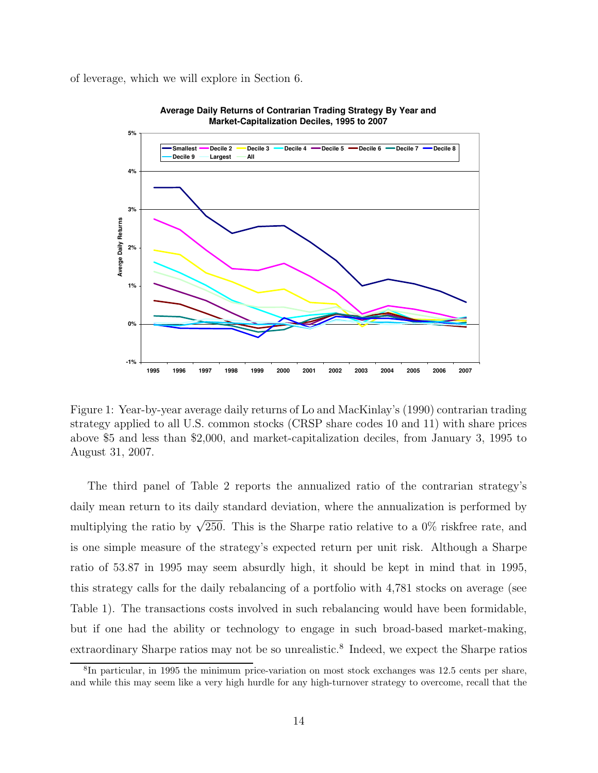of leverage, which we will explore in Section 6.



**Average Daily Returns of Contrarian Trading Strategy By Year and Market-Capitalization Deciles, 1995 to 2007**

Figure 1: Year-by-year average daily returns of Lo and MacKinlay's (1990) contrarian trading strategy applied to all U.S. common stocks (CRSP share codes 10 and 11) with share prices above \$5 and less than \$2,000, and market-capitalization deciles, from January 3, 1995 to August 31, 2007.

The third panel of Table 2 reports the annualized ratio of the contrarian strategy's daily mean return to its daily standard deviation, where the annualization is performed by multiplying the ratio by  $\sqrt{250}$ . This is the Sharpe ratio relative to a 0% riskfree rate, and is one simple measure of the strategy's expected return per unit risk. Although a Sharpe ratio of 53.87 in 1995 may seem absurdly high, it should be kept in mind that in 1995, this strategy calls for the daily rebalancing of a portfolio with 4,781 stocks on average (see Table 1). The transactions costs involved in such rebalancing would have been formidable, but if one had the ability or technology to engage in such broad-based market-making, extraordinary Sharpe ratios may not be so unrealistic.<sup>8</sup> Indeed, we expect the Sharpe ratios

<sup>8</sup> In particular, in 1995 the minimum price-variation on most stock exchanges was 12.5 cents per share, and while this may seem like a very high hurdle for any high-turnover strategy to overcome, recall that the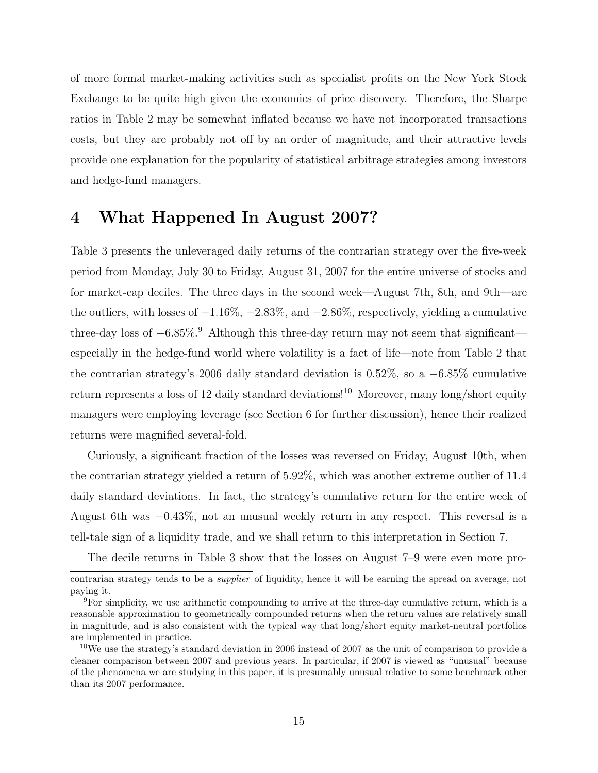of more formal market-making activities such as specialist profits on the New York Stock Exchange to be quite high given the economics of price discovery. Therefore, the Sharpe ratios in Table 2 may be somewhat inflated because we have not incorporated transactions costs, but they are probably not off by an order of magnitude, and their attractive levels provide one explanation for the popularity of statistical arbitrage strategies among investors and hedge-fund managers.

#### 4 What Happened In August 2007?

Table 3 presents the unleveraged daily returns of the contrarian strategy over the five-week period from Monday, July 30 to Friday, August 31, 2007 for the entire universe of stocks and for market-cap deciles. The three days in the second week—August 7th, 8th, and 9th—are the outliers, with losses of  $-1.16\%, -2.83\%, \text{ and } -2.86\%, \text{ respectively, yielding a cumulative}$ three-day loss of  $-6.85\%$ .<sup>9</sup> Although this three-day return may not seem that significant especially in the hedge-fund world where volatility is a fact of life—note from Table 2 that the contrarian strategy's 2006 daily standard deviation is  $0.52\%$ , so a  $-6.85\%$  cumulative return represents a loss of 12 daily standard deviations!<sup>10</sup> Moreover, many long/short equity managers were employing leverage (see Section 6 for further discussion), hence their realized returns were magnified several-fold.

Curiously, a significant fraction of the losses was reversed on Friday, August 10th, when the contrarian strategy yielded a return of 5.92%, which was another extreme outlier of 11.4 daily standard deviations. In fact, the strategy's cumulative return for the entire week of August 6th was −0.43%, not an unusual weekly return in any respect. This reversal is a tell-tale sign of a liquidity trade, and we shall return to this interpretation in Section 7.

The decile returns in Table 3 show that the losses on August 7–9 were even more procontrarian strategy tends to be a *supplier* of liquidity, hence it will be earning the spread on average, not

paying it. <sup>9</sup>For simplicity, we use arithmetic compounding to arrive at the three-day cumulative return, which is a reasonable approximation to geometrically compounded returns when the return values are relatively small in magnitude, and is also consistent with the typical way that long/short equity market-neutral portfolios are implemented in practice.

<sup>&</sup>lt;sup>10</sup>We use the strategy's standard deviation in 2006 instead of 2007 as the unit of comparison to provide a cleaner comparison between 2007 and previous years. In particular, if 2007 is viewed as "unusual" because of the phenomena we are studying in this paper, it is presumably unusual relative to some benchmark other than its 2007 performance.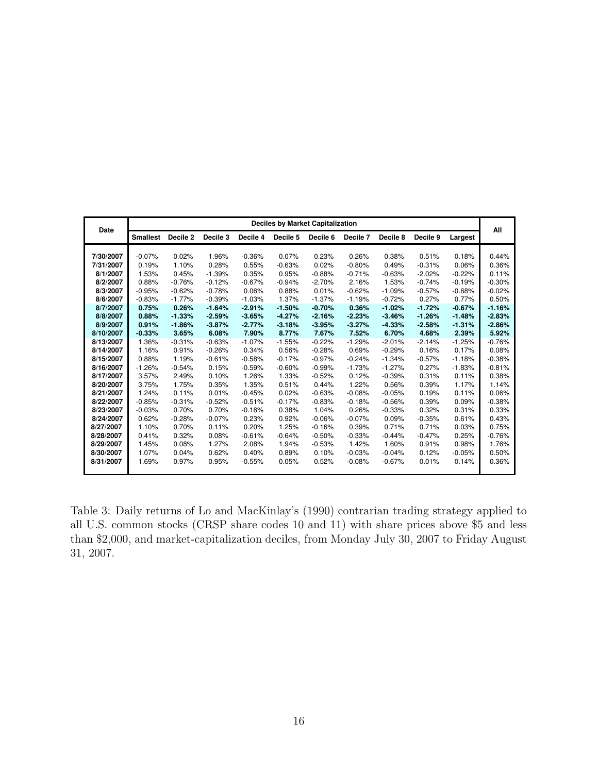|           |                 |          |          |          | <b>Deciles by Market Capitalization</b> |                     |                     |          |          |          |          |
|-----------|-----------------|----------|----------|----------|-----------------------------------------|---------------------|---------------------|----------|----------|----------|----------|
| Date      | <b>Smallest</b> | Decile 2 | Decile 3 | Decile 4 | Decile 5                                | Decile <sub>6</sub> | Decile <sub>7</sub> | Decile 8 | Decile 9 | Largest  | All      |
|           |                 |          |          |          |                                         |                     |                     |          |          |          |          |
| 7/30/2007 | $-0.07%$        | 0.02%    | 1.96%    | $-0.36%$ | 0.07%                                   | 0.23%               | 0.26%               | 0.38%    | 0.51%    | 0.18%    | 0.44%    |
| 7/31/2007 | 0.19%           | 1.10%    | 0.28%    | 0.55%    | $-0.63%$                                | 0.02%               | $-0.80%$            | 0.49%    | $-0.31%$ | 0.06%    | 0.36%    |
| 8/1/2007  | 1.53%           | 0.45%    | $-1.39%$ | 0.35%    | 0.95%                                   | $-0.88%$            | $-0.71%$            | $-0.63%$ | $-2.02%$ | $-0.22%$ | 0.11%    |
| 8/2/2007  | 0.88%           | $-0.76%$ | $-0.12%$ | $-0.67%$ | $-0.94%$                                | $-2.70%$            | 2.16%               | 1.53%    | $-0.74%$ | $-0.19%$ | $-0.30%$ |
| 8/3/2007  | $-0.95%$        | $-0.62%$ | $-0.78%$ | 0.06%    | 0.88%                                   | 0.01%               | $-0.62%$            | $-1.09%$ | $-0.57%$ | $-0.68%$ | $-0.02%$ |
| 8/6/2007  | $-0.83%$        | $-1.77%$ | $-0.39%$ | $-1.03%$ | 1.37%                                   | $-1.37%$            | $-1.19%$            | $-0.72%$ | 0.27%    | 0.77%    | 0.50%    |
| 8/7/2007  | 0.75%           | 0.26%    | $-1.64%$ | $-2.91%$ | $-1.50%$                                | $-0.70%$            | 0.36%               | $-1.02%$ | $-1.72%$ | $-0.67%$ | $-1.16%$ |
| 8/8/2007  | 0.88%           | $-1.33%$ | $-2.59%$ | $-3.65%$ | $-4.27%$                                | $-2.16%$            | $-2.23%$            | $-3.46%$ | $-1.26%$ | $-1.48%$ | $-2.83%$ |
| 8/9/2007  | 0.91%           | $-1.86%$ | $-3.87%$ | $-2.77%$ | $-3.18%$                                | $-3.95%$            | $-3.27%$            | $-4.33%$ | $-2.58%$ | $-1.31%$ | $-2.86%$ |
| 8/10/2007 | $-0.33%$        | 3.65%    | 6.08%    | 7.90%    | 8.77%                                   | 7.67%               | 7.52%               | 6.70%    | 4.68%    | 2.39%    | 5.92%    |
| 8/13/2007 | 1.36%           | $-0.31%$ | $-0.63%$ | $-1.07%$ | $-1.55%$                                | $-0.22%$            | $-1.29%$            | $-2.01%$ | $-2.14%$ | $-1.25%$ | $-0.76%$ |
| 8/14/2007 | 1.16%           | 0.91%    | $-0.26%$ | 0.34%    | 0.56%                                   | $-0.28%$            | 0.69%               | $-0.29%$ | 0.16%    | 0.17%    | 0.08%    |
| 8/15/2007 | 0.88%           | 1.19%    | $-0.61%$ | $-0.58%$ | $-0.17%$                                | $-0.97%$            | $-0.24%$            | $-1.34%$ | $-0.57%$ | $-1.18%$ | $-0.38%$ |
| 8/16/2007 | $-1.26%$        | $-0.54%$ | 0.15%    | $-0.59%$ | $-0.60%$                                | $-0.99%$            | $-1.73%$            | $-1.27%$ | 0.27%    | $-1.83%$ | $-0.81%$ |
| 8/17/2007 | 3.57%           | 2.49%    | 0.10%    | 1.26%    | 1.33%                                   | $-0.52%$            | 0.12%               | $-0.39%$ | 0.31%    | 0.11%    | 0.38%    |
| 8/20/2007 | 3.75%           | 1.75%    | 0.35%    | 1.35%    | 0.51%                                   | 0.44%               | 1.22%               | 0.56%    | 0.39%    | 1.17%    | 1.14%    |
| 8/21/2007 | 1.24%           | 0.11%    | 0.01%    | $-0.45%$ | 0.02%                                   | $-0.63%$            | $-0.08%$            | $-0.05%$ | 0.19%    | 0.11%    | 0.06%    |
| 8/22/2007 | $-0.85%$        | $-0.31%$ | $-0.52%$ | $-0.51%$ | $-0.17%$                                | $-0.83%$            | $-0.18%$            | $-0.56%$ | 0.39%    | 0.09%    | $-0.38%$ |
| 8/23/2007 | $-0.03%$        | 0.70%    | 0.70%    | $-0.16%$ | 0.38%                                   | 1.04%               | 0.26%               | $-0.33%$ | 0.32%    | 0.31%    | 0.33%    |
| 8/24/2007 | 0.62%           | $-0.28%$ | $-0.07%$ | 0.23%    | 0.92%                                   | $-0.06%$            | $-0.07%$            | 0.09%    | $-0.35%$ | 0.61%    | 0.43%    |
| 8/27/2007 | 1.10%           | 0.70%    | 0.11%    | 0.20%    | 1.25%                                   | $-0.16%$            | 0.39%               | 0.71%    | 0.71%    | 0.03%    | 0.75%    |
| 8/28/2007 | 0.41%           | 0.32%    | 0.08%    | $-0.61%$ | $-0.64%$                                | $-0.50%$            | $-0.33%$            | $-0.44%$ | $-0.47%$ | 0.25%    | $-0.76%$ |
| 8/29/2007 | 1.45%           | 0.08%    | 1.27%    | 2.08%    | 1.94%                                   | $-0.53%$            | 1.42%               | 1.60%    | 0.91%    | 0.98%    | 1.76%    |
| 8/30/2007 | 1.07%           | 0.04%    | 0.62%    | 0.40%    | 0.89%                                   | 0.10%               | $-0.03%$            | $-0.04%$ | 0.12%    | $-0.05%$ | 0.50%    |
| 8/31/2007 | 1.69%           | 0.97%    | 0.95%    | $-0.55%$ | 0.05%                                   | 0.52%               | $-0.08%$            | $-0.67%$ | 0.01%    | 0.14%    | 0.36%    |
|           |                 |          |          |          |                                         |                     |                     |          |          |          |          |

Table 3: Daily returns of Lo and MacKinlay's (1990) contrarian trading strategy applied to all U.S. common stocks (CRSP share codes 10 and 11) with share prices above \$5 and less than \$2,000, and market-capitalization deciles, from Monday July 30, 2007 to Friday August 31, 2007.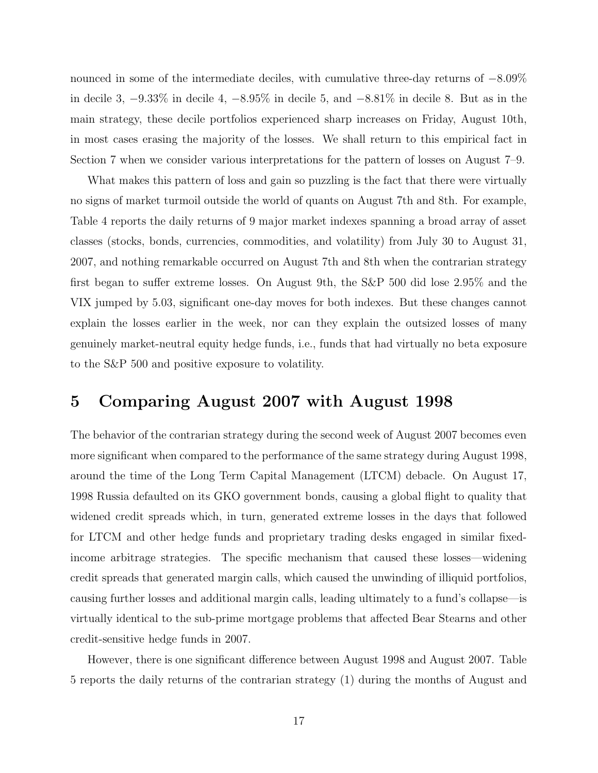nounced in some of the intermediate deciles, with cumulative three-day returns of −8.09% in decile 3, −9.33% in decile 4, −8.95% in decile 5, and −8.81% in decile 8. But as in the main strategy, these decile portfolios experienced sharp increases on Friday, August 10th, in most cases erasing the majority of the losses. We shall return to this empirical fact in Section 7 when we consider various interpretations for the pattern of losses on August 7–9.

What makes this pattern of loss and gain so puzzling is the fact that there were virtually no signs of market turmoil outside the world of quants on August 7th and 8th. For example, Table 4 reports the daily returns of 9 major market indexes spanning a broad array of asset classes (stocks, bonds, currencies, commodities, and volatility) from July 30 to August 31, 2007, and nothing remarkable occurred on August 7th and 8th when the contrarian strategy first began to suffer extreme losses. On August 9th, the S&P 500 did lose 2.95% and the VIX jumped by 5.03, significant one-day moves for both indexes. But these changes cannot explain the losses earlier in the week, nor can they explain the outsized losses of many genuinely market-neutral equity hedge funds, i.e., funds that had virtually no beta exposure to the S&P 500 and positive exposure to volatility.

#### 5 Comparing August 2007 with August 1998

The behavior of the contrarian strategy during the second week of August 2007 becomes even more significant when compared to the performance of the same strategy during August 1998, around the time of the Long Term Capital Management (LTCM) debacle. On August 17, 1998 Russia defaulted on its GKO government bonds, causing a global flight to quality that widened credit spreads which, in turn, generated extreme losses in the days that followed for LTCM and other hedge funds and proprietary trading desks engaged in similar fixedincome arbitrage strategies. The specific mechanism that caused these losses—widening credit spreads that generated margin calls, which caused the unwinding of illiquid portfolios, causing further losses and additional margin calls, leading ultimately to a fund's collapse—is virtually identical to the sub-prime mortgage problems that affected Bear Stearns and other credit-sensitive hedge funds in 2007.

However, there is one significant difference between August 1998 and August 2007. Table 5 reports the daily returns of the contrarian strategy (1) during the months of August and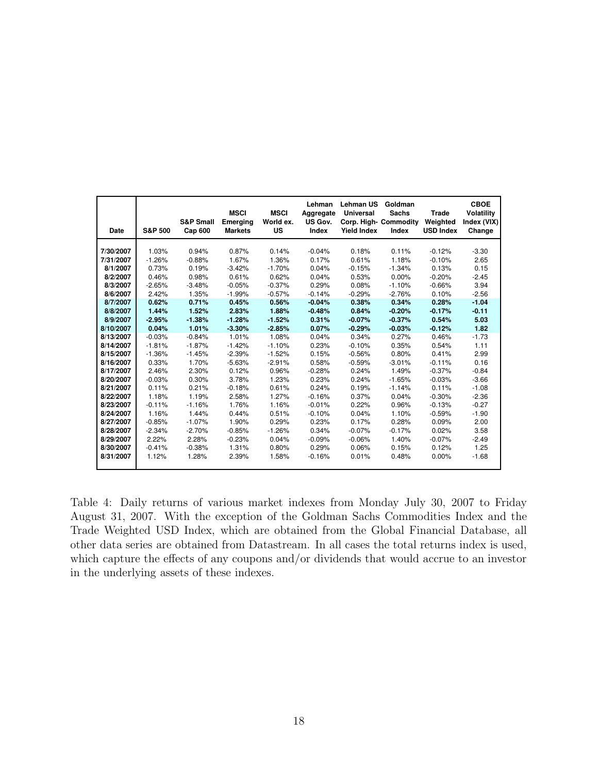| Date      | <b>S&amp;P 500</b> | <b>S&amp;P Small</b><br><b>Cap 600</b> | <b>MSCI</b><br><b>Emerging</b><br><b>Markets</b> | <b>MSCI</b><br>World ex.<br>US | Lehman<br>Aggregate<br>US Gov.<br>Index | Lehman US<br>Universal<br><b>Yield Index</b> | Goldman<br><b>Sachs</b><br>Corp. High- Commodity<br>Index | Trade<br>Weighted<br><b>USD Index</b> | <b>CBOE</b><br><b>Volatility</b><br>Index (VIX)<br>Change |
|-----------|--------------------|----------------------------------------|--------------------------------------------------|--------------------------------|-----------------------------------------|----------------------------------------------|-----------------------------------------------------------|---------------------------------------|-----------------------------------------------------------|
| 7/30/2007 | 1.03%              | 0.94%                                  | 0.87%                                            | 0.14%                          | $-0.04%$                                | 0.18%                                        | 0.11%                                                     | $-0.12%$                              | $-3.30$                                                   |
| 7/31/2007 | $-1.26%$           | $-0.88%$                               | 1.67%                                            | 1.36%                          | 0.17%                                   | 0.61%                                        | 1.18%                                                     | $-0.10%$                              | 2.65                                                      |
| 8/1/2007  | 0.73%              | 0.19%                                  | $-3.42%$                                         | $-1.70%$                       | 0.04%                                   | $-0.15%$                                     | $-1.34%$                                                  | 0.13%                                 | 0.15                                                      |
| 8/2/2007  | 0.46%              | 0.98%                                  | 0.61%                                            | 0.62%                          | 0.04%                                   | 0.53%                                        | $0.00\%$                                                  | $-0.20%$                              | $-2.45$                                                   |
| 8/3/2007  | $-2.65%$           | $-3.48%$                               | $-0.05%$                                         | $-0.37%$                       | 0.29%                                   | 0.08%                                        | $-1.10%$                                                  | $-0.66%$                              | 3.94                                                      |
| 8/6/2007  | 2.42%              | 1.35%                                  | $-1.99%$                                         | $-0.57%$                       | $-0.14%$                                | $-0.29%$                                     | $-2.76%$                                                  | 0.10%                                 | $-2.56$                                                   |
| 8/7/2007  | 0.62%              | 0.71%                                  | 0.45%                                            | 0.56%                          | $-0.04%$                                | 0.38%                                        | 0.34%                                                     | 0.28%                                 | $-1.04$                                                   |
| 8/8/2007  | 1.44%              | 1.52%                                  | 2.83%                                            | 1.88%                          | $-0.48%$                                | 0.84%                                        | $-0.20%$                                                  | $-0.17%$                              | $-0.11$                                                   |
| 8/9/2007  | $-2.95%$           | $-1.38%$                               | $-1.28%$                                         | $-1.52%$                       | 0.31%                                   | $-0.07%$                                     | $-0.37%$                                                  | 0.54%                                 | 5.03                                                      |
| 8/10/2007 | 0.04%              | 1.01%                                  | $-3.30%$                                         | $-2.85%$                       | 0.07%                                   | $-0.29%$                                     | $-0.03%$                                                  | $-0.12%$                              | 1.82                                                      |
| 8/13/2007 | $-0.03%$           | $-0.84%$                               | 1.01%                                            | 1.08%                          | 0.04%                                   | 0.34%                                        | 0.27%                                                     | 0.46%                                 | $-1.73$                                                   |
| 8/14/2007 | $-1.81%$           | $-1.87%$                               | $-1.42%$                                         | $-1.10%$                       | 0.23%                                   | $-0.10%$                                     | 0.35%                                                     | 0.54%                                 | 1.11                                                      |
| 8/15/2007 | $-1.36%$           | $-1.45%$                               | $-2.39%$                                         | $-1.52%$                       | 0.15%                                   | $-0.56%$                                     | 0.80%                                                     | 0.41%                                 | 2.99                                                      |
| 8/16/2007 | 0.33%              | 1.70%                                  | $-5.63%$                                         | $-2.91%$                       | 0.58%                                   | $-0.59%$                                     | $-3.01%$                                                  | $-0.11%$                              | 0.16                                                      |
| 8/17/2007 | 2.46%              | 2.30%                                  | 0.12%                                            | 0.96%                          | $-0.28%$                                | 0.24%                                        | 1.49%                                                     | $-0.37%$                              | $-0.84$                                                   |
| 8/20/2007 | $-0.03%$           | 0.30%                                  | 3.78%                                            | 1.23%                          | 0.23%                                   | 0.24%                                        | $-1.65%$                                                  | $-0.03%$                              | $-3.66$                                                   |
| 8/21/2007 | 0.11%              | 0.21%                                  | $-0.18%$                                         | 0.61%                          | 0.24%                                   | 0.19%                                        | $-1.14%$                                                  | 0.11%                                 | $-1.08$                                                   |
| 8/22/2007 | 1.18%              | 1.19%                                  | 2.58%                                            | 1.27%                          | $-0.16%$                                | 0.37%                                        | 0.04%                                                     | $-0.30%$                              | $-2.36$                                                   |
| 8/23/2007 | $-0.11%$           | $-1.16%$                               | 1.76%                                            | 1.16%                          | $-0.01%$                                | 0.22%                                        | 0.96%                                                     | $-0.13%$                              | $-0.27$                                                   |
| 8/24/2007 | 1.16%              | 1.44%                                  | 0.44%                                            | 0.51%                          | $-0.10%$                                | 0.04%                                        | 1.10%                                                     | $-0.59%$                              | $-1.90$                                                   |
| 8/27/2007 | $-0.85%$           | $-1.07%$                               | 1.90%                                            | 0.29%                          | 0.23%                                   | 0.17%                                        | 0.28%                                                     | 0.09%                                 | 2.00                                                      |
| 8/28/2007 | $-2.34%$           | $-2.70%$                               | $-0.85%$                                         | $-1.26%$                       | 0.34%                                   | $-0.07%$                                     | $-0.17%$                                                  | 0.02%                                 | 3.58                                                      |
| 8/29/2007 | 2.22%              | 2.28%                                  | $-0.23%$                                         | 0.04%                          | $-0.09%$                                | $-0.06%$                                     | 1.40%                                                     | $-0.07%$                              | $-2.49$                                                   |
| 8/30/2007 | $-0.41%$           | $-0.38%$                               | 1.31%                                            | 0.80%                          | 0.29%                                   | 0.06%                                        | 0.15%                                                     | 0.12%                                 | 1.25                                                      |
| 8/31/2007 | 1.12%              | 1.28%                                  | 2.39%                                            | 1.58%                          | $-0.16%$                                | 0.01%                                        | 0.48%                                                     | 0.00%                                 | $-1.68$                                                   |
|           |                    |                                        |                                                  |                                |                                         |                                              |                                                           |                                       |                                                           |

Table 4: Daily returns of various market indexes from Monday July 30, 2007 to Friday August 31, 2007. With the exception of the Goldman Sachs Commodities Index and the Trade Weighted USD Index, which are obtained from the Global Financial Database, all other data series are obtained from Datastream. In all cases the total returns index is used, which capture the effects of any coupons and/or dividends that would accrue to an investor in the underlying assets of these indexes.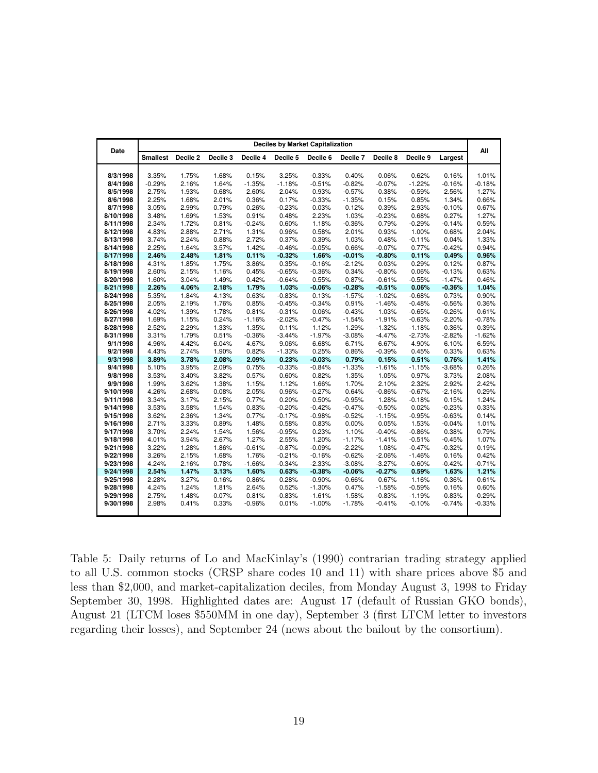| Date                   |                 |                |                     |                |                   | <b>Deciles by Market Capitalization</b> |                      |                      |                   |                   | All               |
|------------------------|-----------------|----------------|---------------------|----------------|-------------------|-----------------------------------------|----------------------|----------------------|-------------------|-------------------|-------------------|
|                        | <b>Smallest</b> | Decile 2       | Decile <sub>3</sub> | Decile 4       | Decile 5          | Decile <sub>6</sub>                     | Decile <sub>7</sub>  | Decile 8             | Decile 9          | Largest           |                   |
| 8/3/1998               | 3.35%           | 1.75%          | 1.68%               | 0.15%          | 3.25%             | $-0.33%$                                | 0.40%                | 0.06%                | 0.62%             | 0.16%             | 1.01%             |
| 8/4/1998               | $-0.29%$        | 2.16%          | 1.64%               | $-1.35%$       | $-1.18%$          | $-0.51%$                                | $-0.82%$             | $-0.07%$             | $-1.22%$          | $-0.16%$          | $-0.18%$          |
| 8/5/1998               | 2.75%           | 1.93%          | 0.68%               | 2.60%          | 2.04%             | 0.93%                                   | $-0.57%$             | 0.38%                | $-0.59%$          | 2.56%             | 1.27%             |
| 8/6/1998               | 2.25%           | 1.68%          | 2.01%               | 0.36%          | 0.17%             | $-0.33%$                                | $-1.35%$             | 0.15%                | 0.85%             | 1.34%             | 0.66%             |
| 8/7/1998               | 3.05%           | 2.99%          | 0.79%               | 0.26%          | $-0.23%$          | 0.03%                                   | 0.12%                | 0.39%                | 2.93%             | $-0.10%$          | 0.67%             |
| 8/10/1998              | 3.48%           | 1.69%          | 1.53%               | 0.91%          | 0.48%             | 2.23%                                   | 1.03%                | $-0.23%$             | 0.68%             | 0.27%             | 1.27%             |
| 8/11/1998              | 2.34%           | 1.72%          | 0.81%               | $-0.24%$       | 0.60%             | 1.18%                                   | $-0.36%$             | 0.79%                | $-0.29%$          | $-0.14%$          | 0.59%             |
| 8/12/1998              | 4.83%           | 2.88%          | 2.71%               | 1.31%          | 0.96%             | 0.58%                                   | 2.01%                | 0.93%                | 1.00%             | 0.68%             | 2.04%             |
| 8/13/1998              | 3.74%           | 2.24%          | 0.88%               | 2.72%          | 0.37%             | 0.39%                                   | 1.03%                | 0.48%                | $-0.11%$          | 0.04%             | 1.33%             |
| 8/14/1998              | 2.25%           | 1.64%          | 3.57%               | 1.42%          | $-0.46%$          | $-0.05%$                                | 0.66%                | $-0.07%$             | 0.77%             | $-0.42%$          | 0.94%             |
| 8/17/1998              | 2.46%           | 2.48%          | 1.81%               | 0.11%          | $-0.32%$          | 1.66%                                   | $-0.01%$             | $-0.80%$             | 0.11%             | 0.49%             | 0.96%             |
| 8/18/1998              | 4.31%           | 1.85%          | 1.75%               | 3.86%          | 0.35%             | $-0.16%$                                | $-2.12%$             | 0.03%                | 0.29%             | 0.12%             | 0.87%             |
| 8/19/1998              | 2.60%           | 2.15%          | 1.16%               | 0.45%          | $-0.65%$          | $-0.36%$                                | 0.34%                | $-0.80%$             | 0.06%             | $-0.13%$          | 0.63%             |
| 8/20/1998              | 1.60%           | 3.04%          | 1.49%               | 0.42%          | $-0.64%$          | 0.55%                                   | 0.87%                | $-0.61%$             | $-0.55%$          | $-1.47%$          | 0.46%             |
| 8/21/1998<br>8/24/1998 | 2.26%<br>5.35%  | 4.06%<br>1.84% | 2.18%<br>4.13%      | 1.79%<br>0.63% | 1.03%<br>$-0.83%$ | $-0.06%$<br>0.13%                       | $-0.28%$<br>$-1.57%$ | $-0.51%$<br>$-1.02%$ | 0.06%<br>$-0.68%$ | $-0.36%$<br>0.73% | 1.04%<br>0.90%    |
| 8/25/1998              | 2.05%           | 2.19%          | 1.76%               | 0.85%          | $-0.45%$          | $-0.34%$                                | 0.91%                | $-1.46%$             | $-0.48%$          | $-0.56%$          | 0.36%             |
| 8/26/1998              | 4.02%           | 1.39%          | 1.78%               | 0.81%          | $-0.31%$          | 0.06%                                   | $-0.43%$             | 1.03%                | $-0.65%$          | $-0.26%$          | 0.61%             |
| 8/27/1998              | 1.69%           | 1.15%          | 0.24%               | $-1.16%$       | $-2.02%$          | $-0.47%$                                | $-1.54%$             | $-1.91%$             | $-0.63%$          | $-2.20%$          | $-0.78%$          |
| 8/28/1998              | 2.52%           | 2.29%          | 1.33%               | 1.35%          | 0.11%             | 1.12%                                   | $-1.29%$             | $-1.32%$             | $-1.18%$          | $-0.36%$          | 0.39%             |
| 8/31/1998              | 3.31%           | 1.79%          | 0.51%               | $-0.36%$       | $-3.44%$          | $-1.97%$                                | $-3.08%$             | $-4.47%$             | $-2.73%$          | $-2.82%$          | $-1.62%$          |
| 9/1/1998               | 4.96%           | 4.42%          | 6.04%               | 4.67%          | 9.06%             | 6.68%                                   | 6.71%                | 6.67%                | 4.90%             | 6.10%             | 6.59%             |
| 9/2/1998               | 4.43%           | 2.74%          | 1.90%               | 0.82%          | $-1.33%$          | 0.25%                                   | 0.86%                | $-0.39%$             | 0.45%             | 0.33%             | 0.63%             |
| 9/3/1998               | 3.89%           | 3.78%          | 2.08%               | 2.09%          | 0.23%             | $-0.03%$                                | 0.79%                | 0.15%                | 0.51%             | 0.76%             | 1.41%             |
| 9/4/1998               | 5.10%           | 3.95%          | 2.09%               | 0.75%          | $-0.33%$          | $-0.84%$                                | $-1.33%$             | $-1.61%$             | $-1.15%$          | $-3.68%$          | 0.26%             |
| 9/8/1998               | 3.53%           | 3.40%          | 3.82%               | 0.57%          | 0.60%             | 0.82%                                   | 1.35%                | 1.05%                | 0.97%             | 3.73%             | 2.08%             |
| 9/9/1998               | 1.99%           | 3.62%          | 1.38%               | 1.15%          | 1.12%             | 1.66%                                   | 1.70%                | 2.10%                | 2.32%             | 2.92%             | 2.42%             |
| 9/10/1998              | 4.26%           | 2.68%          | 0.08%               | 2.05%          | 0.96%             | $-0.27%$                                | 0.64%                | $-0.86%$             | $-0.67%$          | $-2.16%$          | 0.29%             |
| 9/11/1998              | 3.34%           | 3.17%          | 2.15%               | 0.77%          | 0.20%             | 0.50%                                   | $-0.95%$             | 1.28%                | $-0.18%$          | 0.15%             | 1.24%             |
| 9/14/1998              | 3.53%           | 3.58%          | 1.54%               | 0.83%          | $-0.20%$          | $-0.42%$                                | $-0.47%$             | $-0.50%$             | 0.02%             | $-0.23%$          | 0.33%             |
| 9/15/1998              | 3.62%           | 2.36%          | 1.34%               | 0.77%          | $-0.17%$          | $-0.98%$                                | $-0.52%$             | $-1.15%$             | $-0.95%$          | $-0.63%$          | 0.14%             |
| 9/16/1998              | 2.71%           | 3.33%          | 0.89%               | 1.48%          | 0.58%             | 0.83%                                   | 0.00%                | 0.05%                | 1.53%             | $-0.04%$          | 1.01%             |
| 9/17/1998              | 3.70%           | 2.24%          | 1.54%               | 1.56%          | $-0.95%$          | 0.23%                                   | 1.10%                | $-0.40%$             | $-0.86%$          | 0.38%             | 0.79%             |
| 9/18/1998              | 4.01%           | 3.94%          | 2.67%               | 1.27%          | 2.55%             | 1.20%                                   | $-1.17%$             | $-1.41%$             | $-0.51%$          | $-0.45%$          | 1.07%             |
| 9/21/1998              | 3.22%           | 1.28%          | 1.86%               | $-0.61%$       | $-0.87%$          | $-0.09%$                                | $-2.22%$             | 1.08%                | $-0.47%$          | $-0.32%$          | 0.19%             |
| 9/22/1998              | 3.26%           | 2.15%          | 1.68%               | 1.76%          | $-0.21%$          | $-0.16%$                                | $-0.62%$             | $-2.06%$             | $-1.46%$          | 0.16%             | 0.42%             |
| 9/23/1998              | 4.24%<br>2.54%  | 2.16%<br>1.47% | 0.78%               | $-1.66%$       | $-0.34%$<br>0.63% | $-2.33%$<br>$-0.38%$                    | $-3.08%$<br>$-0.06%$ | $-3.27%$<br>$-0.27%$ | $-0.60%$<br>0.59% | $-0.42%$<br>1.63% | $-0.71%$<br>1.21% |
| 9/24/1998<br>9/25/1998 | 2.28%           | 3.27%          | 3.13%<br>0.16%      | 1.60%<br>0.86% | 0.28%             | $-0.90%$                                | $-0.66%$             | 0.67%                | 1.16%             | 0.36%             | 0.61%             |
| 9/28/1998              | 4.24%           | 1.24%          | 1.81%               | 2.64%          | 0.52%             | $-1.30%$                                | 0.47%                | $-1.58%$             | $-0.59%$          | 0.16%             | 0.60%             |
| 9/29/1998              | 2.75%           | 1.48%          | $-0.07%$            | 0.81%          | $-0.83%$          | $-1.61%$                                | $-1.58%$             | $-0.83%$             | $-1.19%$          | $-0.83%$          | $-0.29%$          |
| 9/30/1998              | 2.98%           | 0.41%          | 0.33%               | $-0.96%$       | 0.01%             | $-1.00%$                                | $-1.78%$             | $-0.41%$             | $-0.10%$          | $-0.74%$          | $-0.33%$          |
|                        |                 |                |                     |                |                   |                                         |                      |                      |                   |                   |                   |

Table 5: Daily returns of Lo and MacKinlay's (1990) contrarian trading strategy applied to all U.S. common stocks (CRSP share codes 10 and 11) with share prices above \$5 and less than \$2,000, and market-capitalization deciles, from Monday August 3, 1998 to Friday September 30, 1998. Highlighted dates are: August 17 (default of Russian GKO bonds), August 21 (LTCM loses \$550MM in one day), September 3 (first LTCM letter to investors regarding their losses), and September 24 (news about the bailout by the consortium).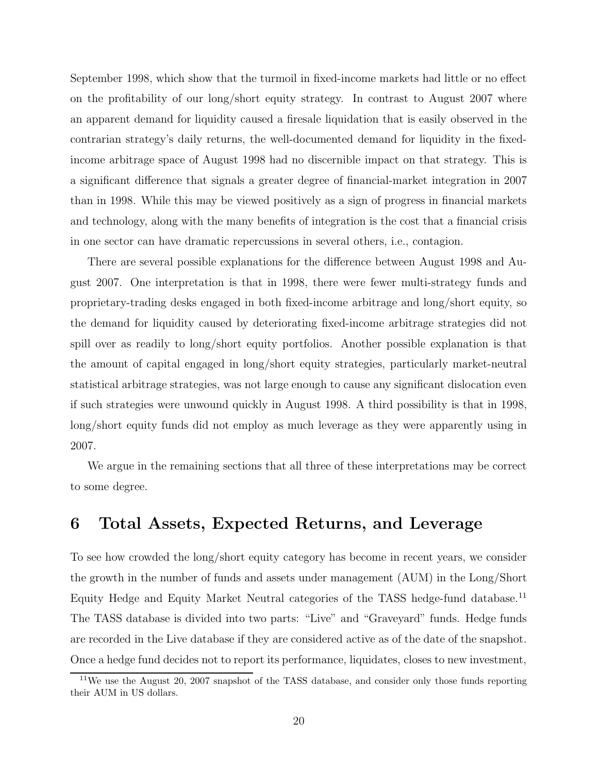September 1998, which show that the turmoil in fixed-income markets had little or no effect on the profitability of our long/short equity strategy. In contrast to August 2007 where an apparent demand for liquidity caused a firesale liquidation that is easily observed in the contrarian strategy's daily returns, the well-documented demand for liquidity in the fixedincome arbitrage space of August 1998 had no discernible impact on that strategy. This is a significant difference that signals a greater degree of financial-market integration in 2007 than in 1998. While this may be viewed positively as a sign of progress in financial markets and technology, along with the many benefits of integration is the cost that a financial crisis in one sector can have dramatic repercussions in several others, i.e., contagion.

There are several possible explanations for the difference between August 1998 and August 2007. One interpretation is that in 1998, there were fewer multi-strategy funds and proprietary-trading desks engaged in both fixed-income arbitrage and long/short equity, so the demand for liquidity caused by deteriorating fixed-income arbitrage strategies did not spill over as readily to long/short equity portfolios. Another possible explanation is that the amount of capital engaged in long/short equity strategies, particularly market-neutral statistical arbitrage strategies, was not large enough to cause any significant dislocation even if such strategies were unwound quickly in August 1998. A third possibility is that in 1998, long/short equity funds did not employ as much leverage as they were apparently using in 2007.

We argue in the remaining sections that all three of these interpretations may be correct to some degree.

#### 6 Total Assets, Expected Returns, and Leverage

To see how crowded the long/short equity category has become in recent years, we consider the growth in the number of funds and assets under management (AUM) in the Long/Short Equity Hedge and Equity Market Neutral categories of the TASS hedge-fund database.<sup>11</sup> The TASS database is divided into two parts: "Live" and "Graveyard" funds. Hedge funds are recorded in the Live database if they are considered active as of the date of the snapshot. Once a hedge fund decides not to report its performance, liquidates, closes to new investment,

 $11$ We use the August 20, 2007 snapshot of the TASS database, and consider only those funds reporting their AUM in US dollars.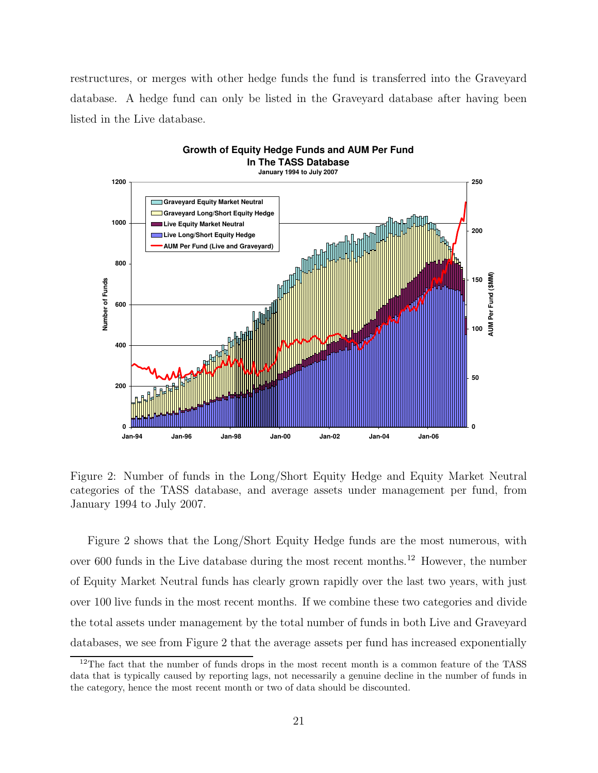restructures, or merges with other hedge funds the fund is transferred into the Graveyard database. A hedge fund can only be listed in the Graveyard database after having been listed in the Live database.



Figure 2: Number of funds in the Long/Short Equity Hedge and Equity Market Neutral categories of the TASS database, and average assets under management per fund, from January 1994 to July 2007.

Figure 2 shows that the Long/Short Equity Hedge funds are the most numerous, with over 600 funds in the Live database during the most recent months.<sup>12</sup> However, the number of Equity Market Neutral funds has clearly grown rapidly over the last two years, with just over 100 live funds in the most recent months. If we combine these two categories and divide the total assets under management by the total number of funds in both Live and Graveyard databases, we see from Figure 2 that the average assets per fund has increased exponentially

<sup>&</sup>lt;sup>12</sup>The fact that the number of funds drops in the most recent month is a common feature of the TASS data that is typically caused by reporting lags, not necessarily a genuine decline in the number of funds in the category, hence the most recent month or two of data should be discounted.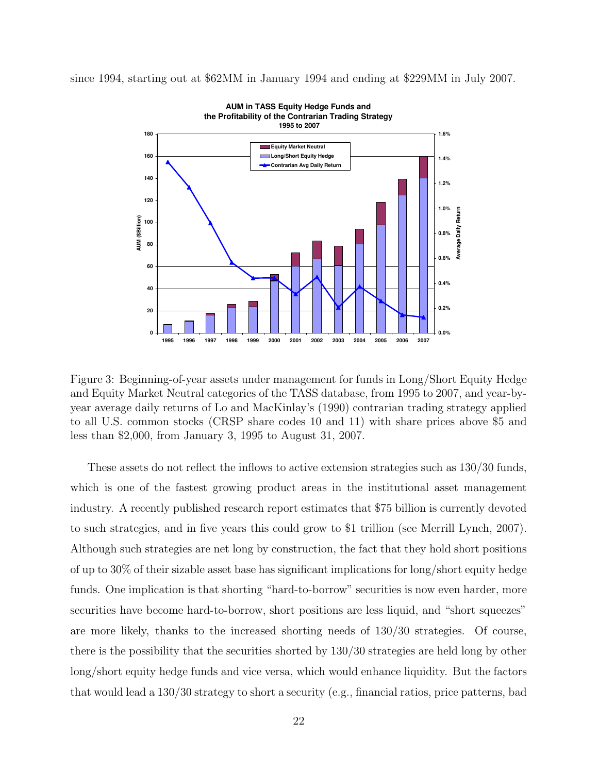

since 1994, starting out at \$62MM in January 1994 and ending at \$229MM in July 2007.

Figure 3: Beginning-of-year assets under management for funds in Long/Short Equity Hedge and Equity Market Neutral categories of the TASS database, from 1995 to 2007, and year-byyear average daily returns of Lo and MacKinlay's (1990) contrarian trading strategy applied to all U.S. common stocks (CRSP share codes 10 and 11) with share prices above \$5 and less than \$2,000, from January 3, 1995 to August 31, 2007.

These assets do not reflect the inflows to active extension strategies such as 130/30 funds, which is one of the fastest growing product areas in the institutional asset management industry. A recently published research report estimates that \$75 billion is currently devoted to such strategies, and in five years this could grow to \$1 trillion (see Merrill Lynch, 2007). Although such strategies are net long by construction, the fact that they hold short positions of up to 30% of their sizable asset base has significant implications for long/short equity hedge funds. One implication is that shorting "hard-to-borrow" securities is now even harder, more securities have become hard-to-borrow, short positions are less liquid, and "short squeezes" are more likely, thanks to the increased shorting needs of 130/30 strategies. Of course, there is the possibility that the securities shorted by 130/30 strategies are held long by other long/short equity hedge funds and vice versa, which would enhance liquidity. But the factors that would lead a 130/30 strategy to short a security (e.g., financial ratios, price patterns, bad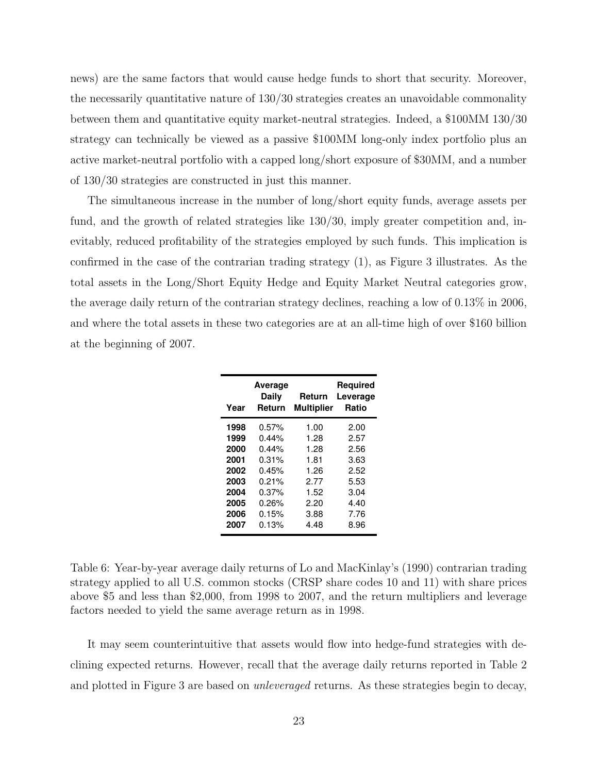news) are the same factors that would cause hedge funds to short that security. Moreover, the necessarily quantitative nature of 130/30 strategies creates an unavoidable commonality between them and quantitative equity market-neutral strategies. Indeed, a \$100MM 130/30 strategy can technically be viewed as a passive \$100MM long-only index portfolio plus an active market-neutral portfolio with a capped long/short exposure of \$30MM, and a number of 130/30 strategies are constructed in just this manner.

The simultaneous increase in the number of long/short equity funds, average assets per fund, and the growth of related strategies like 130/30, imply greater competition and, inevitably, reduced profitability of the strategies employed by such funds. This implication is confirmed in the case of the contrarian trading strategy (1), as Figure 3 illustrates. As the total assets in the Long/Short Equity Hedge and Equity Market Neutral categories grow, the average daily return of the contrarian strategy declines, reaching a low of 0.13% in 2006, and where the total assets in these two categories are at an all-time high of over \$160 billion at the beginning of 2007.

| Year | Average<br>Daily<br>Return | Return<br><b>Multiplier</b> | Required<br>Leverage<br>Ratio |
|------|----------------------------|-----------------------------|-------------------------------|
| 1998 | 0.57%                      | 1.00                        | 2.00                          |
| 1999 | 0.44%                      | 1.28                        | 2.57                          |
| 2000 | 0.44%                      | 1.28                        | 2.56                          |
| 2001 | 0.31%                      | 1.81                        | 3.63                          |
| 2002 | 0.45%                      | 1.26                        | 2.52                          |
| 2003 | 0.21%                      | 2.77                        | 5.53                          |
| 2004 | 0.37%                      | 1.52                        | 3.04                          |
| 2005 | 0.26%                      | 2.20                        | 4.40                          |
| 2006 | 0.15%                      | 3.88                        | 7.76                          |
| 2007 | 0.13%                      | 4.48                        | 8.96                          |

Table 6: Year-by-year average daily returns of Lo and MacKinlay's (1990) contrarian trading strategy applied to all U.S. common stocks (CRSP share codes 10 and 11) with share prices above \$5 and less than \$2,000, from 1998 to 2007, and the return multipliers and leverage factors needed to yield the same average return as in 1998.

It may seem counterintuitive that assets would flow into hedge-fund strategies with declining expected returns. However, recall that the average daily returns reported in Table 2 and plotted in Figure 3 are based on unleveraged returns. As these strategies begin to decay,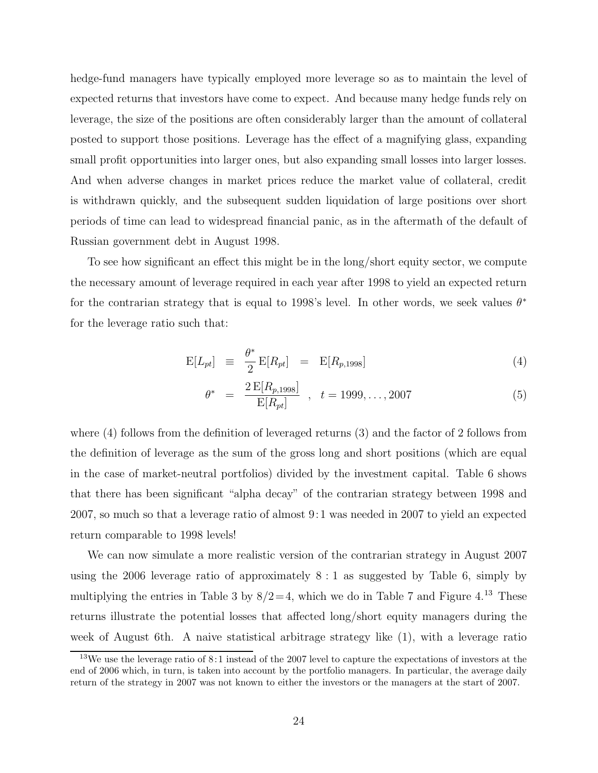hedge-fund managers have typically employed more leverage so as to maintain the level of expected returns that investors have come to expect. And because many hedge funds rely on leverage, the size of the positions are often considerably larger than the amount of collateral posted to support those positions. Leverage has the effect of a magnifying glass, expanding small profit opportunities into larger ones, but also expanding small losses into larger losses. And when adverse changes in market prices reduce the market value of collateral, credit is withdrawn quickly, and the subsequent sudden liquidation of large positions over short periods of time can lead to widespread financial panic, as in the aftermath of the default of Russian government debt in August 1998.

To see how significant an effect this might be in the long/short equity sector, we compute the necessary amount of leverage required in each year after 1998 to yield an expected return for the contrarian strategy that is equal to 1998's level. In other words, we seek values  $\theta^*$ for the leverage ratio such that:

$$
E[L_{pt}] \equiv \frac{\theta^*}{2} E[R_{pt}] = E[R_{p,1998}] \tag{4}
$$

$$
\theta^* = \frac{2 \mathbf{E}[R_{p,1998}]}{\mathbf{E}[R_{pt}]} \quad , \quad t = 1999, \dots, 2007 \tag{5}
$$

where (4) follows from the definition of leveraged returns (3) and the factor of 2 follows from the definition of leverage as the sum of the gross long and short positions (which are equal in the case of market-neutral portfolios) divided by the investment capital. Table 6 shows that there has been significant "alpha decay" of the contrarian strategy between 1998 and 2007, so much so that a leverage ratio of almost 9:1 was needed in 2007 to yield an expected return comparable to 1998 levels!

We can now simulate a more realistic version of the contrarian strategy in August 2007 using the 2006 leverage ratio of approximately 8 : 1 as suggested by Table 6, simply by multiplying the entries in Table 3 by  $8/2=4$ , which we do in Table 7 and Figure 4.<sup>13</sup> These returns illustrate the potential losses that affected long/short equity managers during the week of August 6th. A naive statistical arbitrage strategy like (1), with a leverage ratio

<sup>&</sup>lt;sup>13</sup>We use the leverage ratio of  $8:1$  instead of the 2007 level to capture the expectations of investors at the end of 2006 which, in turn, is taken into account by the portfolio managers. In particular, the average daily return of the strategy in 2007 was not known to either the investors or the managers at the start of 2007.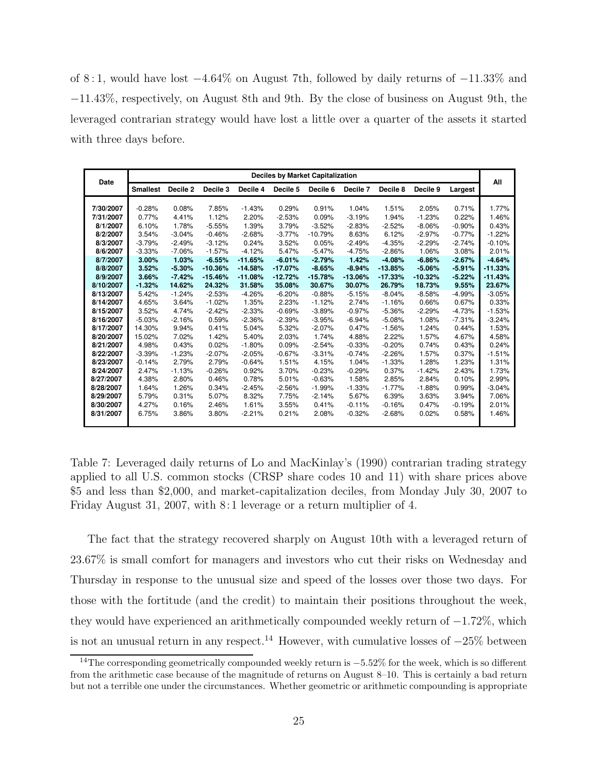of 8 : 1, would have lost −4.64% on August 7th, followed by daily returns of −11.33% and −11.43%, respectively, on August 8th and 9th. By the close of business on August 9th, the leveraged contrarian strategy would have lost a little over a quarter of the assets it started with three days before.

| Date                  | <b>Deciles by Market Capitalization</b> |                     |                      |                       |                   |                     |                     |                      |                      |                   |                |  |
|-----------------------|-----------------------------------------|---------------------|----------------------|-----------------------|-------------------|---------------------|---------------------|----------------------|----------------------|-------------------|----------------|--|
|                       | <b>Smallest</b>                         | Decile <sub>2</sub> | Decile 3             | Decile 4              | Decile 5          | Decile <sub>6</sub> | Decile <sub>7</sub> | Decile 8             | Decile 9             | Largest           | All            |  |
| 7/30/2007             |                                         | 0.08%               | 7.85%                |                       | 0.29%             | 0.91%               |                     | 1.51%                | 2.05%                | 0.71%             | 1.77%          |  |
|                       | $-0.28%$                                |                     |                      | $-1.43%$              |                   |                     | 1.04%               |                      |                      |                   |                |  |
| 7/31/2007<br>8/1/2007 | 0.77%<br>6.10%                          | 4.41%<br>1.78%      | 1.12%<br>$-5.55%$    | 2.20%<br>1.39%        | $-2.53%$<br>3.79% | 0.09%<br>$-3.52%$   | $-3.19%$            | 1.94%<br>$-2.52%$    | $-1.23%$             | 0.22%<br>$-0.90%$ | 1.46%<br>0.43% |  |
| 8/2/2007              | 3.54%                                   | $-3.04%$            | $-0.46%$             | $-2.68%$              | $-3.77%$          | $-10.79%$           | $-2.83%$<br>8.63%   | 6.12%                | $-8.06%$<br>$-2.97%$ | $-0.77%$          | $-1.22%$       |  |
| 8/3/2007              | $-3.79%$                                | $-2.49%$            | $-3.12%$             | 0.24%                 | 3.52%             | 0.05%               | $-2.49%$            | $-4.35%$             | $-2.29%$             | $-2.74%$          | $-0.10%$       |  |
| 8/6/2007              |                                         |                     |                      |                       | 5.47%             | $-5.47%$            |                     |                      |                      |                   | 2.01%          |  |
| 8/7/2007              | $-3.33%$<br>3.00%                       | $-7.06%$<br>1.03%   | $-1.57%$<br>$-6.55%$ | $-4.12%$<br>$-11.65%$ | $-6.01%$          | $-2.79%$            | $-4.75%$<br>1.42%   | $-2.86%$<br>$-4.08%$ | 1.06%<br>$-6.86%$    | 3.08%<br>$-2.67%$ | $-4.64%$       |  |
| 8/8/2007              | 3.52%                                   | $-5.30%$            | $-10.36%$            | $-14.58%$             | $-17.07%$         | $-8.65%$            | $-8.94%$            | $-13.85%$            | $-5.06%$             | $-5.91%$          | $-11.33%$      |  |
| 8/9/2007              | 3.66%                                   | $-7.42%$            | $-15.46%$            | $-11.08%$             | $-12.72%$         | $-15.78%$           | $-13.06%$           | $-17.33%$            | $-10.32%$            | $-5.22%$          | $-11.43%$      |  |
| 8/10/2007             | $-1.32%$                                | 14.62%              | 24.32%               | 31.58%                | 35.08%            | 30.67%              | 30.07%              | 26.79%               | 18.73%               | 9.55%             | 23.67%         |  |
| 8/13/2007             | 5.42%                                   | $-1.24%$            | $-2.53%$             | $-4.26%$              | $-6.20%$          | $-0.88%$            | $-5.15%$            | $-8.04%$             | $-8.58%$             | $-4.99%$          | $-3.05%$       |  |
| 8/14/2007             | 4.65%                                   | 3.64%               | $-1.02%$             | 1.35%                 | 2.23%             | $-1.12%$            | 2.74%               | $-1.16%$             | 0.66%                | 0.67%             | 0.33%          |  |
| 8/15/2007             | 3.52%                                   | 4.74%               | $-2.42%$             | $-2.33%$              | $-0.69%$          | $-3.89%$            | $-0.97%$            | $-5.36%$             | $-2.29%$             | $-4.73%$          | $-1.53%$       |  |
| 8/16/2007             | $-5.03%$                                | $-2.16%$            | 0.59%                | $-2.36%$              | $-2.39%$          | $-3.95%$            | $-6.94%$            | $-5.08%$             | 1.08%                | $-7.31%$          | $-3.24%$       |  |
| 8/17/2007             | 14.30%                                  | 9.94%               | 0.41%                | 5.04%                 | 5.32%             | $-2.07%$            | 0.47%               | $-1.56%$             | 1.24%                | 0.44%             | 1.53%          |  |
| 8/20/2007             | 15.02%                                  | 7.02%               | 1.42%                | 5.40%                 | 2.03%             | 1.74%               | 4.88%               | 2.22%                | 1.57%                | 4.67%             | 4.58%          |  |
| 8/21/2007             | 4.98%                                   | 0.43%               | 0.02%                | $-1.80%$              | 0.09%             | $-2.54%$            | $-0.33%$            | $-0.20%$             | 0.74%                | 0.43%             | 0.24%          |  |
| 8/22/2007             | $-3.39%$                                | $-1.23%$            | $-2.07%$             | $-2.05%$              | $-0.67%$          | $-3.31%$            | $-0.74%$            | $-2.26%$             | 1.57%                | 0.37%             | $-1.51%$       |  |
| 8/23/2007             | $-0.14%$                                | 2.79%               | 2.79%                | $-0.64%$              | 1.51%             | 4.15%               | 1.04%               | $-1.33%$             | 1.28%                | 1.23%             | 1.31%          |  |
| 8/24/2007             | 2.47%                                   | $-1.13%$            | $-0.26%$             | 0.92%                 | 3.70%             | $-0.23%$            | $-0.29%$            | 0.37%                | $-1.42%$             | 2.43%             | 1.73%          |  |
| 8/27/2007             | 4.38%                                   | 2.80%               | 0.46%                | 0.78%                 | 5.01%             | $-0.63%$            | 1.58%               | 2.85%                | 2.84%                | 0.10%             | 2.99%          |  |
| 8/28/2007             | 1.64%                                   | 1.26%               | 0.34%                | $-2.45%$              | $-2.56%$          | $-1.99%$            | $-1.33%$            | $-1.77%$             | $-1.88%$             | 0.99%             | $-3.04%$       |  |
| 8/29/2007             | 5.79%                                   | 0.31%               | 5.07%                | 8.32%                 | 7.75%             | $-2.14%$            | 5.67%               | 6.39%                | 3.63%                | 3.94%             | 7.06%          |  |
| 8/30/2007             | 4.27%                                   | 0.16%               | 2.46%                | 1.61%                 | 3.55%             | 0.41%               | $-0.11%$            | $-0.16%$             | 0.47%                | $-0.19%$          | 2.01%          |  |
| 8/31/2007             | 6.75%                                   | 3.86%               | 3.80%                | $-2.21%$              | 0.21%             | 2.08%               | $-0.32%$            | $-2.68%$             | 0.02%                | 0.58%             | 1.46%          |  |
|                       |                                         |                     |                      |                       |                   |                     |                     |                      |                      |                   |                |  |

Table 7: Leveraged daily returns of Lo and MacKinlay's (1990) contrarian trading strategy applied to all U.S. common stocks (CRSP share codes 10 and 11) with share prices above \$5 and less than \$2,000, and market-capitalization deciles, from Monday July 30, 2007 to Friday August 31, 2007, with 8:1 leverage or a return multiplier of 4.

The fact that the strategy recovered sharply on August 10th with a leveraged return of 23.67% is small comfort for managers and investors who cut their risks on Wednesday and Thursday in response to the unusual size and speed of the losses over those two days. For those with the fortitude (and the credit) to maintain their positions throughout the week, they would have experienced an arithmetically compounded weekly return of  $-1.72\%$ , which is not an unusual return in any respect.<sup>14</sup> However, with cumulative losses of  $-25\%$  between

<sup>14</sup>The corresponding geometrically compounded weekly return is <sup>−</sup>5.52% for the week, which is so different from the arithmetic case because of the magnitude of returns on August 8–10. This is certainly a bad return but not a terrible one under the circumstances. Whether geometric or arithmetic compounding is appropriate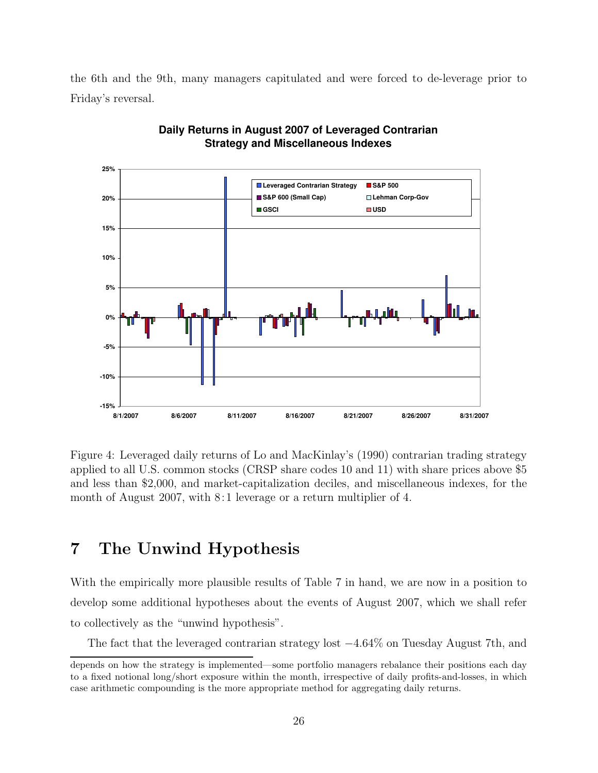the 6th and the 9th, many managers capitulated and were forced to de-leverage prior to Friday's reversal.



**Daily Returns in August 2007 of Leveraged Contrarian Strategy and Miscellaneous Indexes**

Figure 4: Leveraged daily returns of Lo and MacKinlay's (1990) contrarian trading strategy applied to all U.S. common stocks (CRSP share codes 10 and 11) with share prices above \$5 and less than \$2,000, and market-capitalization deciles, and miscellaneous indexes, for the month of August 2007, with 8:1 leverage or a return multiplier of 4.

## 7 The Unwind Hypothesis

With the empirically more plausible results of Table 7 in hand, we are now in a position to develop some additional hypotheses about the events of August 2007, which we shall refer to collectively as the "unwind hypothesis".

The fact that the leveraged contrarian strategy lost −4.64% on Tuesday August 7th, and

depends on how the strategy is implemented—some portfolio managers rebalance their positions each day to a fixed notional long/short exposure within the month, irrespective of daily profits-and-losses, in which case arithmetic compounding is the more appropriate method for aggregating daily returns.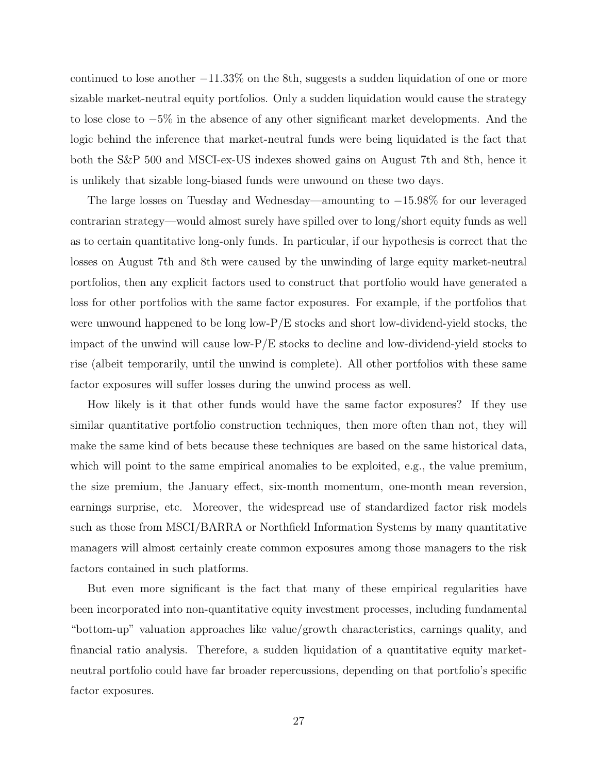continued to lose another −11.33% on the 8th, suggests a sudden liquidation of one or more sizable market-neutral equity portfolios. Only a sudden liquidation would cause the strategy to lose close to −5% in the absence of any other significant market developments. And the logic behind the inference that market-neutral funds were being liquidated is the fact that both the S&P 500 and MSCI-ex-US indexes showed gains on August 7th and 8th, hence it is unlikely that sizable long-biased funds were unwound on these two days.

The large losses on Tuesday and Wednesday—amounting to −15.98% for our leveraged contrarian strategy—would almost surely have spilled over to long/short equity funds as well as to certain quantitative long-only funds. In particular, if our hypothesis is correct that the losses on August 7th and 8th were caused by the unwinding of large equity market-neutral portfolios, then any explicit factors used to construct that portfolio would have generated a loss for other portfolios with the same factor exposures. For example, if the portfolios that were unwound happened to be long low- $P/E$  stocks and short low-dividend-yield stocks, the impact of the unwind will cause  $\text{low-}P/E$  stocks to decline and low-dividend-yield stocks to rise (albeit temporarily, until the unwind is complete). All other portfolios with these same factor exposures will suffer losses during the unwind process as well.

How likely is it that other funds would have the same factor exposures? If they use similar quantitative portfolio construction techniques, then more often than not, they will make the same kind of bets because these techniques are based on the same historical data, which will point to the same empirical anomalies to be exploited, e.g., the value premium, the size premium, the January effect, six-month momentum, one-month mean reversion, earnings surprise, etc. Moreover, the widespread use of standardized factor risk models such as those from MSCI/BARRA or Northfield Information Systems by many quantitative managers will almost certainly create common exposures among those managers to the risk factors contained in such platforms.

But even more significant is the fact that many of these empirical regularities have been incorporated into non-quantitative equity investment processes, including fundamental "bottom-up" valuation approaches like value/growth characteristics, earnings quality, and financial ratio analysis. Therefore, a sudden liquidation of a quantitative equity marketneutral portfolio could have far broader repercussions, depending on that portfolio's specific factor exposures.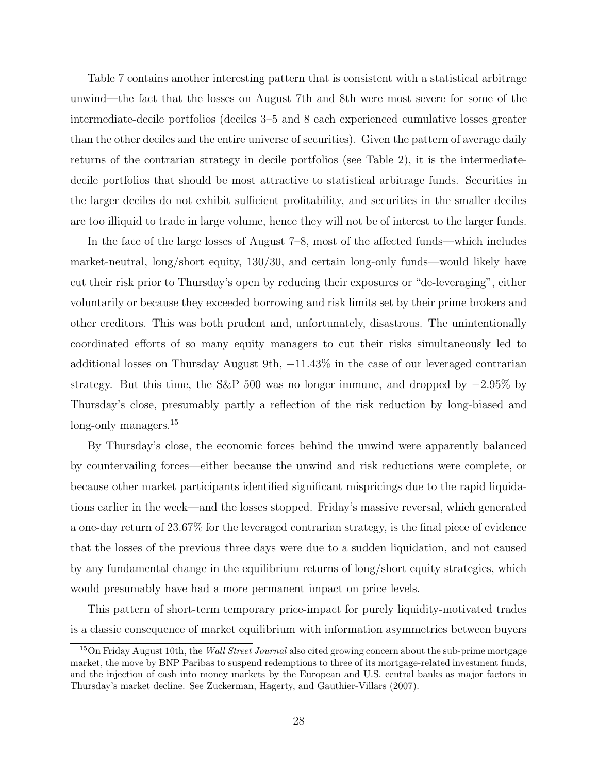Table 7 contains another interesting pattern that is consistent with a statistical arbitrage unwind—the fact that the losses on August 7th and 8th were most severe for some of the intermediate-decile portfolios (deciles 3–5 and 8 each experienced cumulative losses greater than the other deciles and the entire universe of securities). Given the pattern of average daily returns of the contrarian strategy in decile portfolios (see Table 2), it is the intermediatedecile portfolios that should be most attractive to statistical arbitrage funds. Securities in the larger deciles do not exhibit sufficient profitability, and securities in the smaller deciles are too illiquid to trade in large volume, hence they will not be of interest to the larger funds.

In the face of the large losses of August 7–8, most of the affected funds—which includes market-neutral, long/short equity, 130/30, and certain long-only funds—would likely have cut their risk prior to Thursday's open by reducing their exposures or "de-leveraging", either voluntarily or because they exceeded borrowing and risk limits set by their prime brokers and other creditors. This was both prudent and, unfortunately, disastrous. The unintentionally coordinated efforts of so many equity managers to cut their risks simultaneously led to additional losses on Thursday August 9th, −11.43% in the case of our leveraged contrarian strategy. But this time, the S&P 500 was no longer immune, and dropped by −2.95% by Thursday's close, presumably partly a reflection of the risk reduction by long-biased and long-only managers.<sup>15</sup>

By Thursday's close, the economic forces behind the unwind were apparently balanced by countervailing forces—either because the unwind and risk reductions were complete, or because other market participants identified significant mispricings due to the rapid liquidations earlier in the week—and the losses stopped. Friday's massive reversal, which generated a one-day return of 23.67% for the leveraged contrarian strategy, is the final piece of evidence that the losses of the previous three days were due to a sudden liquidation, and not caused by any fundamental change in the equilibrium returns of long/short equity strategies, which would presumably have had a more permanent impact on price levels.

This pattern of short-term temporary price-impact for purely liquidity-motivated trades is a classic consequence of market equilibrium with information asymmetries between buyers

<sup>&</sup>lt;sup>15</sup>On Friday August 10th, the *Wall Street Journal* also cited growing concern about the sub-prime mortgage market, the move by BNP Paribas to suspend redemptions to three of its mortgage-related investment funds, and the injection of cash into money markets by the European and U.S. central banks as major factors in Thursday's market decline. See Zuckerman, Hagerty, and Gauthier-Villars (2007).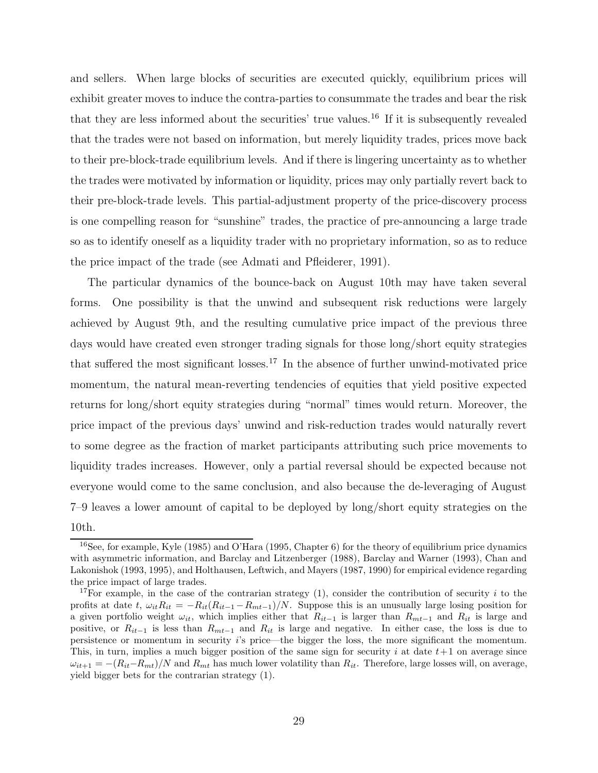and sellers. When large blocks of securities are executed quickly, equilibrium prices will exhibit greater moves to induce the contra-parties to consummate the trades and bear the risk that they are less informed about the securities' true values.<sup>16</sup> If it is subsequently revealed that the trades were not based on information, but merely liquidity trades, prices move back to their pre-block-trade equilibrium levels. And if there is lingering uncertainty as to whether the trades were motivated by information or liquidity, prices may only partially revert back to their pre-block-trade levels. This partial-adjustment property of the price-discovery process is one compelling reason for "sunshine" trades, the practice of pre-announcing a large trade so as to identify oneself as a liquidity trader with no proprietary information, so as to reduce the price impact of the trade (see Admati and Pfleiderer, 1991).

The particular dynamics of the bounce-back on August 10th may have taken several forms. One possibility is that the unwind and subsequent risk reductions were largely achieved by August 9th, and the resulting cumulative price impact of the previous three days would have created even stronger trading signals for those long/short equity strategies that suffered the most significant losses.<sup>17</sup> In the absence of further unwind-motivated price momentum, the natural mean-reverting tendencies of equities that yield positive expected returns for long/short equity strategies during "normal" times would return. Moreover, the price impact of the previous days' unwind and risk-reduction trades would naturally revert to some degree as the fraction of market participants attributing such price movements to liquidity trades increases. However, only a partial reversal should be expected because not everyone would come to the same conclusion, and also because the de-leveraging of August 7–9 leaves a lower amount of capital to be deployed by long/short equity strategies on the 10th.

<sup>16</sup>See, for example, Kyle (1985) and O'Hara (1995, Chapter 6) for the theory of equilibrium price dynamics with asymmetric information, and Barclay and Litzenberger (1988), Barclay and Warner (1993), Chan and Lakonishok (1993, 1995), and Holthausen, Leftwich, and Mayers (1987, 1990) for empirical evidence regarding the price impact of large trades.

<sup>&</sup>lt;sup>17</sup>For example, in the case of the contrarian strategy (1), consider the contribution of security i to the profits at date t,  $\omega_{it}R_{it} = -R_{it}(R_{it-1} - R_{mt-1})/N$ . Suppose this is an unusually large losing position for a given portfolio weight  $\omega_{it}$ , which implies either that  $R_{it-1}$  is larger than  $R_{mt-1}$  and  $R_{it}$  is large and positive, or  $R_{it-1}$  is less than  $R_{mt-1}$  and  $R_{it}$  is large and negative. In either case, the loss is due to persistence or momentum in security i's price—the bigger the loss, the more significant the momentum. This, in turn, implies a much bigger position of the same sign for security i at date  $t+1$  on average since  $\omega_{it+1} = -(R_{it}-R_{mt})/N$  and  $R_{mt}$  has much lower volatility than  $R_{it}$ . Therefore, large losses will, on average, yield bigger bets for the contrarian strategy (1).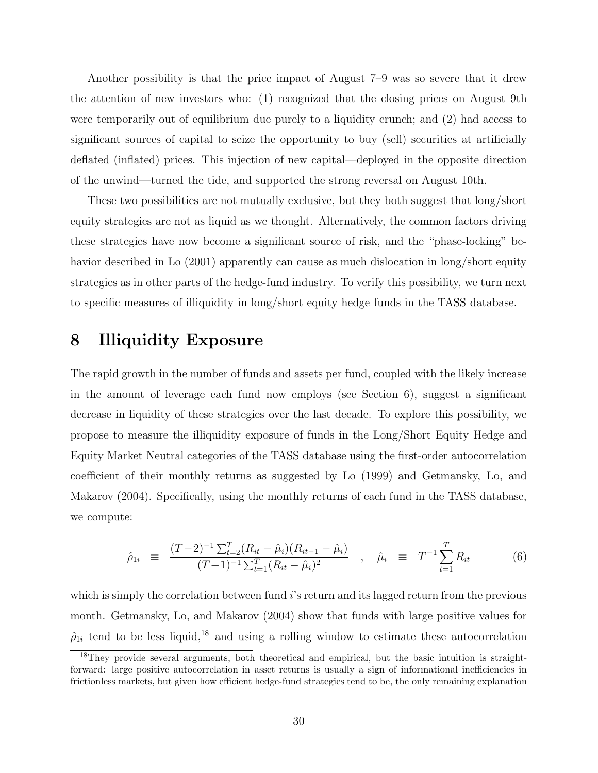Another possibility is that the price impact of August 7–9 was so severe that it drew the attention of new investors who: (1) recognized that the closing prices on August 9th were temporarily out of equilibrium due purely to a liquidity crunch; and (2) had access to significant sources of capital to seize the opportunity to buy (sell) securities at artificially deflated (inflated) prices. This injection of new capital—deployed in the opposite direction of the unwind—turned the tide, and supported the strong reversal on August 10th.

These two possibilities are not mutually exclusive, but they both suggest that long/short equity strategies are not as liquid as we thought. Alternatively, the common factors driving these strategies have now become a significant source of risk, and the "phase-locking" behavior described in Lo (2001) apparently can cause as much dislocation in long/short equity strategies as in other parts of the hedge-fund industry. To verify this possibility, we turn next to specific measures of illiquidity in long/short equity hedge funds in the TASS database.

#### 8 Illiquidity Exposure

The rapid growth in the number of funds and assets per fund, coupled with the likely increase in the amount of leverage each fund now employs (see Section 6), suggest a significant decrease in liquidity of these strategies over the last decade. To explore this possibility, we propose to measure the illiquidity exposure of funds in the Long/Short Equity Hedge and Equity Market Neutral categories of the TASS database using the first-order autocorrelation coefficient of their monthly returns as suggested by Lo (1999) and Getmansky, Lo, and Makarov (2004). Specifically, using the monthly returns of each fund in the TASS database, we compute:

$$
\hat{\rho}_{1i} \equiv \frac{(T-2)^{-1} \sum_{t=2}^{T} (R_{it} - \hat{\mu}_i)(R_{it-1} - \hat{\mu}_i)}{(T-1)^{-1} \sum_{t=1}^{T} (R_{it} - \hat{\mu}_i)^2} , \quad \hat{\mu}_i \equiv T^{-1} \sum_{t=1}^{T} R_{it}
$$
(6)

which is simply the correlation between fund  $i$ 's return and its lagged return from the previous month. Getmansky, Lo, and Makarov (2004) show that funds with large positive values for  $\hat{\rho}_{1i}$  tend to be less liquid,<sup>18</sup> and using a rolling window to estimate these autocorrelation

<sup>&</sup>lt;sup>18</sup>They provide several arguments, both theoretical and empirical, but the basic intuition is straightforward: large positive autocorrelation in asset returns is usually a sign of informational inefficiencies in frictionless markets, but given how efficient hedge-fund strategies tend to be, the only remaining explanation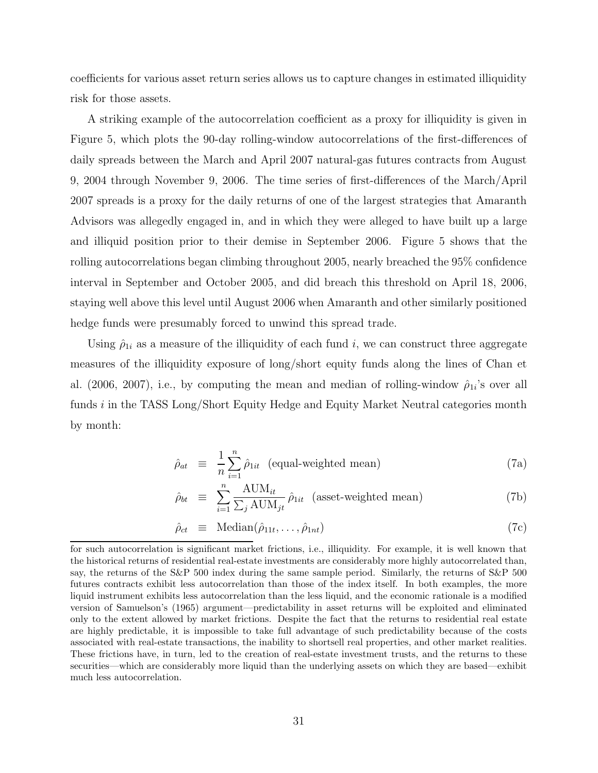coefficients for various asset return series allows us to capture changes in estimated illiquidity risk for those assets.

A striking example of the autocorrelation coefficient as a proxy for illiquidity is given in Figure 5, which plots the 90-day rolling-window autocorrelations of the first-differences of daily spreads between the March and April 2007 natural-gas futures contracts from August 9, 2004 through November 9, 2006. The time series of first-differences of the March/April 2007 spreads is a proxy for the daily returns of one of the largest strategies that Amaranth Advisors was allegedly engaged in, and in which they were alleged to have built up a large and illiquid position prior to their demise in September 2006. Figure 5 shows that the rolling autocorrelations began climbing throughout 2005, nearly breached the 95% confidence interval in September and October 2005, and did breach this threshold on April 18, 2006, staying well above this level until August 2006 when Amaranth and other similarly positioned hedge funds were presumably forced to unwind this spread trade.

Using  $\hat{\rho}_{1i}$  as a measure of the illiquidity of each fund i, we can construct three aggregate measures of the illiquidity exposure of long/short equity funds along the lines of Chan et al. (2006, 2007), i.e., by computing the mean and median of rolling-window  $\hat{\rho}_{1i}$ 's over all funds i in the TASS Long/Short Equity Hedge and Equity Market Neutral categories month by month:

$$
\hat{\rho}_{at} \equiv \frac{1}{n} \sum_{i=1}^{n} \hat{\rho}_{1it} \text{ (equal-weighted mean)} \tag{7a}
$$

$$
\hat{\rho}_{bt} \equiv \sum_{i=1}^{n} \frac{\text{AUM}_{it}}{\sum_{j} \text{AUM}_{jt}} \hat{\rho}_{1it} \text{ (asset-weighted mean)}
$$
\n(7b)

$$
\hat{\rho}_{ct} \equiv \text{Median}(\hat{\rho}_{11t}, \dots, \hat{\rho}_{1nt}) \tag{7c}
$$

for such autocorrelation is significant market frictions, i.e., illiquidity. For example, it is well known that the historical returns of residential real-estate investments are considerably more highly autocorrelated than, say, the returns of the S&P 500 index during the same sample period. Similarly, the returns of S&P 500 futures contracts exhibit less autocorrelation than those of the index itself. In both examples, the more liquid instrument exhibits less autocorrelation than the less liquid, and the economic rationale is a modified version of Samuelson's (1965) argument—predictability in asset returns will be exploited and eliminated only to the extent allowed by market frictions. Despite the fact that the returns to residential real estate are highly predictable, it is impossible to take full advantage of such predictability because of the costs associated with real-estate transactions, the inability to shortsell real properties, and other market realities. These frictions have, in turn, led to the creation of real-estate investment trusts, and the returns to these securities—which are considerably more liquid than the underlying assets on which they are based—exhibit much less autocorrelation.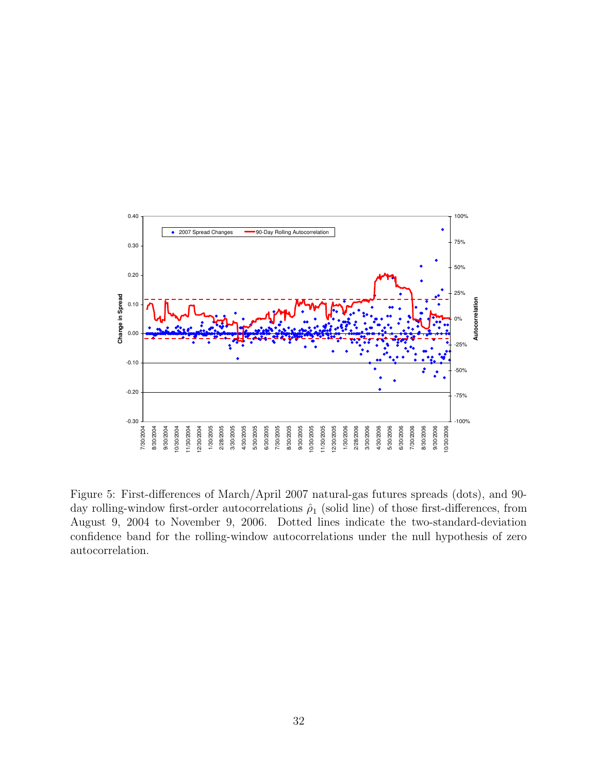

#### **Daily Changes in Spreads of March/April 2007 Natural Gas Futures**

Figure 5: First-differences of March/April 2007 natural-gas futures spreads (dots), and 90 day rolling-window first-order autocorrelations  $\hat{\rho}_1$  (solid line) of those first-differences, from August 9, 2004 to November 9, 2006. Dotted lines indicate the two-standard-deviation confidence band for the rolling-window autocorrelations under the null hypothesis of zero autocorrelation.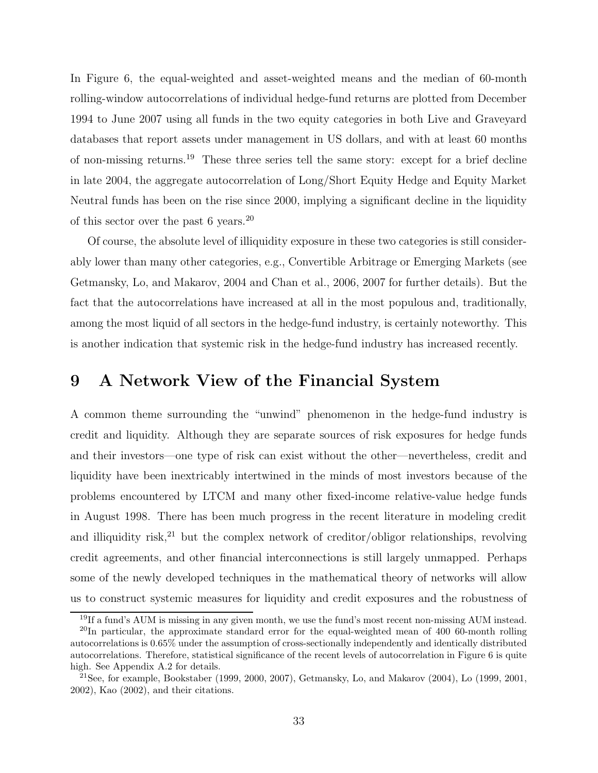In Figure 6, the equal-weighted and asset-weighted means and the median of 60-month rolling-window autocorrelations of individual hedge-fund returns are plotted from December 1994 to June 2007 using all funds in the two equity categories in both Live and Graveyard databases that report assets under management in US dollars, and with at least 60 months of non-missing returns.<sup>19</sup> These three series tell the same story: except for a brief decline in late 2004, the aggregate autocorrelation of Long/Short Equity Hedge and Equity Market Neutral funds has been on the rise since 2000, implying a significant decline in the liquidity of this sector over the past 6 years.<sup>20</sup>

Of course, the absolute level of illiquidity exposure in these two categories is still considerably lower than many other categories, e.g., Convertible Arbitrage or Emerging Markets (see Getmansky, Lo, and Makarov, 2004 and Chan et al., 2006, 2007 for further details). But the fact that the autocorrelations have increased at all in the most populous and, traditionally, among the most liquid of all sectors in the hedge-fund industry, is certainly noteworthy. This is another indication that systemic risk in the hedge-fund industry has increased recently.

## 9 A Network View of the Financial System

A common theme surrounding the "unwind" phenomenon in the hedge-fund industry is credit and liquidity. Although they are separate sources of risk exposures for hedge funds and their investors—one type of risk can exist without the other—nevertheless, credit and liquidity have been inextricably intertwined in the minds of most investors because of the problems encountered by LTCM and many other fixed-income relative-value hedge funds in August 1998. There has been much progress in the recent literature in modeling credit and illiquidity risk,<sup>21</sup> but the complex network of creditor/obligor relationships, revolving credit agreements, and other financial interconnections is still largely unmapped. Perhaps some of the newly developed techniques in the mathematical theory of networks will allow us to construct systemic measures for liquidity and credit exposures and the robustness of

<sup>19</sup>If a fund's AUM is missing in any given month, we use the fund's most recent non-missing AUM instead.

 $^{20}$ In particular, the approximate standard error for the equal-weighted mean of 400 60-month rolling autocorrelations is 0.65% under the assumption of cross-sectionally independently and identically distributed autocorrelations. Therefore, statistical significance of the recent levels of autocorrelation in Figure 6 is quite high. See Appendix A.2 for details.

<sup>&</sup>lt;sup>21</sup>See, for example, Bookstaber (1999, 2000, 2007), Getmansky, Lo, and Makarov (2004), Lo (1999, 2001, 2002), Kao (2002), and their citations.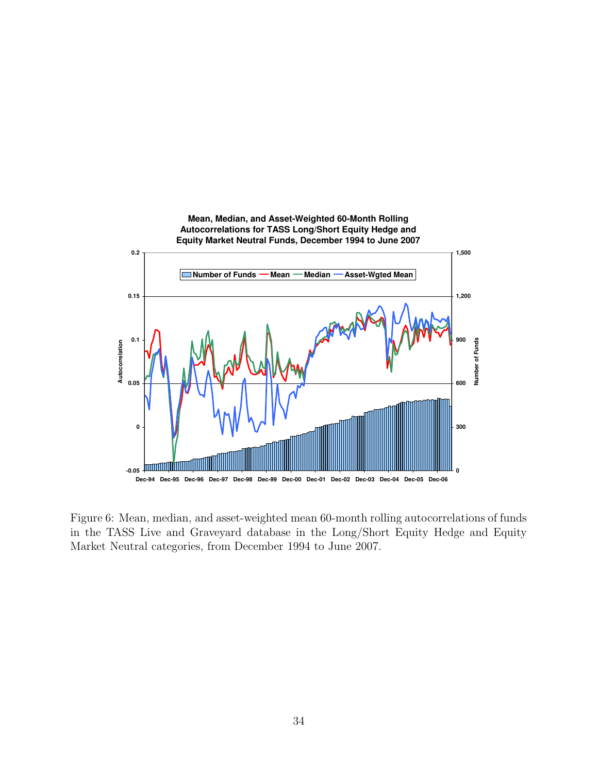

Figure 6: Mean, median, and asset-weighted mean 60-month rolling autocorrelations of funds in the TASS Live and Graveyard database in the Long/Short Equity Hedge and Equity Market Neutral categories, from December 1994 to June 2007.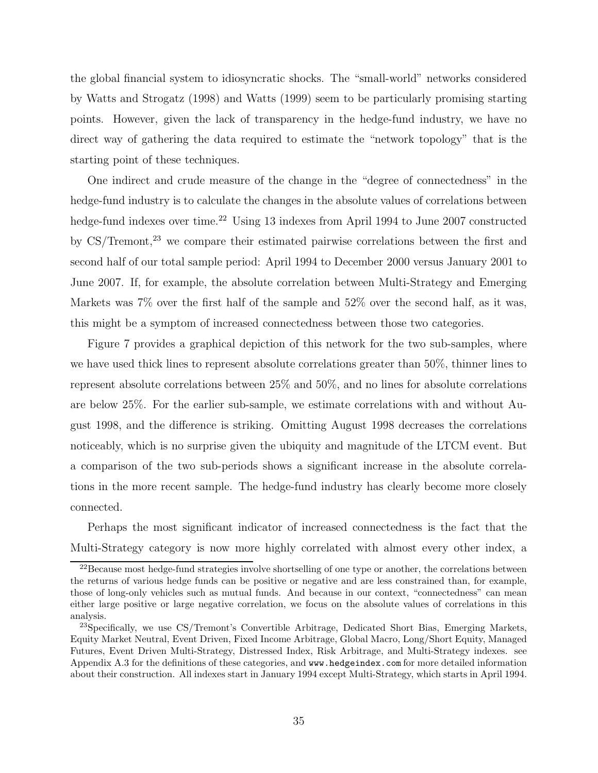the global financial system to idiosyncratic shocks. The "small-world" networks considered by Watts and Strogatz (1998) and Watts (1999) seem to be particularly promising starting points. However, given the lack of transparency in the hedge-fund industry, we have no direct way of gathering the data required to estimate the "network topology" that is the starting point of these techniques.

One indirect and crude measure of the change in the "degree of connectedness" in the hedge-fund industry is to calculate the changes in the absolute values of correlations between hedge-fund indexes over time.<sup>22</sup> Using 13 indexes from April 1994 to June 2007 constructed by  $\text{CS}/\text{Tremont}^{23}$  we compare their estimated pairwise correlations between the first and second half of our total sample period: April 1994 to December 2000 versus January 2001 to June 2007. If, for example, the absolute correlation between Multi-Strategy and Emerging Markets was 7% over the first half of the sample and 52% over the second half, as it was, this might be a symptom of increased connectedness between those two categories.

Figure 7 provides a graphical depiction of this network for the two sub-samples, where we have used thick lines to represent absolute correlations greater than 50%, thinner lines to represent absolute correlations between 25% and 50%, and no lines for absolute correlations are below 25%. For the earlier sub-sample, we estimate correlations with and without August 1998, and the difference is striking. Omitting August 1998 decreases the correlations noticeably, which is no surprise given the ubiquity and magnitude of the LTCM event. But a comparison of the two sub-periods shows a significant increase in the absolute correlations in the more recent sample. The hedge-fund industry has clearly become more closely connected.

Perhaps the most significant indicator of increased connectedness is the fact that the Multi-Strategy category is now more highly correlated with almost every other index, a

<sup>&</sup>lt;sup>22</sup>Because most hedge-fund strategies involve shortselling of one type or another, the correlations between the returns of various hedge funds can be positive or negative and are less constrained than, for example, those of long-only vehicles such as mutual funds. And because in our context, "connectedness" can mean either large positive or large negative correlation, we focus on the absolute values of correlations in this analysis.

<sup>&</sup>lt;sup>23</sup>Specifically, we use CS/Tremont's Convertible Arbitrage, Dedicated Short Bias, Emerging Markets, Equity Market Neutral, Event Driven, Fixed Income Arbitrage, Global Macro, Long/Short Equity, Managed Futures, Event Driven Multi-Strategy, Distressed Index, Risk Arbitrage, and Multi-Strategy indexes. see Appendix A.3 for the definitions of these categories, and www.hedgeindex.com for more detailed information about their construction. All indexes start in January 1994 except Multi-Strategy, which starts in April 1994.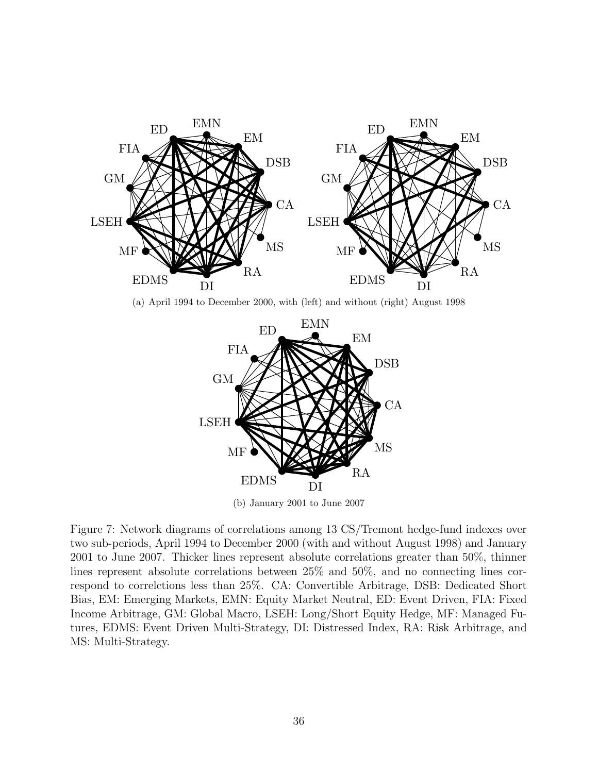

(a) April 1994 to December 2000, with (left) and without (right) August 1998



(b) January 2001 to June 2007

Figure 7: Network diagrams of correlations among 13 CS/Tremont hedge-fund indexes over two sub-periods, April 1994 to December 2000 (with and without August 1998) and January 2001 to June 2007. Thicker lines represent absolute correlations greater than 50%, thinner lines represent absolute correlations between 25% and 50%, and no connecting lines correspond to correlctions less than 25%. CA: Convertible Arbitrage, DSB: Dedicated Short Bias, EM: Emerging Markets, EMN: Equity Market Neutral, ED: Event Driven, FIA: Fixed Income Arbitrage, GM: Global Macro, LSEH: Long/Short Equity Hedge, MF: Managed Futures, EDMS: Event Driven Multi-Strategy, DI: Distressed Index, RA: Risk Arbitrage, and MS: Multi-Strategy.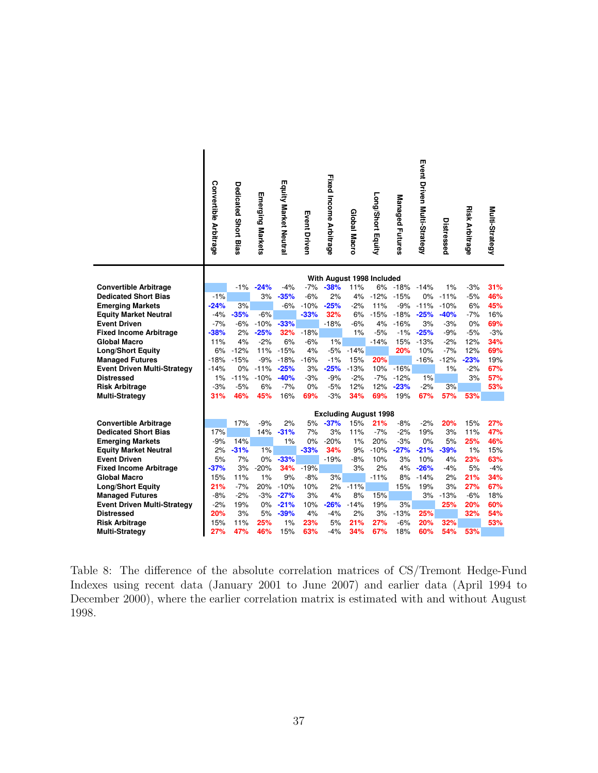|                                    | <b>Convertible Arbitrage</b> | Dedicated Short Bias | Emerging Markets | Equity Market Neutral | <b>Event Driven</b> | <b>Fixed</b><br>Income Arbitrage | Global Macro | Long/Short Equity | Managed Futures | Event Driven Multi-Strategy | Distressed | <b>Risk Arbitrage</b> | Multi-Strategy |
|------------------------------------|------------------------------|----------------------|------------------|-----------------------|---------------------|----------------------------------|--------------|-------------------|-----------------|-----------------------------|------------|-----------------------|----------------|
|                                    |                              |                      |                  |                       |                     | With August 1998 Included        |              |                   |                 |                             |            |                       |                |
| <b>Convertible Arbitrage</b>       |                              | $-1%$                | $-24%$           | $-4%$                 | $-7%$               | $-38%$                           | 11%          | 6%                | $-18%$          | $-14%$                      | 1%         | $-3%$                 | 31%            |
| <b>Dedicated Short Bias</b>        | $-1%$                        |                      | 3%               | $-35%$                | $-6%$               | 2%                               | 4%           | $-12%$            | $-15%$          | 0%                          | $-11%$     | $-5%$                 | 46%            |
| <b>Emerging Markets</b>            | $-24%$                       | 3%                   |                  | $-6%$                 | $-10%$              | $-25%$                           | $-2%$        | 11%               | -9%             | $-11%$                      | $-10%$     | 6%                    | 45%            |
| <b>Equity Market Neutral</b>       | $-4%$                        | $-35%$               | $-6%$            |                       | $-33%$              | 32%                              | 6%           | $-15%$            | $-18%$          | $-25%$                      | $-40%$     | $-7%$                 | 16%            |
| <b>Event Driven</b>                | $-7%$                        | $-6%$                | $-10%$           | $-33%$                |                     | $-18%$                           | $-6%$        | 4%                | $-16%$          | 3%                          | $-3%$      | 0%                    | 69%            |
| <b>Fixed Income Arbitrage</b>      | $-38%$                       | 2%                   | $-25%$           | 32%                   | $-18%$              |                                  | 1%           | $-5%$             | $-1%$           | $-25%$                      | $-9%$      | $-5%$                 | $-3%$          |
| <b>Global Macro</b>                | 11%                          | 4%                   | $-2%$            | 6%                    | $-6%$               | 1%                               |              | $-14%$            | 15%             | $-13%$                      | $-2%$      | 12%                   | 34%            |
| <b>Long/Short Equity</b>           | 6%                           | $-12%$               | 11%              | $-15%$                | 4%                  | $-5%$                            | $-14%$       |                   | 20%             | 10%                         | $-7%$      | 12%                   | 69%            |
| <b>Managed Futures</b>             | $-18%$                       | $-15%$               | $-9%$            | $-18%$                | $-16%$              | $-1%$                            | 15%          | 20%               |                 | $-16%$                      | $-12%$     | $-23%$                | 19%            |
| <b>Event Driven Multi-Strategy</b> | $-14%$                       | 0%                   | $-11%$           | $-25%$                | 3%                  | $-25%$                           | $-13%$       | 10%               | $-16%$          |                             | 1%         | $-2%$                 | 67%            |
| <b>Distressed</b>                  | 1%                           | $-11%$               | $-10%$           | $-40%$                | $-3%$               | $-9%$                            | $-2%$        | $-7%$             | $-12%$          | 1%                          |            | 3%                    | 57%            |
| <b>Risk Arbitrage</b>              | $-3%$                        | $-5%$                | 6%               | $-7%$                 | 0%                  | $-5%$                            | 12%          | 12%               | $-23%$          | $-2%$                       | 3%         |                       | 53%            |
| <b>Multi-Strategy</b>              | 31%                          | 46%                  | 45%              | 16%                   | 69%                 | $-3%$                            | 34%          | 69%               | 19%             | 67%                         | 57%        | 53%                   |                |
|                                    |                              |                      |                  |                       |                     |                                  |              |                   |                 |                             |            |                       |                |
|                                    |                              |                      |                  |                       |                     | <b>Excluding August 1998</b>     |              |                   |                 |                             |            |                       |                |
| <b>Convertible Arbitrage</b>       |                              | 17%                  | $-9%$            | 2%                    | 5%                  | $-37%$                           | 15%          | 21%               | $-8%$           | $-2%$                       | 20%        | 15%                   | 27%            |
| <b>Dedicated Short Bias</b>        | 17%                          |                      | 14%              | $-31%$                | 7%                  | 3%                               | 11%          | $-7%$             | $-2%$           | 19%                         | 3%         | 11%                   | 47%            |
| <b>Emerging Markets</b>            | $-9%$                        | 14%                  |                  | 1%                    | 0%                  | $-20%$                           | 1%           | 20%               | $-3%$           | 0%                          | 5%         | 25%                   | 46%            |
| <b>Equity Market Neutral</b>       | 2%                           | $-31%$               | 1%               |                       | $-33%$              | 34%                              | 9%           | $-10%$            | $-27%$          | $-21%$                      | $-39%$     | 1%                    | 15%            |
| <b>Event Driven</b>                | 5%                           | 7%                   | 0%               | $-33%$                |                     | $-19%$                           | $-8%$        | 10%               | 3%              | 10%                         | 4%         | 23%                   | 63%            |
| <b>Fixed Income Arbitrage</b>      | $-37%$                       | 3%                   | $-20%$           | 34%                   | $-19%$              |                                  | 3%           | 2%                | 4%              | $-26%$                      | $-4%$      | 5%                    | $-4%$          |
| <b>Global Macro</b>                | 15%                          | 11%                  | 1%               | 9%                    | $-8%$               | 3%                               |              | $-11%$            | 8%              | $-14%$                      | 2%         | 21%                   | 34%            |
| Long/Short Equity                  | 21%                          | $-7%$                | 20%              | $-10%$                | 10%                 | 2%                               | $-11%$       |                   | 15%             | 19%                         | 3%         | 27%                   | 67%            |
| <b>Managed Futures</b>             | $-8%$                        | $-2%$                | $-3%$            | $-27%$                | 3%                  | 4%                               | 8%           | 15%               |                 | 3%                          | $-13%$     | $-6%$                 | 18%            |
| <b>Event Driven Multi-Strategy</b> | $-2%$                        | 19%                  | 0%               | $-21%$                | 10%                 | $-26%$                           | $-14%$       | 19%               | 3%              |                             | 25%        | 20%                   | 60%            |
| <b>Distressed</b>                  | 20%                          | 3%                   | 5%               | $-39%$                | 4%                  | $-4%$                            | 2%           | 3%                | $-13%$          | 25%                         |            | 32%                   | 54%            |
| <b>Risk Arbitrage</b>              | 15%                          | 11%                  | 25%              | 1%                    | 23%                 | 5%                               | 21%          | 27%               | $-6%$           | 20%                         | 32%        |                       | 53%            |
| <b>Multi-Strategy</b>              | 27%                          | 47%                  | 46%              | 15%                   | 63%                 | $-4%$                            | 34%          | 67%               | 18%             | 60%                         | 54%        | 53%                   |                |

Table 8: The difference of the absolute correlation matrices of CS/Tremont Hedge-Fund Indexes using recent data (January 2001 to June 2007) and earlier data (April 1994 to December 2000), where the earlier correlation matrix is estimated with and without August 1998.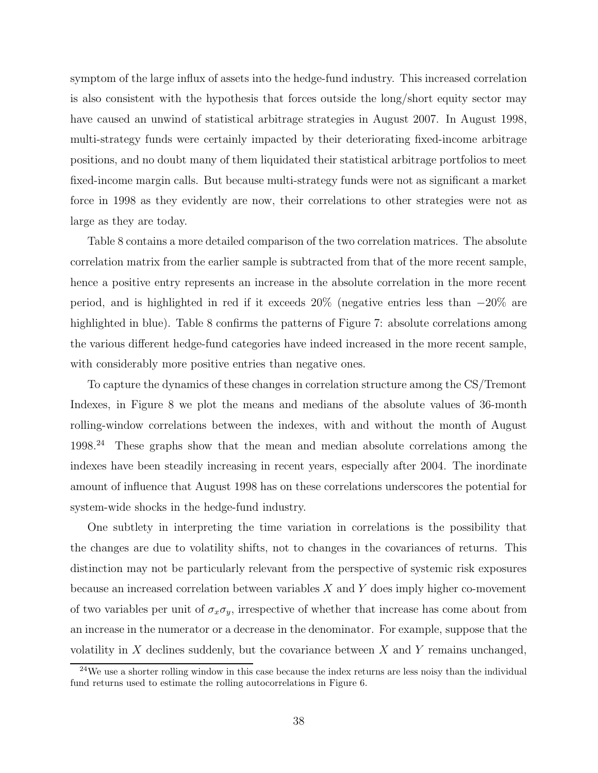symptom of the large influx of assets into the hedge-fund industry. This increased correlation is also consistent with the hypothesis that forces outside the long/short equity sector may have caused an unwind of statistical arbitrage strategies in August 2007. In August 1998, multi-strategy funds were certainly impacted by their deteriorating fixed-income arbitrage positions, and no doubt many of them liquidated their statistical arbitrage portfolios to meet fixed-income margin calls. But because multi-strategy funds were not as significant a market force in 1998 as they evidently are now, their correlations to other strategies were not as large as they are today.

Table 8 contains a more detailed comparison of the two correlation matrices. The absolute correlation matrix from the earlier sample is subtracted from that of the more recent sample, hence a positive entry represents an increase in the absolute correlation in the more recent period, and is highlighted in red if it exceeds 20% (negative entries less than −20% are highlighted in blue). Table 8 confirms the patterns of Figure 7: absolute correlations among the various different hedge-fund categories have indeed increased in the more recent sample, with considerably more positive entries than negative ones.

To capture the dynamics of these changes in correlation structure among the CS/Tremont Indexes, in Figure 8 we plot the means and medians of the absolute values of 36-month rolling-window correlations between the indexes, with and without the month of August 1998.<sup>24</sup> These graphs show that the mean and median absolute correlations among the indexes have been steadily increasing in recent years, especially after 2004. The inordinate amount of influence that August 1998 has on these correlations underscores the potential for system-wide shocks in the hedge-fund industry.

One subtlety in interpreting the time variation in correlations is the possibility that the changes are due to volatility shifts, not to changes in the covariances of returns. This distinction may not be particularly relevant from the perspective of systemic risk exposures because an increased correlation between variables  $X$  and  $Y$  does imply higher co-movement of two variables per unit of  $\sigma_x \sigma_y$ , irrespective of whether that increase has come about from an increase in the numerator or a decrease in the denominator. For example, suppose that the volatility in X declines suddenly, but the covariance between  $X$  and  $Y$  remains unchanged,

 $24$ We use a shorter rolling window in this case because the index returns are less noisy than the individual fund returns used to estimate the rolling autocorrelations in Figure 6.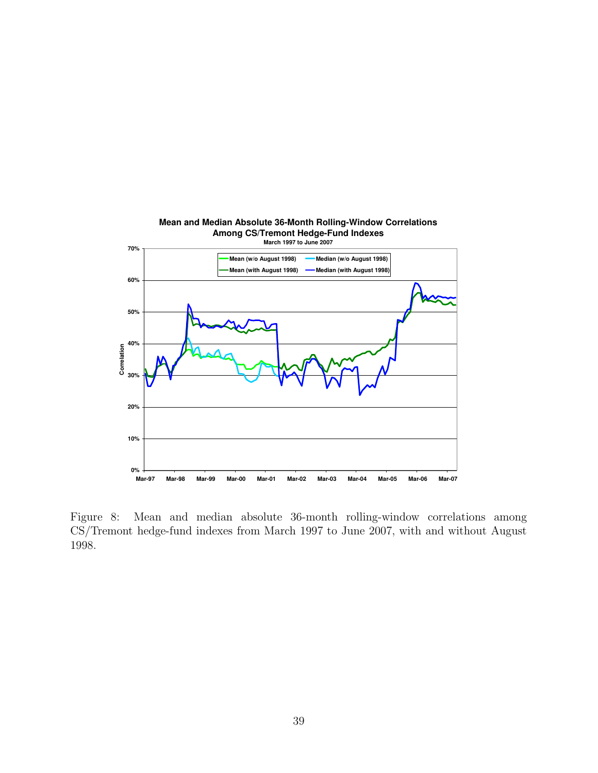

Figure 8: Mean and median absolute 36-month rolling-window correlations among CS/Tremont hedge-fund indexes from March 1997 to June 2007, with and without August 1998.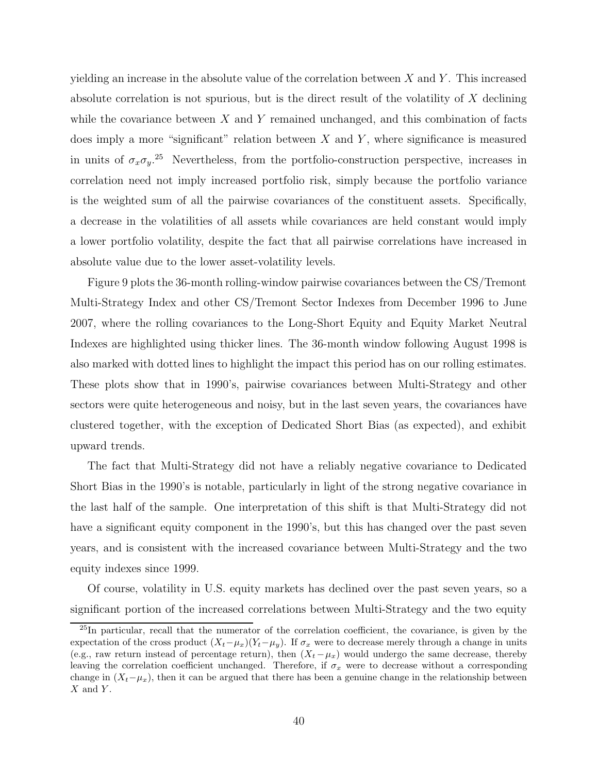yielding an increase in the absolute value of the correlation between  $X$  and  $Y$ . This increased absolute correlation is not spurious, but is the direct result of the volatility of  $X$  declining while the covariance between  $X$  and  $Y$  remained unchanged, and this combination of facts does imply a more "significant" relation between  $X$  and  $Y$ , where significance is measured in units of  $\sigma_x \sigma_y$ <sup>25</sup> Nevertheless, from the portfolio-construction perspective, increases in correlation need not imply increased portfolio risk, simply because the portfolio variance is the weighted sum of all the pairwise covariances of the constituent assets. Specifically, a decrease in the volatilities of all assets while covariances are held constant would imply a lower portfolio volatility, despite the fact that all pairwise correlations have increased in absolute value due to the lower asset-volatility levels.

Figure 9 plots the 36-month rolling-window pairwise covariances between the CS/Tremont Multi-Strategy Index and other CS/Tremont Sector Indexes from December 1996 to June 2007, where the rolling covariances to the Long-Short Equity and Equity Market Neutral Indexes are highlighted using thicker lines. The 36-month window following August 1998 is also marked with dotted lines to highlight the impact this period has on our rolling estimates. These plots show that in 1990's, pairwise covariances between Multi-Strategy and other sectors were quite heterogeneous and noisy, but in the last seven years, the covariances have clustered together, with the exception of Dedicated Short Bias (as expected), and exhibit upward trends.

The fact that Multi-Strategy did not have a reliably negative covariance to Dedicated Short Bias in the 1990's is notable, particularly in light of the strong negative covariance in the last half of the sample. One interpretation of this shift is that Multi-Strategy did not have a significant equity component in the 1990's, but this has changed over the past seven years, and is consistent with the increased covariance between Multi-Strategy and the two equity indexes since 1999.

Of course, volatility in U.S. equity markets has declined over the past seven years, so a significant portion of the increased correlations between Multi-Strategy and the two equity

<sup>25</sup>In particular, recall that the numerator of the correlation coefficient, the covariance, is given by the expectation of the cross product  $(X_t-\mu_x)(Y_t-\mu_y)$ . If  $\sigma_x$  were to decrease merely through a change in units (e.g., raw return instead of percentage return), then  $(X_t - \mu_x)$  would undergo the same decrease, thereby leaving the correlation coefficient unchanged. Therefore, if  $\sigma_x$  were to decrease without a corresponding change in  $(X_t-\mu_x)$ , then it can be argued that there has been a genuine change in the relationship between  $X$  and  $Y$ .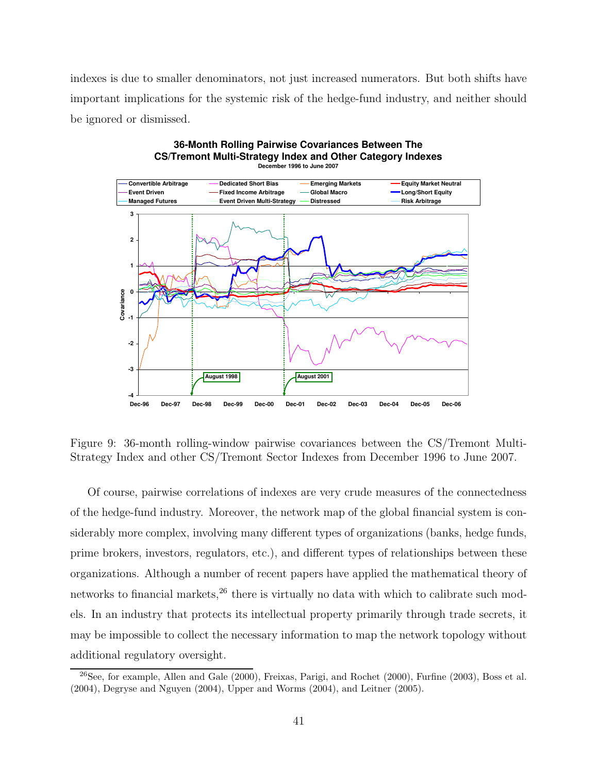indexes is due to smaller denominators, not just increased numerators. But both shifts have important implications for the systemic risk of the hedge-fund industry, and neither should be ignored or dismissed.



**36-Month Rolling Pairwise Covariances Between The CS/Tremont Multi-Strategy Index and Other Category Indexes December 1996 to June 2007**

Figure 9: 36-month rolling-window pairwise covariances between the CS/Tremont Multi-Strategy Index and other CS/Tremont Sector Indexes from December 1996 to June 2007.

Of course, pairwise correlations of indexes are very crude measures of the connectedness of the hedge-fund industry. Moreover, the network map of the global financial system is considerably more complex, involving many different types of organizations (banks, hedge funds, prime brokers, investors, regulators, etc.), and different types of relationships between these organizations. Although a number of recent papers have applied the mathematical theory of networks to financial markets,<sup>26</sup> there is virtually no data with which to calibrate such models. In an industry that protects its intellectual property primarily through trade secrets, it may be impossible to collect the necessary information to map the network topology without additional regulatory oversight.

 $^{26}$ See, for example, Allen and Gale (2000), Freixas, Parigi, and Rochet (2000), Furfine (2003), Boss et al. (2004), Degryse and Nguyen (2004), Upper and Worms (2004), and Leitner (2005).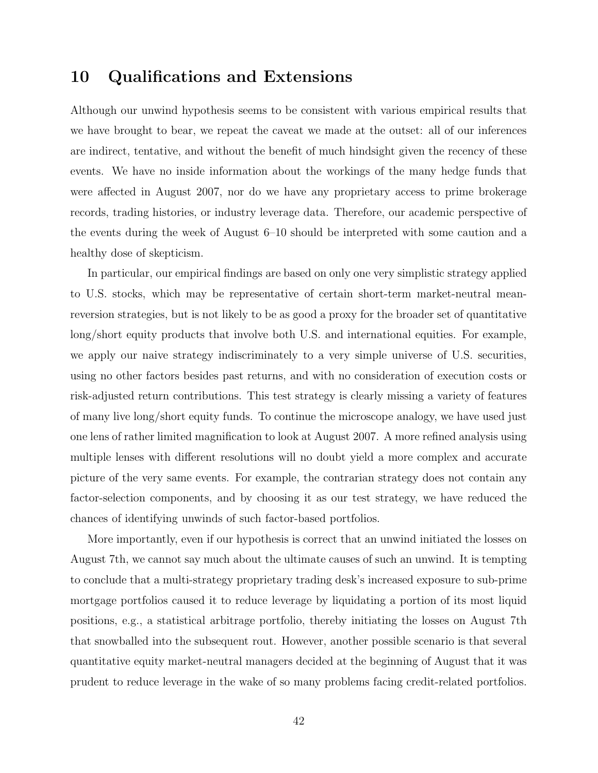## 10 Qualifications and Extensions

Although our unwind hypothesis seems to be consistent with various empirical results that we have brought to bear, we repeat the caveat we made at the outset: all of our inferences are indirect, tentative, and without the benefit of much hindsight given the recency of these events. We have no inside information about the workings of the many hedge funds that were affected in August 2007, nor do we have any proprietary access to prime brokerage records, trading histories, or industry leverage data. Therefore, our academic perspective of the events during the week of August 6–10 should be interpreted with some caution and a healthy dose of skepticism.

In particular, our empirical findings are based on only one very simplistic strategy applied to U.S. stocks, which may be representative of certain short-term market-neutral meanreversion strategies, but is not likely to be as good a proxy for the broader set of quantitative long/short equity products that involve both U.S. and international equities. For example, we apply our naive strategy indiscriminately to a very simple universe of U.S. securities, using no other factors besides past returns, and with no consideration of execution costs or risk-adjusted return contributions. This test strategy is clearly missing a variety of features of many live long/short equity funds. To continue the microscope analogy, we have used just one lens of rather limited magnification to look at August 2007. A more refined analysis using multiple lenses with different resolutions will no doubt yield a more complex and accurate picture of the very same events. For example, the contrarian strategy does not contain any factor-selection components, and by choosing it as our test strategy, we have reduced the chances of identifying unwinds of such factor-based portfolios.

More importantly, even if our hypothesis is correct that an unwind initiated the losses on August 7th, we cannot say much about the ultimate causes of such an unwind. It is tempting to conclude that a multi-strategy proprietary trading desk's increased exposure to sub-prime mortgage portfolios caused it to reduce leverage by liquidating a portion of its most liquid positions, e.g., a statistical arbitrage portfolio, thereby initiating the losses on August 7th that snowballed into the subsequent rout. However, another possible scenario is that several quantitative equity market-neutral managers decided at the beginning of August that it was prudent to reduce leverage in the wake of so many problems facing credit-related portfolios.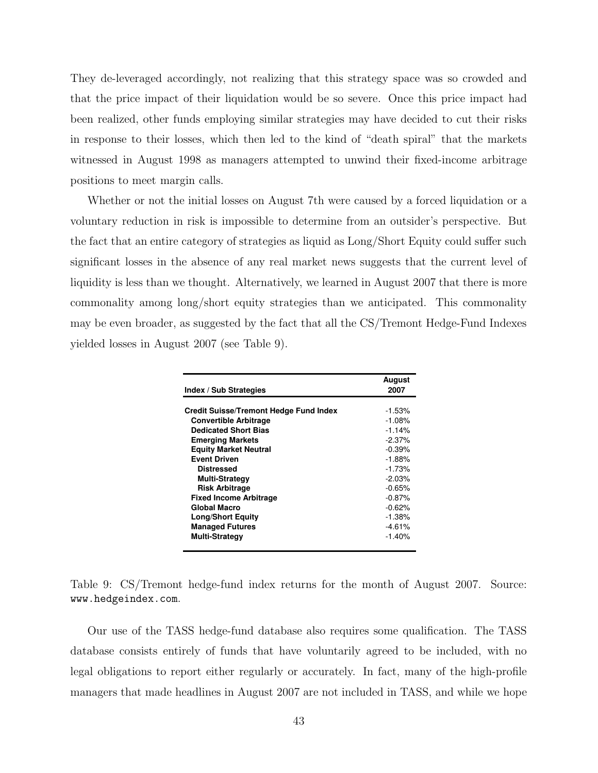They de-leveraged accordingly, not realizing that this strategy space was so crowded and that the price impact of their liquidation would be so severe. Once this price impact had been realized, other funds employing similar strategies may have decided to cut their risks in response to their losses, which then led to the kind of "death spiral" that the markets witnessed in August 1998 as managers attempted to unwind their fixed-income arbitrage positions to meet margin calls.

Whether or not the initial losses on August 7th were caused by a forced liquidation or a voluntary reduction in risk is impossible to determine from an outsider's perspective. But the fact that an entire category of strategies as liquid as Long/Short Equity could suffer such significant losses in the absence of any real market news suggests that the current level of liquidity is less than we thought. Alternatively, we learned in August 2007 that there is more commonality among long/short equity strategies than we anticipated. This commonality may be even broader, as suggested by the fact that all the CS/Tremont Hedge-Fund Indexes yielded losses in August 2007 (see Table 9).

| <b>Index / Sub Strategies</b>          | August<br>2007 |
|----------------------------------------|----------------|
|                                        |                |
| Credit Suisse/Tremont Hedge Fund Index | $-1.53\%$      |
| <b>Convertible Arbitrage</b>           | $-1.08\%$      |
| <b>Dedicated Short Bias</b>            | $-1.14%$       |
| <b>Emerging Markets</b>                | $-2.37\%$      |
| <b>Equity Market Neutral</b>           | $-0.39%$       |
| <b>Event Driven</b>                    | $-1.88%$       |
| <b>Distressed</b>                      | $-1.73%$       |
| <b>Multi-Strategy</b>                  | $-2.03%$       |
| <b>Risk Arbitrage</b>                  | $-0.65%$       |
| <b>Fixed Income Arbitrage</b>          | $-0.87%$       |
| Global Macro                           | $-0.62%$       |
| Long/Short Equity                      | $-1.38%$       |
| <b>Managed Futures</b>                 | $-4.61%$       |
| <b>Multi-Strategy</b>                  | $-1.40%$       |
|                                        |                |

| Table 9: CS/Tremont hedge-fund index returns for the month of August 2007. Source: |  |  |  |  |  |
|------------------------------------------------------------------------------------|--|--|--|--|--|
| www.hedgeindex.com.                                                                |  |  |  |  |  |

Our use of the TASS hedge-fund database also requires some qualification. The TASS database consists entirely of funds that have voluntarily agreed to be included, with no legal obligations to report either regularly or accurately. In fact, many of the high-profile managers that made headlines in August 2007 are not included in TASS, and while we hope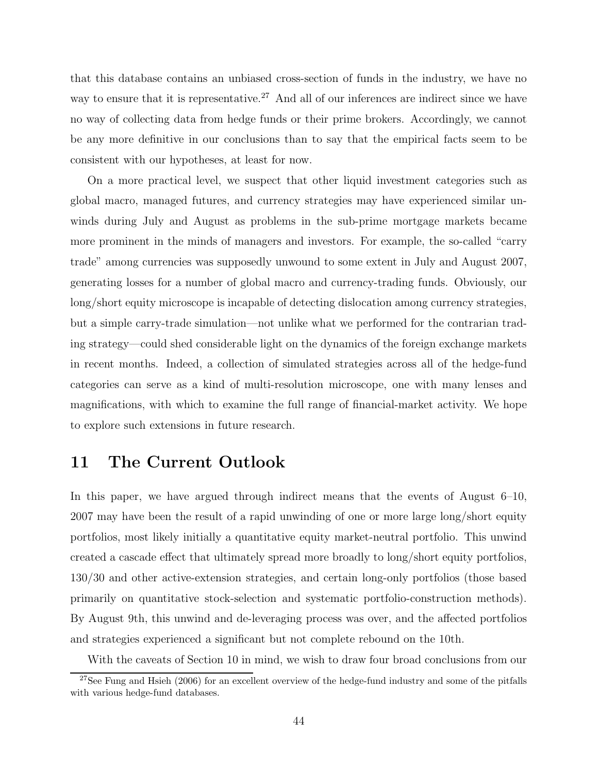that this database contains an unbiased cross-section of funds in the industry, we have no way to ensure that it is representative.<sup>27</sup> And all of our inferences are indirect since we have no way of collecting data from hedge funds or their prime brokers. Accordingly, we cannot be any more definitive in our conclusions than to say that the empirical facts seem to be consistent with our hypotheses, at least for now.

On a more practical level, we suspect that other liquid investment categories such as global macro, managed futures, and currency strategies may have experienced similar unwinds during July and August as problems in the sub-prime mortgage markets became more prominent in the minds of managers and investors. For example, the so-called "carry trade" among currencies was supposedly unwound to some extent in July and August 2007, generating losses for a number of global macro and currency-trading funds. Obviously, our long/short equity microscope is incapable of detecting dislocation among currency strategies, but a simple carry-trade simulation—not unlike what we performed for the contrarian trading strategy—could shed considerable light on the dynamics of the foreign exchange markets in recent months. Indeed, a collection of simulated strategies across all of the hedge-fund categories can serve as a kind of multi-resolution microscope, one with many lenses and magnifications, with which to examine the full range of financial-market activity. We hope to explore such extensions in future research.

## 11 The Current Outlook

In this paper, we have argued through indirect means that the events of August 6–10, 2007 may have been the result of a rapid unwinding of one or more large long/short equity portfolios, most likely initially a quantitative equity market-neutral portfolio. This unwind created a cascade effect that ultimately spread more broadly to long/short equity portfolios, 130/30 and other active-extension strategies, and certain long-only portfolios (those based primarily on quantitative stock-selection and systematic portfolio-construction methods). By August 9th, this unwind and de-leveraging process was over, and the affected portfolios and strategies experienced a significant but not complete rebound on the 10th.

With the caveats of Section 10 in mind, we wish to draw four broad conclusions from our

<sup>&</sup>lt;sup>27</sup>See Fung and Hsieh (2006) for an excellent overview of the hedge-fund industry and some of the pitfalls with various hedge-fund databases.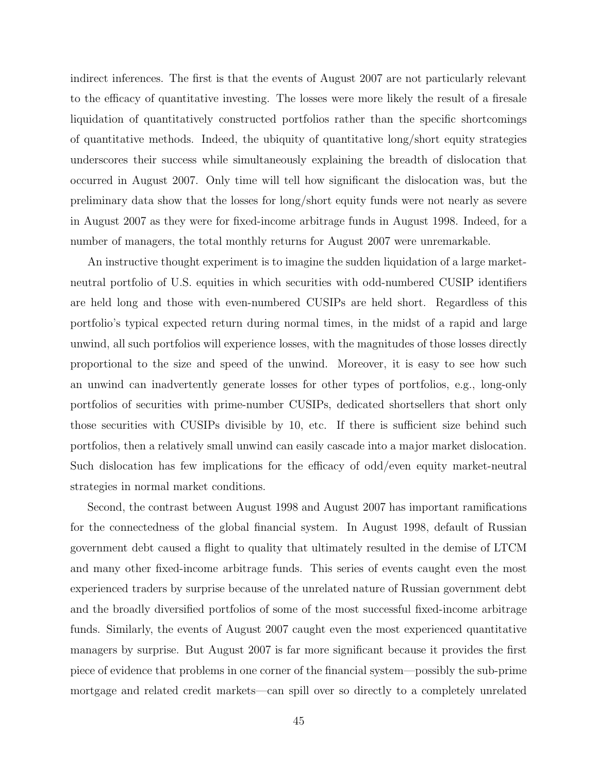indirect inferences. The first is that the events of August 2007 are not particularly relevant to the efficacy of quantitative investing. The losses were more likely the result of a firesale liquidation of quantitatively constructed portfolios rather than the specific shortcomings of quantitative methods. Indeed, the ubiquity of quantitative long/short equity strategies underscores their success while simultaneously explaining the breadth of dislocation that occurred in August 2007. Only time will tell how significant the dislocation was, but the preliminary data show that the losses for long/short equity funds were not nearly as severe in August 2007 as they were for fixed-income arbitrage funds in August 1998. Indeed, for a number of managers, the total monthly returns for August 2007 were unremarkable.

An instructive thought experiment is to imagine the sudden liquidation of a large marketneutral portfolio of U.S. equities in which securities with odd-numbered CUSIP identifiers are held long and those with even-numbered CUSIPs are held short. Regardless of this portfolio's typical expected return during normal times, in the midst of a rapid and large unwind, all such portfolios will experience losses, with the magnitudes of those losses directly proportional to the size and speed of the unwind. Moreover, it is easy to see how such an unwind can inadvertently generate losses for other types of portfolios, e.g., long-only portfolios of securities with prime-number CUSIPs, dedicated shortsellers that short only those securities with CUSIPs divisible by 10, etc. If there is sufficient size behind such portfolios, then a relatively small unwind can easily cascade into a major market dislocation. Such dislocation has few implications for the efficacy of odd/even equity market-neutral strategies in normal market conditions.

Second, the contrast between August 1998 and August 2007 has important ramifications for the connectedness of the global financial system. In August 1998, default of Russian government debt caused a flight to quality that ultimately resulted in the demise of LTCM and many other fixed-income arbitrage funds. This series of events caught even the most experienced traders by surprise because of the unrelated nature of Russian government debt and the broadly diversified portfolios of some of the most successful fixed-income arbitrage funds. Similarly, the events of August 2007 caught even the most experienced quantitative managers by surprise. But August 2007 is far more significant because it provides the first piece of evidence that problems in one corner of the financial system—possibly the sub-prime mortgage and related credit markets—can spill over so directly to a completely unrelated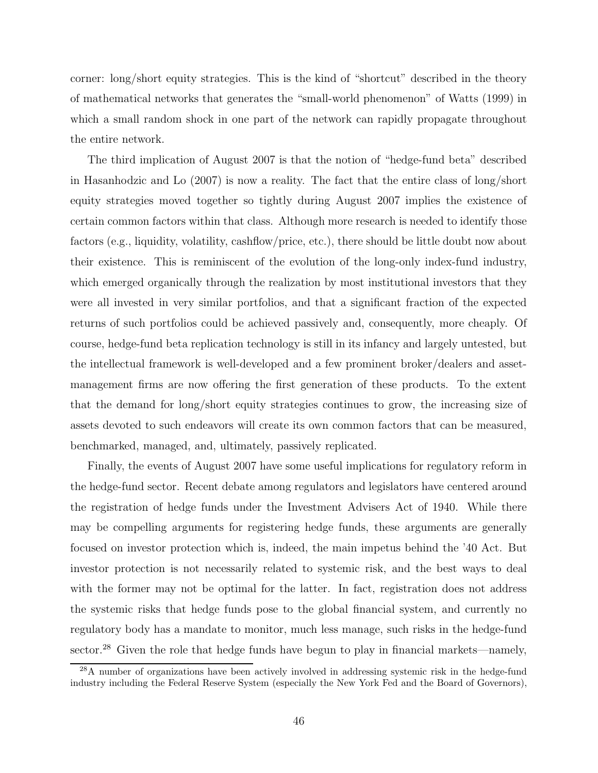corner: long/short equity strategies. This is the kind of "shortcut" described in the theory of mathematical networks that generates the "small-world phenomenon" of Watts (1999) in which a small random shock in one part of the network can rapidly propagate throughout the entire network.

The third implication of August 2007 is that the notion of "hedge-fund beta" described in Hasanhodzic and Lo (2007) is now a reality. The fact that the entire class of long/short equity strategies moved together so tightly during August 2007 implies the existence of certain common factors within that class. Although more research is needed to identify those factors (e.g., liquidity, volatility, cashflow/price, etc.), there should be little doubt now about their existence. This is reminiscent of the evolution of the long-only index-fund industry, which emerged organically through the realization by most institutional investors that they were all invested in very similar portfolios, and that a significant fraction of the expected returns of such portfolios could be achieved passively and, consequently, more cheaply. Of course, hedge-fund beta replication technology is still in its infancy and largely untested, but the intellectual framework is well-developed and a few prominent broker/dealers and assetmanagement firms are now offering the first generation of these products. To the extent that the demand for long/short equity strategies continues to grow, the increasing size of assets devoted to such endeavors will create its own common factors that can be measured, benchmarked, managed, and, ultimately, passively replicated.

Finally, the events of August 2007 have some useful implications for regulatory reform in the hedge-fund sector. Recent debate among regulators and legislators have centered around the registration of hedge funds under the Investment Advisers Act of 1940. While there may be compelling arguments for registering hedge funds, these arguments are generally focused on investor protection which is, indeed, the main impetus behind the '40 Act. But investor protection is not necessarily related to systemic risk, and the best ways to deal with the former may not be optimal for the latter. In fact, registration does not address the systemic risks that hedge funds pose to the global financial system, and currently no regulatory body has a mandate to monitor, much less manage, such risks in the hedge-fund sector.<sup>28</sup> Given the role that hedge funds have begun to play in financial markets—namely,

<sup>28</sup>A number of organizations have been actively involved in addressing systemic risk in the hedge-fund industry including the Federal Reserve System (especially the New York Fed and the Board of Governors),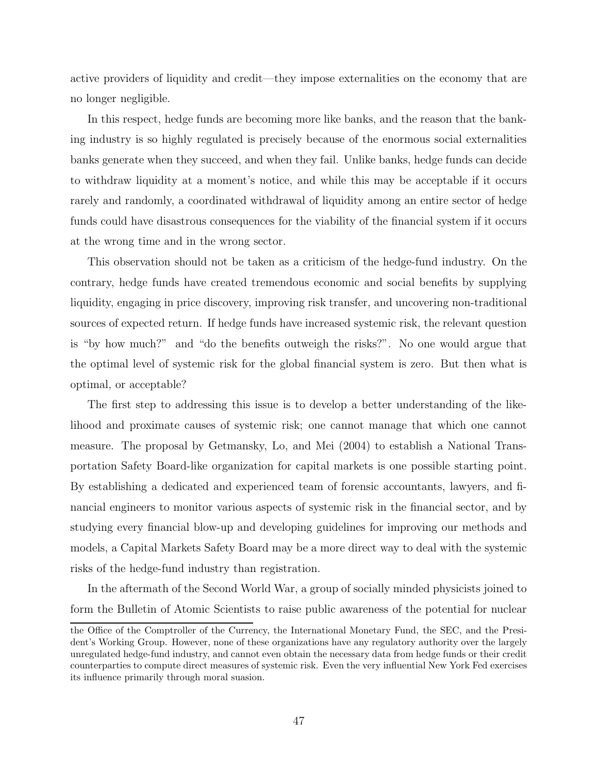active providers of liquidity and credit—they impose externalities on the economy that are no longer negligible.

In this respect, hedge funds are becoming more like banks, and the reason that the banking industry is so highly regulated is precisely because of the enormous social externalities banks generate when they succeed, and when they fail. Unlike banks, hedge funds can decide to withdraw liquidity at a moment's notice, and while this may be acceptable if it occurs rarely and randomly, a coordinated withdrawal of liquidity among an entire sector of hedge funds could have disastrous consequences for the viability of the financial system if it occurs at the wrong time and in the wrong sector.

This observation should not be taken as a criticism of the hedge-fund industry. On the contrary, hedge funds have created tremendous economic and social benefits by supplying liquidity, engaging in price discovery, improving risk transfer, and uncovering non-traditional sources of expected return. If hedge funds have increased systemic risk, the relevant question is "by how much?" and "do the benefits outweigh the risks?". No one would argue that the optimal level of systemic risk for the global financial system is zero. But then what is optimal, or acceptable?

The first step to addressing this issue is to develop a better understanding of the likelihood and proximate causes of systemic risk; one cannot manage that which one cannot measure. The proposal by Getmansky, Lo, and Mei (2004) to establish a National Transportation Safety Board-like organization for capital markets is one possible starting point. By establishing a dedicated and experienced team of forensic accountants, lawyers, and financial engineers to monitor various aspects of systemic risk in the financial sector, and by studying every financial blow-up and developing guidelines for improving our methods and models, a Capital Markets Safety Board may be a more direct way to deal with the systemic risks of the hedge-fund industry than registration.

In the aftermath of the Second World War, a group of socially minded physicists joined to form the Bulletin of Atomic Scientists to raise public awareness of the potential for nuclear

the Office of the Comptroller of the Currency, the International Monetary Fund, the SEC, and the President's Working Group. However, none of these organizations have any regulatory authority over the largely unregulated hedge-fund industry, and cannot even obtain the necessary data from hedge funds or their credit counterparties to compute direct measures of systemic risk. Even the very influential New York Fed exercises its influence primarily through moral suasion.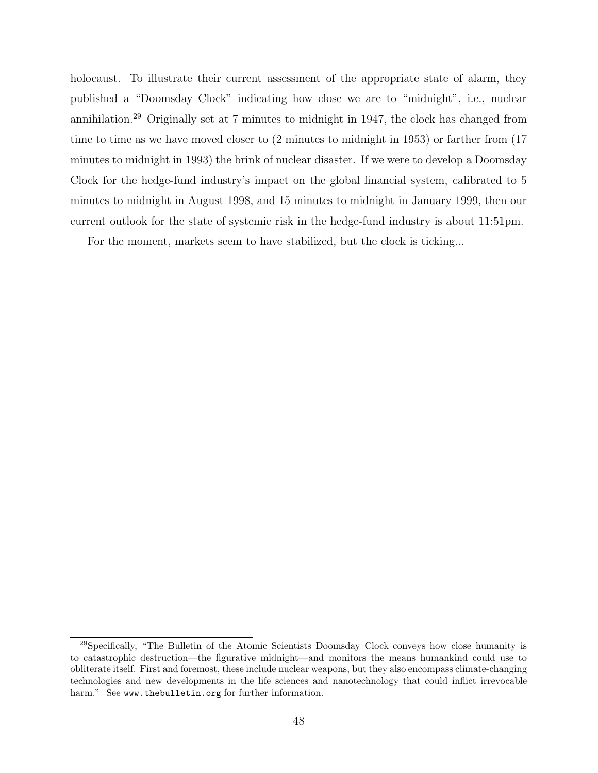holocaust. To illustrate their current assessment of the appropriate state of alarm, they published a "Doomsday Clock" indicating how close we are to "midnight", i.e., nuclear annihilation.<sup>29</sup> Originally set at 7 minutes to midnight in 1947, the clock has changed from time to time as we have moved closer to (2 minutes to midnight in 1953) or farther from (17 minutes to midnight in 1993) the brink of nuclear disaster. If we were to develop a Doomsday Clock for the hedge-fund industry's impact on the global financial system, calibrated to 5 minutes to midnight in August 1998, and 15 minutes to midnight in January 1999, then our current outlook for the state of systemic risk in the hedge-fund industry is about 11:51pm.

For the moment, markets seem to have stabilized, but the clock is ticking...

 $29$ Specifically, "The Bulletin of the Atomic Scientists Doomsday Clock conveys how close humanity is to catastrophic destruction—the figurative midnight—and monitors the means humankind could use to obliterate itself. First and foremost, these include nuclear weapons, but they also encompass climate-changing technologies and new developments in the life sciences and nanotechnology that could inflict irrevocable harm." See www.thebulletin.org for further information.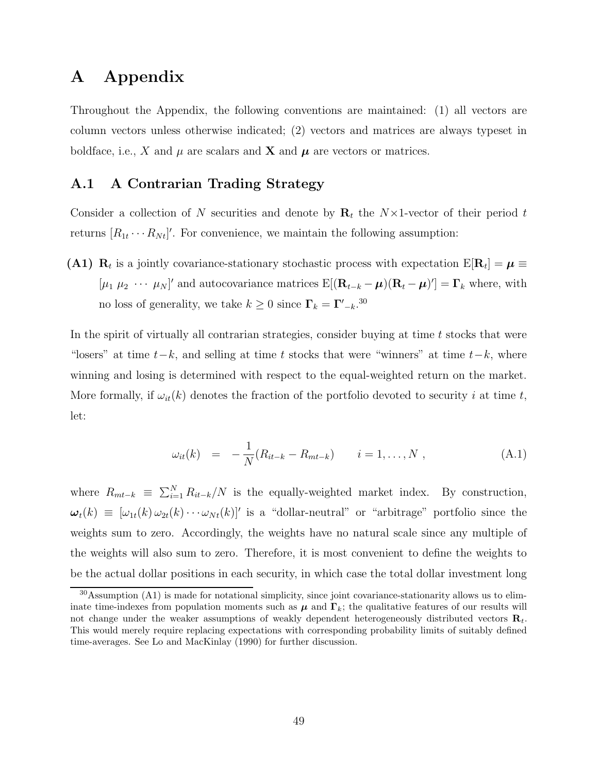## A Appendix

Throughout the Appendix, the following conventions are maintained: (1) all vectors are column vectors unless otherwise indicated; (2) vectors and matrices are always typeset in boldface, i.e., X and  $\mu$  are scalars and **X** and  $\mu$  are vectors or matrices.

#### A.1 A Contrarian Trading Strategy

Consider a collection of N securities and denote by  $\mathbf{R}_t$  the  $N \times 1$ -vector of their period t returns  $[R_{1t} \cdots R_{Nt}]'$ . For convenience, we maintain the following assumption:

(A1)  $\mathbf{R}_t$  is a jointly covariance-stationary stochastic process with expectation  $\mathrm{E}[\mathbf{R}_t] = \boldsymbol{\mu} \equiv$  $[\mu_1 \mu_2 \cdots \mu_N]'$  and autocovariance matrices  $E[(\mathbf{R}_{t-k} - \boldsymbol{\mu})(\mathbf{R}_t - \boldsymbol{\mu})'] = \mathbf{\Gamma}_k$  where, with no loss of generality, we take  $k \geq 0$  since  $\Gamma_k = \Gamma'_{-k}$ .<sup>30</sup>

In the spirit of virtually all contrarian strategies, consider buying at time  $t$  stocks that were "losers" at time  $t-k$ , and selling at time t stocks that were "winners" at time  $t-k$ , where winning and losing is determined with respect to the equal-weighted return on the market. More formally, if  $\omega_{it}(k)$  denotes the fraction of the portfolio devoted to security i at time t, let:

$$
\omega_{it}(k) = -\frac{1}{N}(R_{it-k} - R_{mt-k}) \qquad i = 1, ..., N , \qquad (A.1)
$$

where  $R_{mt-k} \equiv \sum_{i=1}^{N} R_{it-k}/N$  is the equally-weighted market index. By construction,  $\boldsymbol{\omega}_t(k) \equiv [\omega_{1t}(k) \omega_{2t}(k) \cdots \omega_{Nt}(k)]'$  is a "dollar-neutral" or "arbitrage" portfolio since the weights sum to zero. Accordingly, the weights have no natural scale since any multiple of the weights will also sum to zero. Therefore, it is most convenient to define the weights to be the actual dollar positions in each security, in which case the total dollar investment long

 $30$ Assumption (A1) is made for notational simplicity, since joint covariance-stationarity allows us to eliminate time-indexes from population moments such as  $\mu$  and  $\Gamma_k$ ; the qualitative features of our results will not change under the weaker assumptions of weakly dependent heterogeneously distributed vectors  $\mathbf{R}_{t}$ . This would merely require replacing expectations with corresponding probability limits of suitably defined time-averages. See Lo and MacKinlay (1990) for further discussion.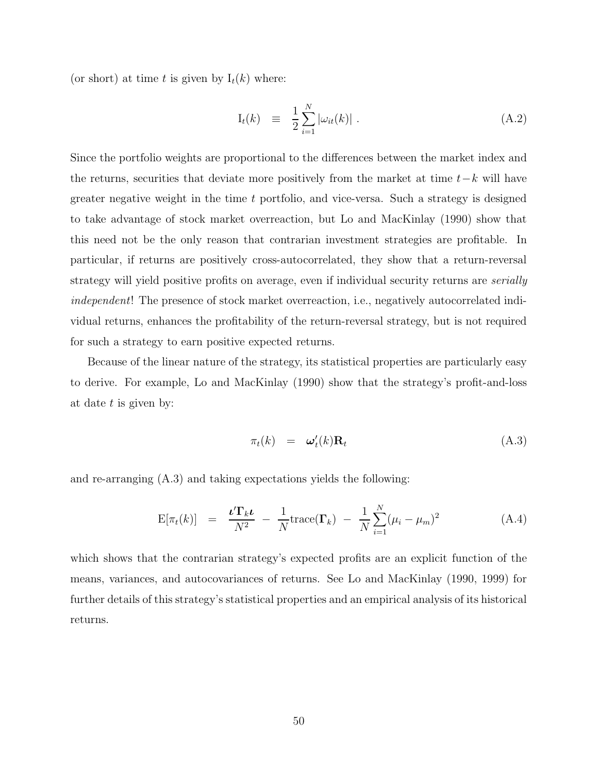(or short) at time t is given by  $I_t(k)$  where:

$$
I_t(k) \equiv \frac{1}{2} \sum_{i=1}^{N} |\omega_{it}(k)| \ . \tag{A.2}
$$

Since the portfolio weights are proportional to the differences between the market index and the returns, securities that deviate more positively from the market at time  $t-k$  will have greater negative weight in the time  $t$  portfolio, and vice-versa. Such a strategy is designed to take advantage of stock market overreaction, but Lo and MacKinlay (1990) show that this need not be the only reason that contrarian investment strategies are profitable. In particular, if returns are positively cross-autocorrelated, they show that a return-reversal strategy will yield positive profits on average, even if individual security returns are *serially* independent! The presence of stock market overreaction, i.e., negatively autocorrelated individual returns, enhances the profitability of the return-reversal strategy, but is not required for such a strategy to earn positive expected returns.

Because of the linear nature of the strategy, its statistical properties are particularly easy to derive. For example, Lo and MacKinlay (1990) show that the strategy's profit-and-loss at date  $t$  is given by:

$$
\pi_t(k) = \omega'_t(k) \mathbf{R}_t \tag{A.3}
$$

and re-arranging (A.3) and taking expectations yields the following:

$$
E[\pi_t(k)] = \frac{\iota' \Gamma_k \iota}{N^2} - \frac{1}{N} trace(\Gamma_k) - \frac{1}{N} \sum_{i=1}^N (\mu_i - \mu_m)^2
$$
 (A.4)

which shows that the contrarian strategy's expected profits are an explicit function of the means, variances, and autocovariances of returns. See Lo and MacKinlay (1990, 1999) for further details of this strategy's statistical properties and an empirical analysis of its historical returns.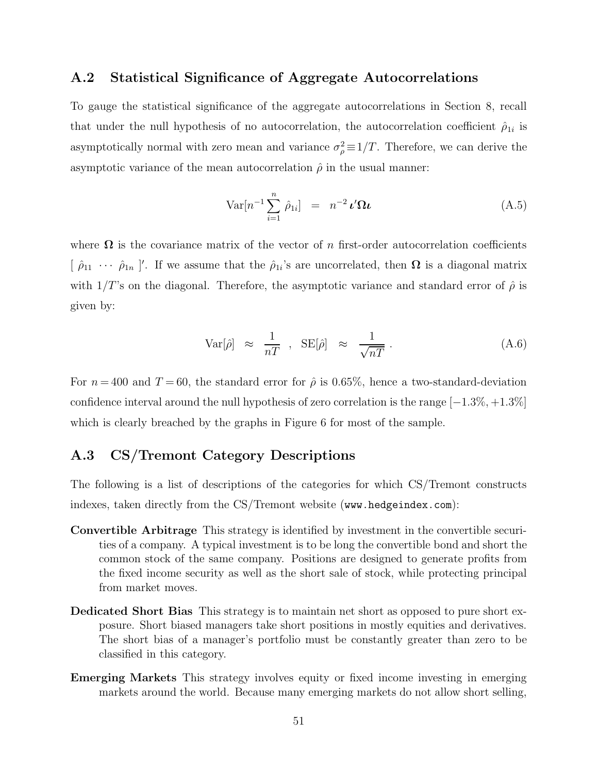#### A.2 Statistical Significance of Aggregate Autocorrelations

To gauge the statistical significance of the aggregate autocorrelations in Section 8, recall that under the null hypothesis of no autocorrelation, the autocorrelation coefficient  $\hat{\rho}_{1i}$  is asymptotically normal with zero mean and variance  $\sigma_{\rho}^2 \equiv 1/T$ . Therefore, we can derive the asymptotic variance of the mean autocorrelation  $\hat{\rho}$  in the usual manner:

$$
\text{Var}[n^{-1}\sum_{i=1}^{n} \hat{\rho}_{1i}] = n^{-2} \iota' \Omega \iota \tag{A.5}
$$

where  $\Omega$  is the covariance matrix of the vector of n first-order autocorrelation coefficients  $[\hat{\rho}_{11} \cdots \hat{\rho}_{1n}]'$ . If we assume that the  $\hat{\rho}_{1i}$ 's are uncorrelated, then  $\Omega$  is a diagonal matrix with  $1/T$ 's on the diagonal. Therefore, the asymptotic variance and standard error of  $\hat{\rho}$  is given by:

$$
Var[\hat{\rho}] \approx \frac{1}{nT} , SE[\hat{\rho}] \approx \frac{1}{\sqrt{nT}} . \qquad (A.6)
$$

For  $n = 400$  and  $T = 60$ , the standard error for  $\hat{\rho}$  is 0.65%, hence a two-standard-deviation confidence interval around the null hypothesis of zero correlation is the range [−1.3%, +1.3%] which is clearly breached by the graphs in Figure 6 for most of the sample.

#### A.3 CS/Tremont Category Descriptions

The following is a list of descriptions of the categories for which CS/Tremont constructs indexes, taken directly from the CS/Tremont website (www.hedgeindex.com):

- Convertible Arbitrage This strategy is identified by investment in the convertible securities of a company. A typical investment is to be long the convertible bond and short the common stock of the same company. Positions are designed to generate profits from the fixed income security as well as the short sale of stock, while protecting principal from market moves.
- Dedicated Short Bias This strategy is to maintain net short as opposed to pure short exposure. Short biased managers take short positions in mostly equities and derivatives. The short bias of a manager's portfolio must be constantly greater than zero to be classified in this category.
- Emerging Markets This strategy involves equity or fixed income investing in emerging markets around the world. Because many emerging markets do not allow short selling,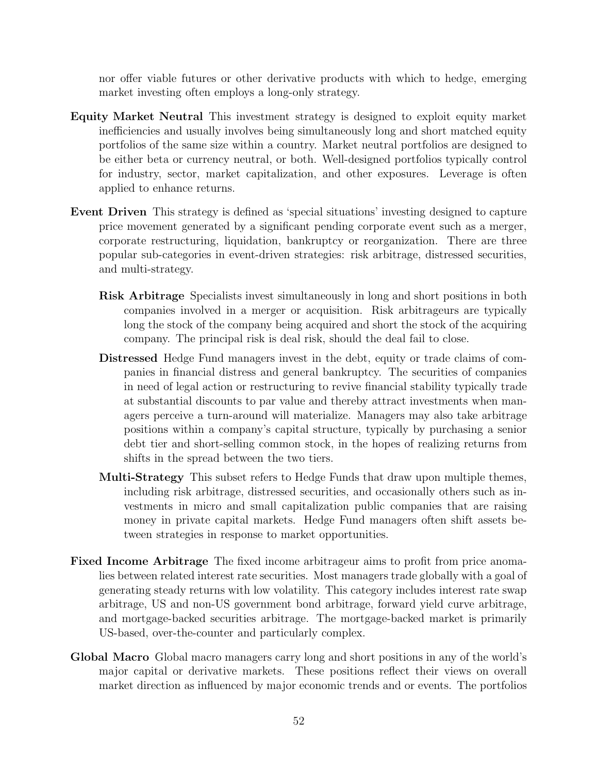nor offer viable futures or other derivative products with which to hedge, emerging market investing often employs a long-only strategy.

- Equity Market Neutral This investment strategy is designed to exploit equity market inefficiencies and usually involves being simultaneously long and short matched equity portfolios of the same size within a country. Market neutral portfolios are designed to be either beta or currency neutral, or both. Well-designed portfolios typically control for industry, sector, market capitalization, and other exposures. Leverage is often applied to enhance returns.
- Event Driven This strategy is defined as 'special situations' investing designed to capture price movement generated by a significant pending corporate event such as a merger, corporate restructuring, liquidation, bankruptcy or reorganization. There are three popular sub-categories in event-driven strategies: risk arbitrage, distressed securities, and multi-strategy.
	- Risk Arbitrage Specialists invest simultaneously in long and short positions in both companies involved in a merger or acquisition. Risk arbitrageurs are typically long the stock of the company being acquired and short the stock of the acquiring company. The principal risk is deal risk, should the deal fail to close.
	- Distressed Hedge Fund managers invest in the debt, equity or trade claims of companies in financial distress and general bankruptcy. The securities of companies in need of legal action or restructuring to revive financial stability typically trade at substantial discounts to par value and thereby attract investments when managers perceive a turn-around will materialize. Managers may also take arbitrage positions within a company's capital structure, typically by purchasing a senior debt tier and short-selling common stock, in the hopes of realizing returns from shifts in the spread between the two tiers.
	- Multi-Strategy This subset refers to Hedge Funds that draw upon multiple themes, including risk arbitrage, distressed securities, and occasionally others such as investments in micro and small capitalization public companies that are raising money in private capital markets. Hedge Fund managers often shift assets between strategies in response to market opportunities.
- Fixed Income Arbitrage The fixed income arbitrageur aims to profit from price anomalies between related interest rate securities. Most managers trade globally with a goal of generating steady returns with low volatility. This category includes interest rate swap arbitrage, US and non-US government bond arbitrage, forward yield curve arbitrage, and mortgage-backed securities arbitrage. The mortgage-backed market is primarily US-based, over-the-counter and particularly complex.
- Global Macro Global macro managers carry long and short positions in any of the world's major capital or derivative markets. These positions reflect their views on overall market direction as influenced by major economic trends and or events. The portfolios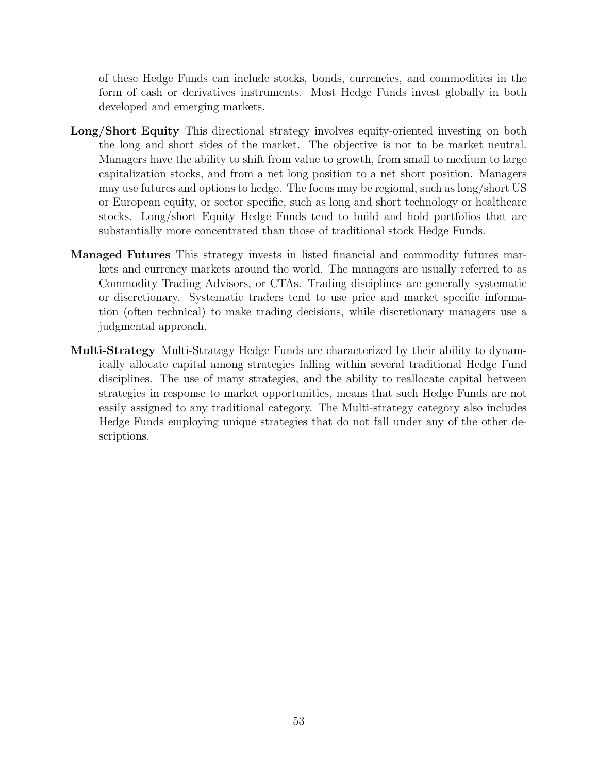of these Hedge Funds can include stocks, bonds, currencies, and commodities in the form of cash or derivatives instruments. Most Hedge Funds invest globally in both developed and emerging markets.

- Long/Short Equity This directional strategy involves equity-oriented investing on both the long and short sides of the market. The objective is not to be market neutral. Managers have the ability to shift from value to growth, from small to medium to large capitalization stocks, and from a net long position to a net short position. Managers may use futures and options to hedge. The focus may be regional, such as long/short US or European equity, or sector specific, such as long and short technology or healthcare stocks. Long/short Equity Hedge Funds tend to build and hold portfolios that are substantially more concentrated than those of traditional stock Hedge Funds.
- Managed Futures This strategy invests in listed financial and commodity futures markets and currency markets around the world. The managers are usually referred to as Commodity Trading Advisors, or CTAs. Trading disciplines are generally systematic or discretionary. Systematic traders tend to use price and market specific information (often technical) to make trading decisions, while discretionary managers use a judgmental approach.
- Multi-Strategy Multi-Strategy Hedge Funds are characterized by their ability to dynamically allocate capital among strategies falling within several traditional Hedge Fund disciplines. The use of many strategies, and the ability to reallocate capital between strategies in response to market opportunities, means that such Hedge Funds are not easily assigned to any traditional category. The Multi-strategy category also includes Hedge Funds employing unique strategies that do not fall under any of the other descriptions.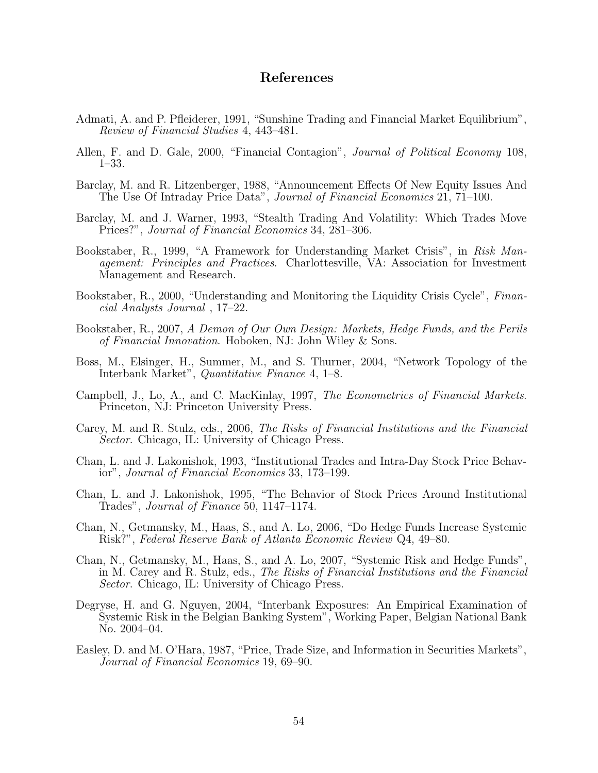#### References

- Admati, A. and P. Pfleiderer, 1991, "Sunshine Trading and Financial Market Equilibrium", Review of Financial Studies 4, 443–481.
- Allen, F. and D. Gale, 2000, "Financial Contagion", Journal of Political Economy 108, 1–33.
- Barclay, M. and R. Litzenberger, 1988, "Announcement Effects Of New Equity Issues And The Use Of Intraday Price Data", Journal of Financial Economics 21, 71–100.
- Barclay, M. and J. Warner, 1993, "Stealth Trading And Volatility: Which Trades Move Prices?", Journal of Financial Economics 34, 281–306.
- Bookstaber, R., 1999, "A Framework for Understanding Market Crisis", in Risk Management: Principles and Practices. Charlottesville, VA: Association for Investment Management and Research.
- Bookstaber, R., 2000, "Understanding and Monitoring the Liquidity Crisis Cycle", Financial Analysts Journal , 17–22.
- Bookstaber, R., 2007, A Demon of Our Own Design: Markets, Hedge Funds, and the Perils of Financial Innovation. Hoboken, NJ: John Wiley & Sons.
- Boss, M., Elsinger, H., Summer, M., and S. Thurner, 2004, "Network Topology of the Interbank Market", Quantitative Finance 4, 1–8.
- Campbell, J., Lo, A., and C. MacKinlay, 1997, The Econometrics of Financial Markets. Princeton, NJ: Princeton University Press.
- Carey, M. and R. Stulz, eds., 2006, The Risks of Financial Institutions and the Financial Sector. Chicago, IL: University of Chicago Press.
- Chan, L. and J. Lakonishok, 1993, "Institutional Trades and Intra-Day Stock Price Behavior", Journal of Financial Economics 33, 173–199.
- Chan, L. and J. Lakonishok, 1995, "The Behavior of Stock Prices Around Institutional Trades", Journal of Finance 50, 1147–1174.
- Chan, N., Getmansky, M., Haas, S., and A. Lo, 2006, "Do Hedge Funds Increase Systemic Risk?", Federal Reserve Bank of Atlanta Economic Review Q4, 49–80.
- Chan, N., Getmansky, M., Haas, S., and A. Lo, 2007, "Systemic Risk and Hedge Funds", in M. Carey and R. Stulz, eds., The Risks of Financial Institutions and the Financial Sector. Chicago, IL: University of Chicago Press.
- Degryse, H. and G. Nguyen, 2004, "Interbank Exposures: An Empirical Examination of Systemic Risk in the Belgian Banking System", Working Paper, Belgian National Bank No. 2004–04.
- Easley, D. and M. O'Hara, 1987, "Price, Trade Size, and Information in Securities Markets", Journal of Financial Economics 19, 69–90.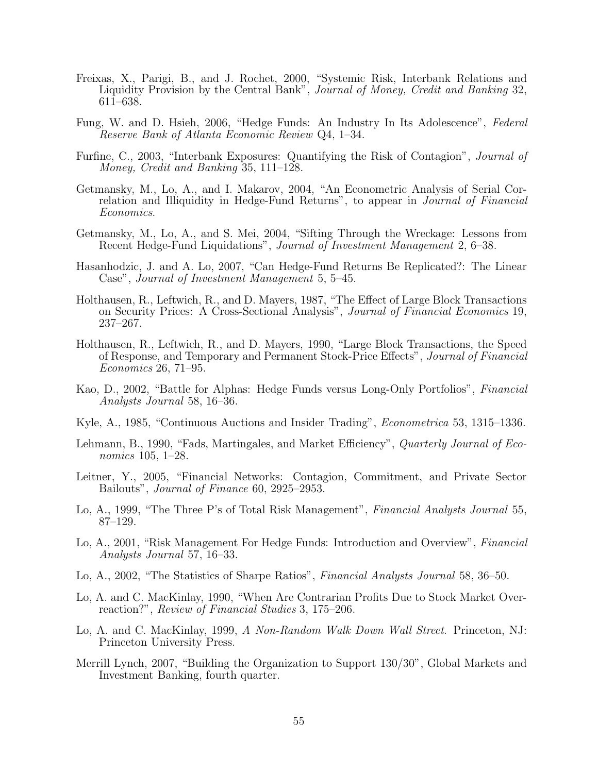- Freixas, X., Parigi, B., and J. Rochet, 2000, "Systemic Risk, Interbank Relations and Liquidity Provision by the Central Bank", Journal of Money, Credit and Banking 32, 611–638.
- Fung, W. and D. Hsieh, 2006, "Hedge Funds: An Industry In Its Adolescence", Federal Reserve Bank of Atlanta Economic Review Q4, 1–34.
- Furfine, C., 2003, "Interbank Exposures: Quantifying the Risk of Contagion", Journal of Money, Credit and Banking 35, 111–128.
- Getmansky, M., Lo, A., and I. Makarov, 2004, "An Econometric Analysis of Serial Correlation and Illiquidity in Hedge-Fund Returns", to appear in Journal of Financial Economics.
- Getmansky, M., Lo, A., and S. Mei, 2004, "Sifting Through the Wreckage: Lessons from Recent Hedge-Fund Liquidations", Journal of Investment Management 2, 6–38.
- Hasanhodzic, J. and A. Lo, 2007, "Can Hedge-Fund Returns Be Replicated?: The Linear Case", Journal of Investment Management 5, 5–45.
- Holthausen, R., Leftwich, R., and D. Mayers, 1987, "The Effect of Large Block Transactions on Security Prices: A Cross-Sectional Analysis", Journal of Financial Economics 19, 237–267.
- Holthausen, R., Leftwich, R., and D. Mayers, 1990, "Large Block Transactions, the Speed of Response, and Temporary and Permanent Stock-Price Effects", Journal of Financial Economics 26, 71–95.
- Kao, D., 2002, "Battle for Alphas: Hedge Funds versus Long-Only Portfolios", Financial Analysts Journal 58, 16–36.
- Kyle, A., 1985, "Continuous Auctions and Insider Trading", Econometrica 53, 1315–1336.
- Lehmann, B., 1990, "Fads, Martingales, and Market Efficiency", *Quarterly Journal of Eco*nomics 105, 1–28.
- Leitner, Y., 2005, "Financial Networks: Contagion, Commitment, and Private Sector Bailouts", Journal of Finance 60, 2925–2953.
- Lo, A., 1999, "The Three P's of Total Risk Management", Financial Analysts Journal 55, 87–129.
- Lo, A., 2001, "Risk Management For Hedge Funds: Introduction and Overview", Financial Analysts Journal 57, 16–33.
- Lo, A., 2002, "The Statistics of Sharpe Ratios", Financial Analysts Journal 58, 36–50.
- Lo, A. and C. MacKinlay, 1990, "When Are Contrarian Profits Due to Stock Market Overreaction?", Review of Financial Studies 3, 175–206.
- Lo, A. and C. MacKinlay, 1999, A Non-Random Walk Down Wall Street. Princeton, NJ: Princeton University Press.
- Merrill Lynch, 2007, "Building the Organization to Support 130/30", Global Markets and Investment Banking, fourth quarter.